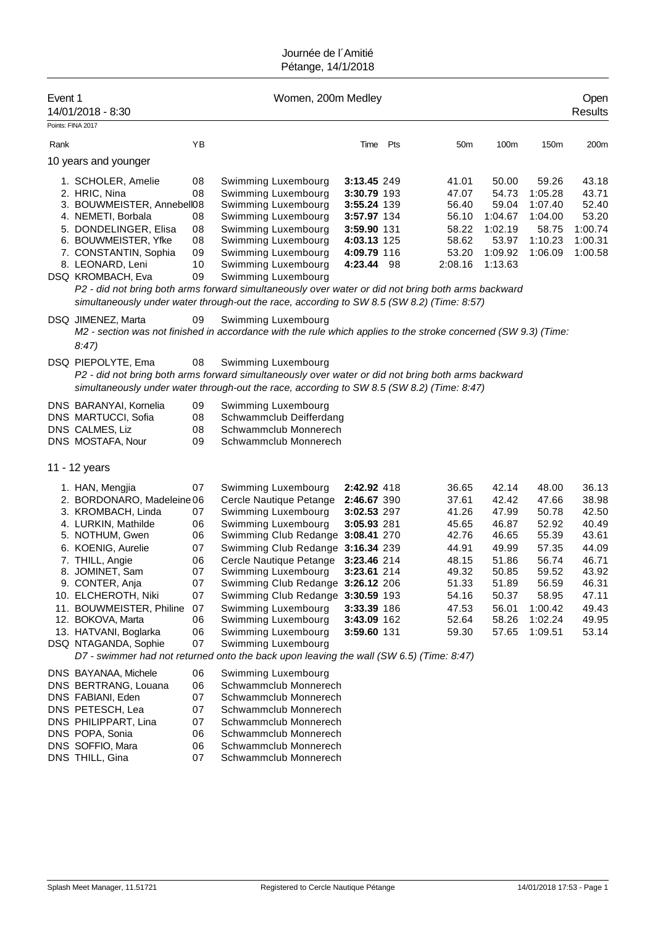| Event 1<br>14/01/2018 - 8:30                                                                                                                                                                                                                                                                                          |                                                                            | Women, 200m Medley                                                                                                                                                                                                                                                                                                                                                                                                                                                                        |                                                                                                                                     |     |                                                                                                                   |                                                                                                                   |                                                                                                                         | Open<br>Results                                                                                                   |
|-----------------------------------------------------------------------------------------------------------------------------------------------------------------------------------------------------------------------------------------------------------------------------------------------------------------------|----------------------------------------------------------------------------|-------------------------------------------------------------------------------------------------------------------------------------------------------------------------------------------------------------------------------------------------------------------------------------------------------------------------------------------------------------------------------------------------------------------------------------------------------------------------------------------|-------------------------------------------------------------------------------------------------------------------------------------|-----|-------------------------------------------------------------------------------------------------------------------|-------------------------------------------------------------------------------------------------------------------|-------------------------------------------------------------------------------------------------------------------------|-------------------------------------------------------------------------------------------------------------------|
| Points: FINA 2017                                                                                                                                                                                                                                                                                                     |                                                                            |                                                                                                                                                                                                                                                                                                                                                                                                                                                                                           |                                                                                                                                     |     |                                                                                                                   |                                                                                                                   |                                                                                                                         |                                                                                                                   |
| Rank                                                                                                                                                                                                                                                                                                                  | YB                                                                         |                                                                                                                                                                                                                                                                                                                                                                                                                                                                                           | Time                                                                                                                                | Pts | 50 <sub>m</sub>                                                                                                   | 100m                                                                                                              | 150m                                                                                                                    | 200m                                                                                                              |
| 10 years and younger                                                                                                                                                                                                                                                                                                  |                                                                            |                                                                                                                                                                                                                                                                                                                                                                                                                                                                                           |                                                                                                                                     |     |                                                                                                                   |                                                                                                                   |                                                                                                                         |                                                                                                                   |
| 1. SCHOLER, Amelie<br>2. HRIC, Nina<br>3. BOUWMEISTER, Annebell08<br>4. NEMETI, Borbala<br>5. DONDELINGER, Elisa<br>6. BOUWMEISTER, Yfke<br>7. CONSTANTIN, Sophia<br>8. LEONARD, Leni<br>DSQ KROMBACH, Eva                                                                                                            | 08<br>08<br>08<br>08<br>08<br>09<br>10<br>09                               | Swimming Luxembourg<br>Swimming Luxembourg<br>Swimming Luxembourg<br>Swimming Luxembourg<br>Swimming Luxembourg<br>Swimming Luxembourg<br>Swimming Luxembourg<br>Swimming Luxembourg<br>Swimming Luxembourg<br>P2 - did not bring both arms forward simultaneously over water or did not bring both arms backward<br>simultaneously under water through-out the race, according to SW 8.5 (SW 8.2) (Time: 8:57)                                                                           | 3:13.45 249<br>3:30.79 193<br>3:55.24 139<br>3:57.97 134<br>3:59.90 131<br>4:03.13 125<br>4:09.79 116<br>4:23.44 98                 |     | 41.01<br>47.07<br>56.40<br>56.10<br>58.22<br>58.62<br>53.20<br>2:08.16                                            | 50.00<br>54.73<br>59.04<br>1:04.67<br>1:02.19<br>53.97<br>1:09.92<br>1:13.63                                      | 59.26<br>1:05.28<br>1:07.40<br>1:04.00<br>58.75<br>1:10.23<br>1:06.09                                                   | 43.18<br>43.71<br>52.40<br>53.20<br>1:00.74<br>1:00.31<br>1:00.58                                                 |
| DSQ JIMENEZ, Marta<br>8:47                                                                                                                                                                                                                                                                                            | 09                                                                         | Swimming Luxembourg<br>M2 - section was not finished in accordance with the rule which applies to the stroke concerned (SW 9.3) (Time:                                                                                                                                                                                                                                                                                                                                                    |                                                                                                                                     |     |                                                                                                                   |                                                                                                                   |                                                                                                                         |                                                                                                                   |
| DSQ PIEPOLYTE, Ema                                                                                                                                                                                                                                                                                                    | 08                                                                         | Swimming Luxembourg<br>P2 - did not bring both arms forward simultaneously over water or did not bring both arms backward<br>simultaneously under water through-out the race, according to SW 8.5 (SW 8.2) (Time: 8:47)                                                                                                                                                                                                                                                                   |                                                                                                                                     |     |                                                                                                                   |                                                                                                                   |                                                                                                                         |                                                                                                                   |
| DNS BARANYAI, Kornelia<br>DNS MARTUCCI, Sofia<br>DNS CALMES, Liz<br>DNS MOSTAFA, Nour                                                                                                                                                                                                                                 | 09<br>08<br>08<br>09                                                       | Swimming Luxembourg<br>Schwammclub Deifferdang<br>Schwammclub Monnerech<br>Schwammclub Monnerech                                                                                                                                                                                                                                                                                                                                                                                          |                                                                                                                                     |     |                                                                                                                   |                                                                                                                   |                                                                                                                         |                                                                                                                   |
| 11 - 12 years                                                                                                                                                                                                                                                                                                         |                                                                            |                                                                                                                                                                                                                                                                                                                                                                                                                                                                                           |                                                                                                                                     |     |                                                                                                                   |                                                                                                                   |                                                                                                                         |                                                                                                                   |
| 1. HAN, Mengjia<br>2. BORDONARO, Madeleine 06<br>3. KROMBACH, Linda<br>4. LURKIN, Mathilde<br>5. NOTHUM, Gwen<br>6. KOENIG, Aurelie<br>7. THILL, Angie<br>8. JOMINET, Sam<br>9. CONTER, Anja<br>10. ELCHEROTH, Niki<br>11. BOUWMEISTER, Philine<br>12. BOKOVA, Marta<br>13. HATVANI, Boglarka<br>DSQ NTAGANDA, Sophie | 07<br>07<br>06<br>06<br>07<br>06<br>07<br>07<br>07<br>07<br>06<br>06<br>07 | Swimming Luxembourg<br>Cercle Nautique Petange<br>Swimming Luxembourg<br>Swimming Luxembourg<br>Swimming Club Redange 3:08.41 270<br>Swimming Club Redange 3:16.34 239<br>Cercle Nautique Petange<br>Swimming Luxembourg<br>Swimming Club Redange 3:26.12 206<br>Swimming Club Redange 3:30.59 193<br>Swimming Luxembourg<br>Swimming Luxembourg<br>Swimming Luxembourg<br>Swimming Luxembourg<br>D7 - swimmer had not returned onto the back upon leaving the wall (SW 6.5) (Time: 8:47) | 2:42.92 418<br>2:46.67 390<br>3:02.53 297<br>3:05.93 281<br>3:23.46 214<br>3:23.61 214<br>3:33.39 186<br>3:43.09 162<br>3:59.60 131 |     | 36.65<br>37.61<br>41.26<br>45.65<br>42.76<br>44.91<br>48.15<br>49.32<br>51.33<br>54.16<br>47.53<br>52.64<br>59.30 | 42.14<br>42.42<br>47.99<br>46.87<br>46.65<br>49.99<br>51.86<br>50.85<br>51.89<br>50.37<br>56.01<br>58.26<br>57.65 | 48.00<br>47.66<br>50.78<br>52.92<br>55.39<br>57.35<br>56.74<br>59.52<br>56.59<br>58.95<br>1:00.42<br>1:02.24<br>1:09.51 | 36.13<br>38.98<br>42.50<br>40.49<br>43.61<br>44.09<br>46.71<br>43.92<br>46.31<br>47.11<br>49.43<br>49.95<br>53.14 |
| DNS BAYANAA, Michele<br>DNS BERTRANG, Louana<br>DNS FABIANI, Eden<br>DNS PETESCH, Lea<br>DNS PHILIPPART, Lina<br>DNS POPA, Sonia<br>DNS SOFFIO, Mara<br>DNS THILL, Gina                                                                                                                                               | 06<br>06<br>07<br>07<br>07<br>06<br>06<br>07                               | Swimming Luxembourg<br>Schwammclub Monnerech<br>Schwammclub Monnerech<br>Schwammclub Monnerech<br>Schwammclub Monnerech<br>Schwammclub Monnerech<br>Schwammclub Monnerech<br>Schwammclub Monnerech                                                                                                                                                                                                                                                                                        |                                                                                                                                     |     |                                                                                                                   |                                                                                                                   |                                                                                                                         |                                                                                                                   |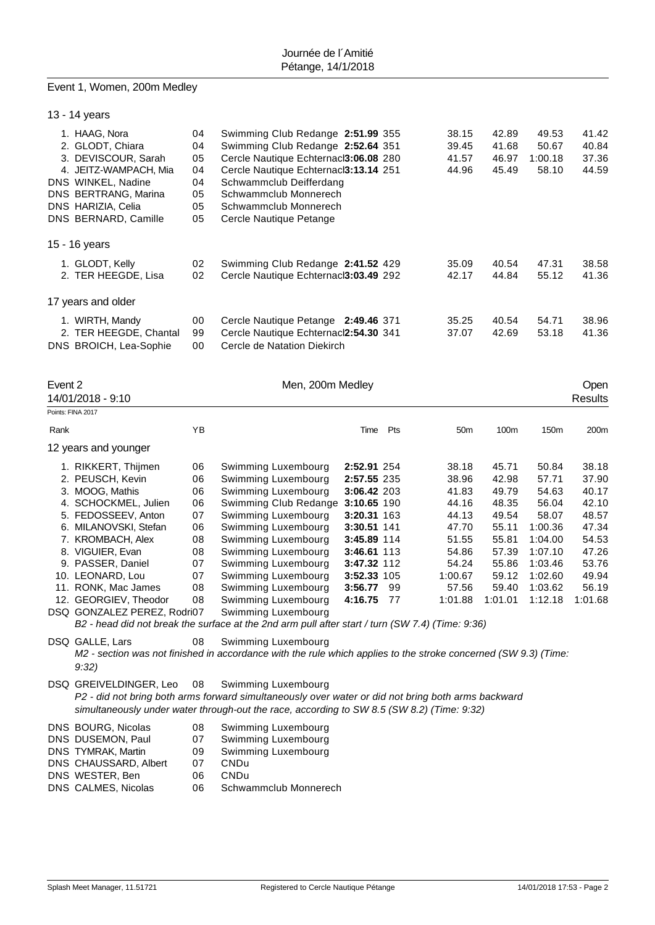#### Event 1, Women, 200m Medley

|         | 13 - 14 years                                                                            |                      |                                                                                                                                                          |                            |      |                                  |                                  |                                    |                                  |
|---------|------------------------------------------------------------------------------------------|----------------------|----------------------------------------------------------------------------------------------------------------------------------------------------------|----------------------------|------|----------------------------------|----------------------------------|------------------------------------|----------------------------------|
|         | 1. HAAG, Nora<br>2. GLODT, Chiara<br>3. DEVISCOUR, Sarah<br>4. JEITZ-WAMPACH, Mia        | 04<br>04<br>05<br>04 | Swimming Club Redange 2:51.99 355<br>Swimming Club Redange 2:52.64 351<br>Cercle Nautique Echternacl3:06.08 280<br>Cercle Nautique Echternacl3:13.14 251 |                            |      | 38.15<br>39.45<br>41.57<br>44.96 | 42.89<br>41.68<br>46.97<br>45.49 | 49.53<br>50.67<br>1:00.18<br>58.10 | 41.42<br>40.84<br>37.36<br>44.59 |
|         | DNS WINKEL, Nadine<br>DNS BERTRANG, Marina<br>DNS HARIZIA, Celia<br>DNS BERNARD, Camille | 04<br>05<br>05<br>05 | Schwammclub Deifferdang<br>Schwammclub Monnerech<br>Schwammclub Monnerech<br>Cercle Nautique Petange                                                     |                            |      |                                  |                                  |                                    |                                  |
|         | 15 - 16 years                                                                            |                      |                                                                                                                                                          |                            |      |                                  |                                  |                                    |                                  |
|         | 1. GLODT, Kelly<br>2. TER HEEGDE, Lisa                                                   | 02<br>02             | Swimming Club Redange 2:41.52 429<br>Cercle Nautique Echternacl3:03.49 292                                                                               |                            |      | 35.09<br>42.17                   | 40.54<br>44.84                   | 47.31<br>55.12                     | 38.58<br>41.36                   |
|         | 17 years and older                                                                       |                      |                                                                                                                                                          |                            |      |                                  |                                  |                                    |                                  |
|         | 1. WIRTH, Mandy                                                                          | 00                   | Cercle Nautique Petange 2:49.46 371                                                                                                                      |                            |      | 35.25                            | 40.54                            | 54.71                              | 38.96                            |
|         | 2. TER HEEGDE, Chantal<br>DNS BROICH, Lea-Sophie                                         | 99<br>00             | Cercle Nautique Echternacl2:54.30 341<br>Cercle de Natation Diekirch                                                                                     |                            |      | 37.07                            | 42.69                            | 53.18                              | 41.36                            |
|         |                                                                                          |                      |                                                                                                                                                          |                            |      |                                  |                                  |                                    |                                  |
| Event 2 | 14/01/2018 - 9:10                                                                        |                      | Men, 200m Medley                                                                                                                                         |                            |      |                                  |                                  |                                    | Open<br>Results                  |
|         | Points: FINA 2017                                                                        |                      |                                                                                                                                                          |                            |      |                                  |                                  |                                    |                                  |
| Rank    |                                                                                          | YB                   |                                                                                                                                                          | Time                       | Pts  | 50 <sub>m</sub>                  | 100m                             | 150m                               | 200m                             |
|         | 12 years and younger                                                                     |                      |                                                                                                                                                          |                            |      |                                  |                                  |                                    |                                  |
|         | 1. RIKKERT, Thijmen                                                                      | 06                   | Swimming Luxembourg                                                                                                                                      | 2:52.91 254                |      | 38.18                            | 45.71                            | 50.84                              | 38.18                            |
|         | 2. PEUSCH, Kevin                                                                         | 06                   | Swimming Luxembourg                                                                                                                                      | 2:57.55 235                |      | 38.96                            | 42.98                            | 57.71                              | 37.90                            |
|         | 3. MOOG, Mathis                                                                          | 06                   | Swimming Luxembourg                                                                                                                                      | 3:06.42 203                |      | 41.83                            | 49.79                            | 54.63                              | 40.17                            |
|         | 4. SCHOCKMEL, Julien                                                                     | 06<br>07             | Swimming Club Redange 3:10.65 190                                                                                                                        |                            |      | 44.16                            | 48.35<br>49.54                   | 56.04<br>58.07                     | 42.10                            |
|         | 5. FEDOSSEEV, Anton<br>6. MILANOVSKI, Stefan                                             | 06                   | Swimming Luxembourg<br>Swimming Luxembourg                                                                                                               | 3:20.31 163<br>3:30.51 141 |      | 44.13<br>47.70                   | 55.11                            | 1:00.36                            | 48.57<br>47.34                   |
|         | 7. KROMBACH, Alex                                                                        | 08                   | Swimming Luxembourg                                                                                                                                      | 3:45.89 114                |      | 51.55                            | 55.81                            | 1:04.00                            | 54.53                            |
|         | 8. VIGUIER, Evan                                                                         | 08                   | Swimming Luxembourg                                                                                                                                      | 3:46.61 113                |      | 54.86                            | 57.39                            | 1:07.10                            | 47.26                            |
|         | 9. PASSER, Daniel                                                                        | 07                   | Swimming Luxembourg                                                                                                                                      | 3:47.32 112                |      | 54.24                            | 55.86                            | 1:03.46                            | 53.76                            |
|         | 10. LEONARD, Lou                                                                         | 07                   | Swimming Luxembourg                                                                                                                                      | 3:52.33 105                |      | 1:00.67                          | 59.12                            | 1:02.60                            | 49.94                            |
|         | 11. RONK, Mac James                                                                      | 08                   | Swimming Luxembourg                                                                                                                                      | 3:56.77                    | 99   | 57.56                            | 59.40                            | 1:03.62                            | 56.19                            |
|         | 12. GEORGIEV, Theodor                                                                    | 08                   | Swimming Luxembourg                                                                                                                                      | 4:16.75                    | - 77 | 1:01.88                          | 1:01.01                          | 1:12.18                            | 1:01.68                          |
|         | DSQ GONZALEZ PEREZ, Rodri07                                                              |                      | Swimming Luxembourg                                                                                                                                      |                            |      |                                  |                                  |                                    |                                  |
|         |                                                                                          |                      | B2 - head did not break the surface at the 2nd arm pull after start / turn (SW 7.4) (Time: 9:36)                                                         |                            |      |                                  |                                  |                                    |                                  |

- DSQ GALLE, Lars 08 Swimming Luxembourg *M2 - section was not finished in accordance with the rule which applies to the stroke concerned (SW 9.3) (Time: 9:32)* DSQ GREIVELDINGER, Leo 08 Swimming Luxembourg *P2 - did not bring both arms forward simultaneously over water or did not bring both arms backward simultaneously under water through-out the race, according to SW 8.5 (SW 8.2) (Time: 9:32)* DNS BOURG, Nicolas 08 Swimming Luxembourg<br>
DNS DUSEMON, Paul 07 Swimming Luxembourg
- DNS DUSEMON, Paul 07 Swimming Luxembourg<br>
DNS TYMRAK, Martin 09 Swimming Luxembourg
- 09 Swimming Luxembourg<br>07 CNDu
- DNS CHAUSSARD, Albert 07 CNDu<br>DNS WESTER Ben 06 CNDu
- DNS WESTER, Ben 06<br>DNS CALMES, Nicolas 06 06 Schwammclub Monnerech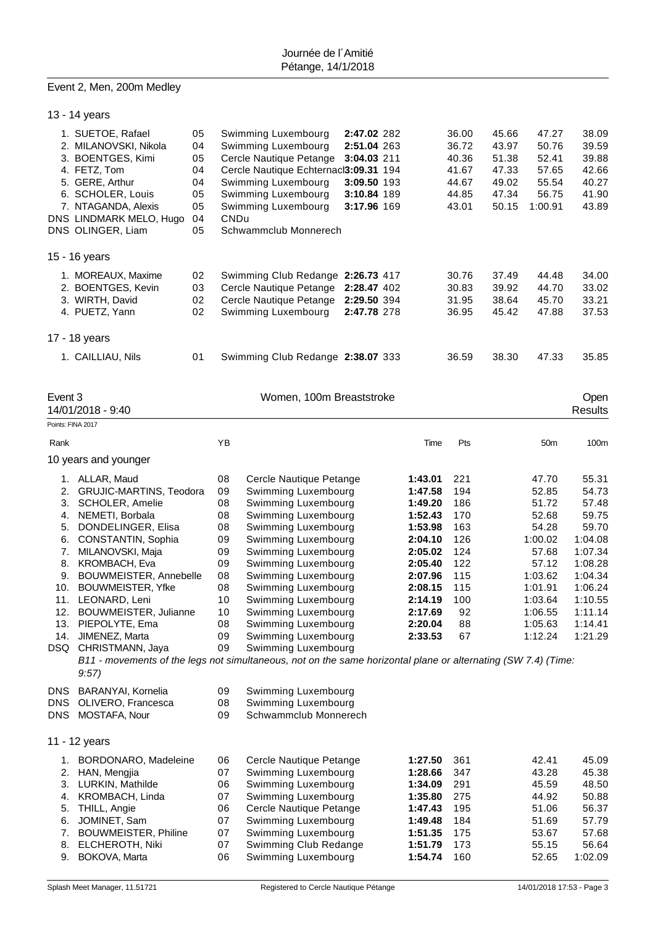# Event 2, Men, 200m Medley

|                                         | 13 - 14 years                                                                                                                                                                                                                                                                                                                                                                                                                                                        |                                                    |                                                                                        |                                                                                                                                                                                                                                                                                                                                                           |                                                                                        |                                                                                                                                                        |                                                                                             |                                                             |                                                                                                                                          |                                                                                                                                              |
|-----------------------------------------|----------------------------------------------------------------------------------------------------------------------------------------------------------------------------------------------------------------------------------------------------------------------------------------------------------------------------------------------------------------------------------------------------------------------------------------------------------------------|----------------------------------------------------|----------------------------------------------------------------------------------------|-----------------------------------------------------------------------------------------------------------------------------------------------------------------------------------------------------------------------------------------------------------------------------------------------------------------------------------------------------------|----------------------------------------------------------------------------------------|--------------------------------------------------------------------------------------------------------------------------------------------------------|---------------------------------------------------------------------------------------------|-------------------------------------------------------------|------------------------------------------------------------------------------------------------------------------------------------------|----------------------------------------------------------------------------------------------------------------------------------------------|
|                                         | 1. SUETOE, Rafael<br>2. MILANOVSKI, Nikola<br>3. BOENTGES, Kimi<br>4. FETZ, Tom<br>5. GERE, Arthur<br>6. SCHOLER, Louis<br>7. NTAGANDA, Alexis<br>DNS LINDMARK MELO, Hugo<br>DNS OLINGER, Liam                                                                                                                                                                                                                                                                       | 05<br>04<br>05<br>04<br>04<br>05<br>05<br>04<br>05 | <b>CNDu</b>                                                                            | Swimming Luxembourg<br>Swimming Luxembourg<br>Cercle Nautique Petange<br>Cercle Nautique Echternacl3:09.31 194<br>Swimming Luxembourg<br>Swimming Luxembourg<br>Swimming Luxembourg<br>Schwammclub Monnerech                                                                                                                                              | 2:47.02 282<br>2:51.04 263<br>3:04.03 211<br>3:09.50 193<br>3:10.84 189<br>3:17.96 169 |                                                                                                                                                        | 36.00<br>36.72<br>40.36<br>41.67<br>44.67<br>44.85<br>43.01                                 | 45.66<br>43.97<br>51.38<br>47.33<br>49.02<br>47.34<br>50.15 | 47.27<br>50.76<br>52.41<br>57.65<br>55.54<br>56.75<br>1:00.91                                                                            | 38.09<br>39.59<br>39.88<br>42.66<br>40.27<br>41.90<br>43.89                                                                                  |
|                                         | 15 - 16 years                                                                                                                                                                                                                                                                                                                                                                                                                                                        |                                                    |                                                                                        |                                                                                                                                                                                                                                                                                                                                                           |                                                                                        |                                                                                                                                                        |                                                                                             |                                                             |                                                                                                                                          |                                                                                                                                              |
|                                         | 1. MOREAUX, Maxime<br>2. BOENTGES, Kevin<br>3. WIRTH, David<br>4. PUETZ, Yann                                                                                                                                                                                                                                                                                                                                                                                        | 02<br>03<br>02<br>02                               |                                                                                        | Swimming Club Redange 2:26.73 417<br>Cercle Nautique Petange<br>Cercle Nautique Petange<br>Swimming Luxembourg                                                                                                                                                                                                                                            | 2:28.47 402<br>2:29.50 394<br>2:47.78 278                                              |                                                                                                                                                        | 30.76<br>30.83<br>31.95<br>36.95                                                            | 37.49<br>39.92<br>38.64<br>45.42                            | 44.48<br>44.70<br>45.70<br>47.88                                                                                                         | 34.00<br>33.02<br>33.21<br>37.53                                                                                                             |
|                                         | 17 - 18 years                                                                                                                                                                                                                                                                                                                                                                                                                                                        |                                                    |                                                                                        |                                                                                                                                                                                                                                                                                                                                                           |                                                                                        |                                                                                                                                                        |                                                                                             |                                                             |                                                                                                                                          |                                                                                                                                              |
|                                         | 1. CAILLIAU, Nils                                                                                                                                                                                                                                                                                                                                                                                                                                                    | 01                                                 |                                                                                        | Swimming Club Redange 2:38.07 333                                                                                                                                                                                                                                                                                                                         |                                                                                        |                                                                                                                                                        | 36.59                                                                                       | 38.30                                                       | 47.33                                                                                                                                    | 35.85                                                                                                                                        |
| Event 3                                 | 14/01/2018 - 9:40                                                                                                                                                                                                                                                                                                                                                                                                                                                    |                                                    |                                                                                        | Women, 100m Breaststroke                                                                                                                                                                                                                                                                                                                                  |                                                                                        |                                                                                                                                                        |                                                                                             |                                                             |                                                                                                                                          | Open<br><b>Results</b>                                                                                                                       |
| Points: FINA 2017                       |                                                                                                                                                                                                                                                                                                                                                                                                                                                                      |                                                    |                                                                                        |                                                                                                                                                                                                                                                                                                                                                           |                                                                                        |                                                                                                                                                        |                                                                                             |                                                             |                                                                                                                                          |                                                                                                                                              |
| Rank                                    |                                                                                                                                                                                                                                                                                                                                                                                                                                                                      |                                                    | YB                                                                                     |                                                                                                                                                                                                                                                                                                                                                           |                                                                                        | Time                                                                                                                                                   | Pts                                                                                         |                                                             | 50 <sub>m</sub>                                                                                                                          | 100m                                                                                                                                         |
|                                         | 10 years and younger                                                                                                                                                                                                                                                                                                                                                                                                                                                 |                                                    |                                                                                        |                                                                                                                                                                                                                                                                                                                                                           |                                                                                        |                                                                                                                                                        |                                                                                             |                                                             |                                                                                                                                          |                                                                                                                                              |
| 2.<br>3.<br>4.<br>6.<br>7.<br>9.<br>11. | 1. ALLAR, Maud<br>GRUJIC-MARTINS, Teodora<br>SCHOLER, Amelie<br>NEMETI, Borbala<br>5. DONDELINGER, Elisa<br>CONSTANTIN, Sophia<br>MILANOVSKI, Maja<br>8. KROMBACH, Eva<br>BOUWMEISTER, Annebelle<br>10. BOUWMEISTER, Yfke<br>LEONARD, Leni<br>12. BOUWMEISTER, Julianne<br>13. PIEPOLYTE, Ema<br>14. JIMENEZ, Marta<br>DSQ CHRISTMANN, Jaya<br>B11 - movements of the legs not simultaneous, not on the same horizontal plane or alternating (SW 7.4) (Time:<br>9:57 |                                                    | 08<br>09<br>08<br>08<br>08<br>09<br>09<br>09<br>08<br>08<br>10<br>10<br>08<br>09<br>09 | Cercle Nautique Petange<br>Swimming Luxembourg<br>Swimming Luxembourg<br>Swimming Luxembourg<br>Swimming Luxembourg<br>Swimming Luxembourg<br>Swimming Luxembourg<br>Swimming Luxembourg<br>Swimming Luxembourg<br>Swimming Luxembourg<br>Swimming Luxembourg<br>Swimming Luxembourg<br>Swimming Luxembourg<br>Swimming Luxembourg<br>Swimming Luxembourg |                                                                                        | 1:43.01<br>1:47.58<br>1:49.20<br>1:52.43<br>1:53.98<br>2:04.10<br>2:05.02<br>2:05.40<br>2:07.96<br>2:08.15<br>2:14.19<br>2:17.69<br>2:20.04<br>2:33.53 | 221<br>194<br>186<br>170<br>163<br>126<br>124<br>122<br>115<br>115<br>100<br>92<br>88<br>67 |                                                             | 47.70<br>52.85<br>51.72<br>52.68<br>54.28<br>1:00.02<br>57.68<br>57.12<br>1:03.62<br>1:01.91<br>1:03.64<br>1:06.55<br>1:05.63<br>1:12.24 | 55.31<br>54.73<br>57.48<br>59.75<br>59.70<br>1:04.08<br>1:07.34<br>1:08.28<br>1:04.34<br>1:06.24<br>1:10.55<br>1:11.14<br>1:14.41<br>1:21.29 |
| <b>DNS</b><br>DNS                       | BARANYAI, Kornelia<br>DNS OLIVERO, Francesca<br>MOSTAFA, Nour                                                                                                                                                                                                                                                                                                                                                                                                        |                                                    | 09<br>08<br>09                                                                         | Swimming Luxembourg<br>Swimming Luxembourg<br>Schwammclub Monnerech                                                                                                                                                                                                                                                                                       |                                                                                        |                                                                                                                                                        |                                                                                             |                                                             |                                                                                                                                          |                                                                                                                                              |
|                                         | 11 - 12 years                                                                                                                                                                                                                                                                                                                                                                                                                                                        |                                                    |                                                                                        |                                                                                                                                                                                                                                                                                                                                                           |                                                                                        |                                                                                                                                                        |                                                                                             |                                                             |                                                                                                                                          |                                                                                                                                              |
| 2.<br>4.<br>5.<br>6.<br>7.<br>8.        | 1. BORDONARO, Madeleine<br>HAN, Mengjia<br>3. LURKIN, Mathilde<br>KROMBACH, Linda<br>THILL, Angie<br>JOMINET, Sam<br><b>BOUWMEISTER, Philine</b><br><b>ELCHEROTH, Niki</b><br>9. BOKOVA, Marta                                                                                                                                                                                                                                                                       |                                                    | 06<br>07<br>06<br>07<br>06<br>07<br>07<br>07<br>06                                     | Cercle Nautique Petange<br>Swimming Luxembourg<br>Swimming Luxembourg<br>Swimming Luxembourg<br>Cercle Nautique Petange<br>Swimming Luxembourg<br>Swimming Luxembourg<br>Swimming Club Redange<br>Swimming Luxembourg                                                                                                                                     |                                                                                        | 1:27.50<br>1:28.66<br>1:34.09<br>1:35.80<br>1:47.43<br>1:49.48<br>1:51.35<br>1:51.79<br>1:54.74                                                        | 361<br>347<br>291<br>275<br>195<br>184<br>175<br>173<br>160                                 |                                                             | 42.41<br>43.28<br>45.59<br>44.92<br>51.06<br>51.69<br>53.67<br>55.15<br>52.65                                                            | 45.09<br>45.38<br>48.50<br>50.88<br>56.37<br>57.79<br>57.68<br>56.64<br>1:02.09                                                              |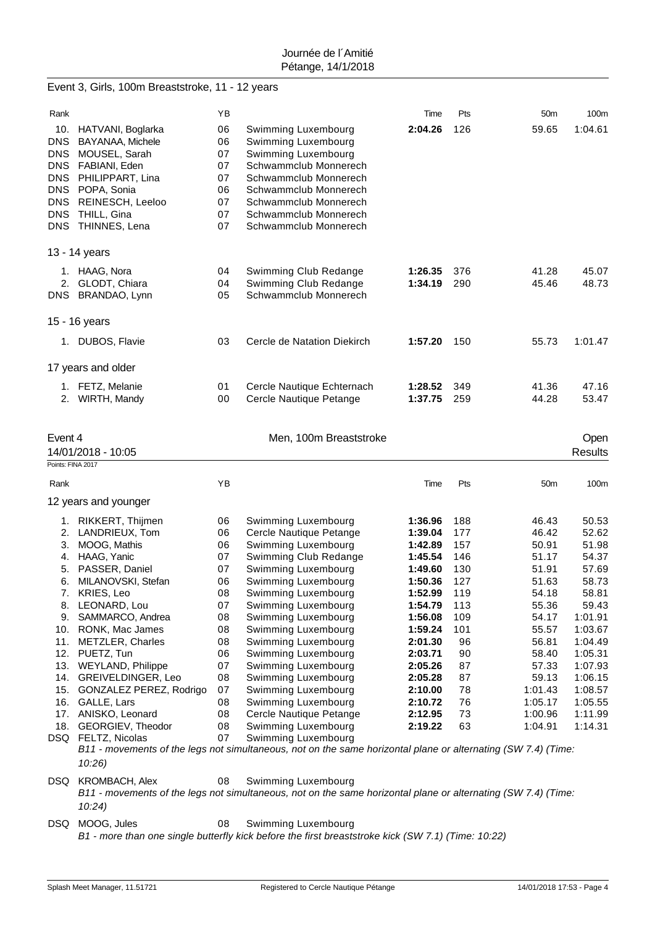|                                                                            | Event 3, Girls, 100m Breaststroke, 11 - 12 years                                                                                                                       |                                                    |                                                                                                                                                                                                                         |                    |            |                    |                        |
|----------------------------------------------------------------------------|------------------------------------------------------------------------------------------------------------------------------------------------------------------------|----------------------------------------------------|-------------------------------------------------------------------------------------------------------------------------------------------------------------------------------------------------------------------------|--------------------|------------|--------------------|------------------------|
| Rank                                                                       |                                                                                                                                                                        | YB                                                 |                                                                                                                                                                                                                         | Time               | Pts        | 50m                | 100m                   |
| 10.<br><b>DNS</b><br><b>DNS</b><br>DNS<br><b>DNS</b><br><b>DNS</b><br>DNS. | HATVANI, Boglarka<br>BAYANAA, Michele<br>DNS MOUSEL, Sarah<br>DNS FABIANI, Eden<br>PHILIPPART, Lina<br>POPA, Sonia<br>REINESCH, Leeloo<br>THILL, Gina<br>THINNES, Lena | 06<br>06<br>07<br>07<br>07<br>06<br>07<br>07<br>07 | Swimming Luxembourg<br>Swimming Luxembourg<br>Swimming Luxembourg<br>Schwammclub Monnerech<br>Schwammclub Monnerech<br>Schwammclub Monnerech<br>Schwammclub Monnerech<br>Schwammclub Monnerech<br>Schwammclub Monnerech | 2:04.26            | 126        | 59.65              | 1:04.61                |
|                                                                            | 13 - 14 years                                                                                                                                                          |                                                    |                                                                                                                                                                                                                         |                    |            |                    |                        |
|                                                                            | 1. HAAG, Nora<br>2. GLODT, Chiara<br>DNS BRANDAO, Lynn                                                                                                                 | 04<br>04<br>05                                     | Swimming Club Redange<br>Swimming Club Redange<br>Schwammclub Monnerech                                                                                                                                                 | 1:26.35<br>1:34.19 | 376<br>290 | 41.28<br>45.46     | 45.07<br>48.73         |
|                                                                            | 15 - 16 years                                                                                                                                                          |                                                    |                                                                                                                                                                                                                         |                    |            |                    |                        |
|                                                                            | 1. DUBOS, Flavie                                                                                                                                                       | 03                                                 | Cercle de Natation Diekirch                                                                                                                                                                                             | 1:57.20            | 150        | 55.73              | 1:01.47                |
|                                                                            | 17 years and older                                                                                                                                                     |                                                    |                                                                                                                                                                                                                         |                    |            |                    |                        |
|                                                                            | 1. FETZ, Melanie<br>2. WIRTH, Mandy                                                                                                                                    | 01<br>00                                           | Cercle Nautique Echternach<br>Cercle Nautique Petange                                                                                                                                                                   | 1:28.52<br>1:37.75 | 349<br>259 | 41.36<br>44.28     | 47.16<br>53.47         |
| Event 4                                                                    | 14/01/2018 - 10:05                                                                                                                                                     |                                                    | Men, 100m Breaststroke                                                                                                                                                                                                  |                    |            |                    | Open<br><b>Results</b> |
| Points: FINA 2017                                                          |                                                                                                                                                                        |                                                    |                                                                                                                                                                                                                         |                    |            |                    |                        |
|                                                                            |                                                                                                                                                                        |                                                    |                                                                                                                                                                                                                         |                    |            |                    |                        |
| Rank                                                                       |                                                                                                                                                                        | YB                                                 |                                                                                                                                                                                                                         | Time               | Pts        | 50 <sub>m</sub>    | 100m                   |
|                                                                            | 12 years and younger                                                                                                                                                   |                                                    |                                                                                                                                                                                                                         |                    |            |                    |                        |
| 2.                                                                         | 1. RIKKERT, Thijmen                                                                                                                                                    | 06<br>06                                           | Swimming Luxembourg                                                                                                                                                                                                     | 1:36.96            | 188<br>177 | 46.43              | 50.53                  |
| 3.                                                                         | LANDRIEUX, Tom<br>MOOG, Mathis                                                                                                                                         | 06                                                 | Cercle Nautique Petange<br>Swimming Luxembourg                                                                                                                                                                          | 1:39.04<br>1:42.89 | 157        | 46.42<br>50.91     | 52.62<br>51.98         |
| 4.                                                                         | HAAG, Yanic                                                                                                                                                            | 07                                                 | Swimming Club Redange                                                                                                                                                                                                   | 1:45.54            | 146        | 51.17              | 54.37                  |
| 5.                                                                         | PASSER, Daniel                                                                                                                                                         | 07                                                 | Swimming Luxembourg                                                                                                                                                                                                     | 1:49.60            | 130        | 51.91              | 57.69                  |
|                                                                            | 6. MILANOVSKI, Stefan                                                                                                                                                  | 06                                                 | Swimming Luxembourg                                                                                                                                                                                                     | 1:50.36            | 127        | 51.63              | 58.73                  |
|                                                                            | 7. KRIES, Leo                                                                                                                                                          | 08                                                 | Swimming Luxembourg                                                                                                                                                                                                     | 1:52.99            | 119        | 54.18              | 58.81                  |
|                                                                            | 8. LEONARD, Lou                                                                                                                                                        | 07                                                 | Swimming Luxembourg                                                                                                                                                                                                     | 1:54.79            | 113        | 55.36              | 59.43                  |
|                                                                            | 9. SAMMARCO, Andrea                                                                                                                                                    | 08                                                 | Swimming Luxembourg                                                                                                                                                                                                     | 1:56.08            | 109        | 54.17              | 1:01.91                |
|                                                                            | 10. RONK, Mac James<br>11. METZLER, Charles                                                                                                                            | 08<br>08                                           | Swimming Luxembourg<br>Swimming Luxembourg                                                                                                                                                                              | 1:59.24<br>2:01.30 | 101<br>96  | 55.57<br>56.81     | 1:03.67<br>1:04.49     |
|                                                                            | 12. PUETZ, Tun                                                                                                                                                         | 06                                                 | Swimming Luxembourg                                                                                                                                                                                                     | 2:03.71            | 90         | 58.40              | 1:05.31                |
|                                                                            | 13. WEYLAND, Philippe                                                                                                                                                  | 07                                                 | Swimming Luxembourg                                                                                                                                                                                                     | 2:05.26            | 87         | 57.33              | 1:07.93                |
|                                                                            | 14. GREIVELDINGER, Leo                                                                                                                                                 | 08                                                 | Swimming Luxembourg                                                                                                                                                                                                     | 2:05.28            | 87         | 59.13              | 1:06.15                |
|                                                                            | 15. GONZALEZ PEREZ, Rodrigo                                                                                                                                            | 07                                                 | Swimming Luxembourg                                                                                                                                                                                                     | 2:10.00            | 78         | 1:01.43            | 1:08.57                |
|                                                                            | 16. GALLE, Lars                                                                                                                                                        | 08                                                 | Swimming Luxembourg                                                                                                                                                                                                     | 2:10.72            | 76         | 1:05.17            | 1:05.55                |
|                                                                            | 17. ANISKO, Leonard<br>18. GEORGIEV, Theodor                                                                                                                           | 08<br>08                                           | Cercle Nautique Petange                                                                                                                                                                                                 | 2:12.95<br>2:19.22 | 73<br>63   | 1:00.96<br>1:04.91 | 1:11.99<br>1:14.31     |
|                                                                            | DSQ FELTZ, Nicolas                                                                                                                                                     | 07                                                 | Swimming Luxembourg<br>Swimming Luxembourg<br>B11 - movements of the legs not simultaneous, not on the same horizontal plane or alternating (SW 7.4) (Time:                                                             |                    |            |                    |                        |
|                                                                            | 10:26                                                                                                                                                                  |                                                    |                                                                                                                                                                                                                         |                    |            |                    |                        |
| DSQ                                                                        | <b>KROMBACH, Alex</b>                                                                                                                                                  | 08                                                 | Swimming Luxembourg                                                                                                                                                                                                     |                    |            |                    |                        |
|                                                                            | 10:24                                                                                                                                                                  |                                                    | B11 - movements of the legs not simultaneous, not on the same horizontal plane or alternating (SW 7.4) (Time:                                                                                                           |                    |            |                    |                        |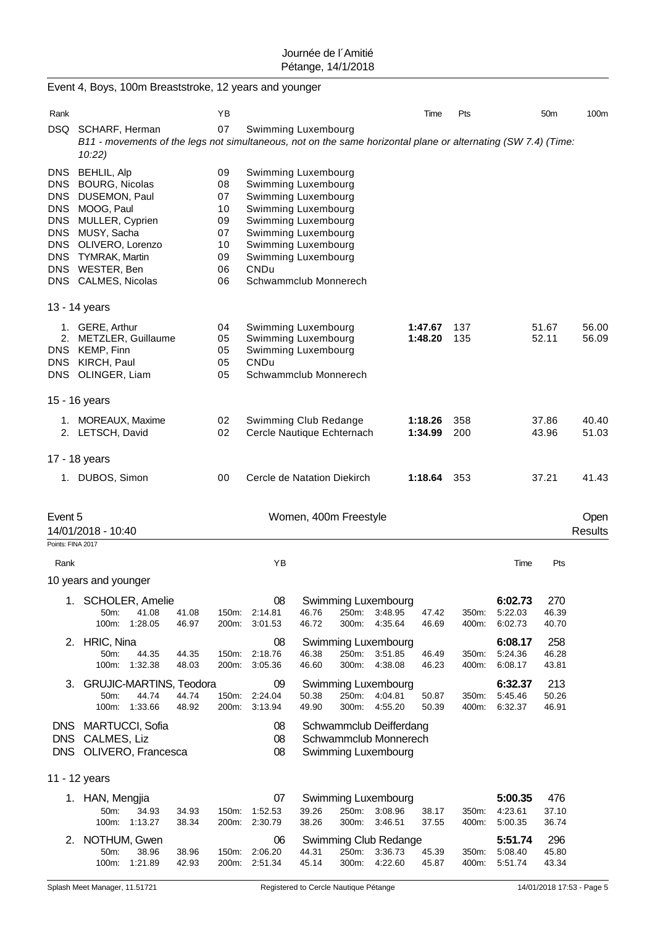|                                                                                    | Event 4, Boys, 100m Breaststroke, 12 years and younger                                                                                                                                              |                |                                                          |                                                                                                                                                                                                                       |                       |                   |                                                                         |                    |                |                               |                       |                        |
|------------------------------------------------------------------------------------|-----------------------------------------------------------------------------------------------------------------------------------------------------------------------------------------------------|----------------|----------------------------------------------------------|-----------------------------------------------------------------------------------------------------------------------------------------------------------------------------------------------------------------------|-----------------------|-------------------|-------------------------------------------------------------------------|--------------------|----------------|-------------------------------|-----------------------|------------------------|
| Rank                                                                               |                                                                                                                                                                                                     |                | ΥB                                                       |                                                                                                                                                                                                                       |                       |                   |                                                                         | Time               | Pts            |                               | 50 <sub>m</sub>       | 100m                   |
| DSQ                                                                                | SCHARF, Herman<br>B11 - movements of the legs not simultaneous, not on the same horizontal plane or alternating (SW 7.4) (Time:<br>10:22)                                                           |                | 07                                                       | Swimming Luxembourg                                                                                                                                                                                                   |                       |                   |                                                                         |                    |                |                               |                       |                        |
| DNS.<br>DNS.<br>DNS<br><b>DNS</b><br><b>DNS</b><br><b>DNS</b><br>DNS<br><b>DNS</b> | <b>BEHLIL, Alp</b><br><b>BOURG, Nicolas</b><br>DUSEMON, Paul<br>MOOG, Paul<br>MULLER, Cyprien<br>MUSY, Sacha<br>OLIVERO, Lorenzo<br><b>TYMRAK, Martin</b><br>DNS WESTER, Ben<br>DNS CALMES, Nicolas |                | 09<br>08<br>07<br>10<br>09<br>07<br>10<br>09<br>06<br>06 | Swimming Luxembourg<br>Swimming Luxembourg<br>Swimming Luxembourg<br>Swimming Luxembourg<br>Swimming Luxembourg<br>Swimming Luxembourg<br>Swimming Luxembourg<br>Swimming Luxembourg<br>CNDu<br>Schwammclub Monnerech |                       |                   |                                                                         |                    |                |                               |                       |                        |
|                                                                                    | 13 - 14 years                                                                                                                                                                                       |                |                                                          |                                                                                                                                                                                                                       |                       |                   |                                                                         |                    |                |                               |                       |                        |
| <b>DNS</b><br><b>DNS</b><br>DNS                                                    | 1. GERE, Arthur<br>2. METZLER, Guillaume<br>KEMP, Finn<br>KIRCH, Paul<br>OLINGER, Liam                                                                                                              |                | 04<br>05<br>05<br>05<br>05                               | Swimming Luxembourg<br>Swimming Luxembourg<br>Swimming Luxembourg<br>CNDu<br>Schwammclub Monnerech                                                                                                                    |                       |                   |                                                                         | 1:47.67<br>1:48.20 | 137<br>135     |                               | 51.67<br>52.11        | 56.00<br>56.09         |
|                                                                                    | 15 - 16 years                                                                                                                                                                                       |                |                                                          |                                                                                                                                                                                                                       |                       |                   |                                                                         |                    |                |                               |                       |                        |
|                                                                                    | 1. MOREAUX, Maxime<br>2. LETSCH, David                                                                                                                                                              |                | 02<br>02                                                 | Swimming Club Redange<br>Cercle Nautique Echternach                                                                                                                                                                   |                       |                   |                                                                         | 1:18.26<br>1:34.99 | 358<br>200     |                               | 37.86<br>43.96        | 40.40<br>51.03         |
|                                                                                    | 17 - 18 years                                                                                                                                                                                       |                |                                                          |                                                                                                                                                                                                                       |                       |                   |                                                                         |                    |                |                               |                       |                        |
|                                                                                    | 1. DUBOS, Simon                                                                                                                                                                                     |                | 00                                                       | Cercle de Natation Diekirch                                                                                                                                                                                           |                       |                   |                                                                         | 1:18.64            | 353            |                               | 37.21                 | 41.43                  |
| Event 5<br>Points: FINA 2017                                                       | 14/01/2018 - 10:40                                                                                                                                                                                  |                |                                                          |                                                                                                                                                                                                                       | Women, 400m Freestyle |                   |                                                                         |                    |                |                               |                       | Open<br><b>Results</b> |
| Rank                                                                               |                                                                                                                                                                                                     |                |                                                          | ΥB                                                                                                                                                                                                                    |                       |                   |                                                                         |                    |                | Time                          | Pts                   |                        |
|                                                                                    | 10 years and younger                                                                                                                                                                                |                |                                                          |                                                                                                                                                                                                                       |                       |                   |                                                                         |                    |                |                               |                       |                        |
|                                                                                    | 1. SCHOLER, Amelie<br>41.08<br>50m:<br>100m: 1:28.05                                                                                                                                                | 41.08<br>46.97 | 150m:<br>200m:                                           | 08<br>2:14.81<br>3:01.53                                                                                                                                                                                              | 46.76<br>46.72        | 250m:<br>300m:    | Swimming Luxembourg<br>3:48.95<br>4:35.64                               | 47.42<br>46.69     | 350m:<br>400m: | 6:02.73<br>5:22.03<br>6:02.73 | 270<br>46.39<br>40.70 |                        |
|                                                                                    | 2. HRIC, Nina<br>50m:<br>44.35<br>100m: 1:32.38                                                                                                                                                     | 44.35<br>48.03 | 150m:<br>200m:                                           | 08<br>2:18.76<br>3:05.36                                                                                                                                                                                              | 46.38<br>46.60        | 250m:<br>$300m$ : | Swimming Luxembourg<br>3:51.85<br>4:38.08                               | 46.49<br>46.23     | 350m:<br>400m: | 6:08.17<br>5:24.36<br>6:08.17 | 258<br>46.28<br>43.81 |                        |
|                                                                                    | 3. GRUJIC-MARTINS, Teodora<br>44.74<br>50m:<br>100m: 1:33.66                                                                                                                                        | 44.74<br>48.92 | 150m:<br>200m:                                           | 09<br>2:24.04<br>3:13.94                                                                                                                                                                                              | 50.38<br>49.90        | 250m:<br>300m:    | Swimming Luxembourg<br>4:04.81<br>4:55.20                               | 50.87<br>50.39     | 350m:<br>400m: | 6:32.37<br>5:45.46<br>6:32.37 | 213<br>50.26<br>46.91 |                        |
|                                                                                    | DNS MARTUCCI, Sofia<br>DNS CALMES, Liz<br>DNS OLIVERO, Francesca                                                                                                                                    |                |                                                          | 08<br>08<br>08                                                                                                                                                                                                        |                       |                   | Schwammclub Deifferdang<br>Schwammclub Monnerech<br>Swimming Luxembourg |                    |                |                               |                       |                        |
|                                                                                    | 11 - 12 years                                                                                                                                                                                       |                |                                                          |                                                                                                                                                                                                                       |                       |                   |                                                                         |                    |                |                               |                       |                        |
|                                                                                    | 1. HAN, Mengjia<br>34.93<br>50m:<br>100m: 1:13.27                                                                                                                                                   | 34.93<br>38.34 | 150m:<br>200m:                                           | 07<br>1:52.53<br>2:30.79                                                                                                                                                                                              | 39.26<br>38.26        | 250m:<br>300m:    | Swimming Luxembourg<br>3:08.96<br>3:46.51                               | 38.17<br>37.55     | 350m:<br>400m: | 5:00.35<br>4:23.61<br>5:00.35 | 476<br>37.10<br>36.74 |                        |
|                                                                                    | 2. NOTHUM, Gwen<br>38.96<br>50m:<br>100m: 1:21.89                                                                                                                                                   | 38.96<br>42.93 | 150m:<br>200m:                                           | 06<br>2:06.20<br>2:51.34                                                                                                                                                                                              | 44.31<br>45.14        | 250m:<br>300m:    | Swimming Club Redange<br>3:36.73<br>4:22.60                             | 45.39<br>45.87     | 350m:<br>400m: | 5:51.74<br>5:08.40<br>5:51.74 | 296<br>45.80<br>43.34 |                        |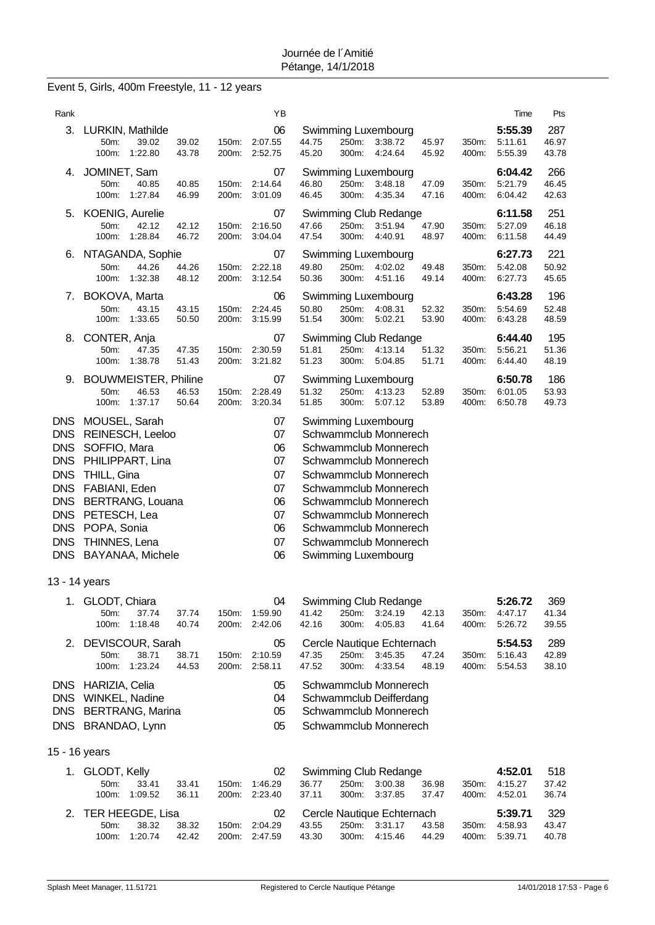# Event 5, Girls, 400m Freestyle, 11 - 12 years

| Rank                                                                                                                                                   |                                                                                                                                                                                                      |                | YB                                                             |                |                |                                                                                                                                                                                                                                                                             |                |                | Time                          | Pts                   |
|--------------------------------------------------------------------------------------------------------------------------------------------------------|------------------------------------------------------------------------------------------------------------------------------------------------------------------------------------------------------|----------------|----------------------------------------------------------------|----------------|----------------|-----------------------------------------------------------------------------------------------------------------------------------------------------------------------------------------------------------------------------------------------------------------------------|----------------|----------------|-------------------------------|-----------------------|
| 3.                                                                                                                                                     | LURKIN, Mathilde<br>39.02<br>39.02<br>50m:<br>100m:<br>1:22.80<br>43.78                                                                                                                              | 150m:<br>200m: | 06<br>2:07.55<br>2:52.75                                       | 44.75<br>45.20 | 250m:<br>300m: | Swimming Luxembourg<br>3:38.72<br>4:24.64                                                                                                                                                                                                                                   | 45.97<br>45.92 | 350m:<br>400m: | 5:55.39<br>5:11.61<br>5:55.39 | 287<br>46.97<br>43.78 |
| 4.                                                                                                                                                     | JOMINET, Sam<br>40.85<br>40.85<br>50m:<br>100m:<br>1:27.84<br>46.99                                                                                                                                  | 150m:<br>200m: | 07<br>2:14.64<br>3:01.09                                       | 46.80<br>46.45 | 250m:<br>300m: | Swimming Luxembourg<br>3:48.18<br>4:35.34                                                                                                                                                                                                                                   | 47.09<br>47.16 | 350m:<br>400m: | 6:04.42<br>5:21.79<br>6:04.42 | 266<br>46.45<br>42.63 |
| 5.                                                                                                                                                     | KOENIG, Aurelie<br>50m:<br>42.12<br>42.12<br>100m:<br>1:28.84<br>46.72                                                                                                                               | 150m:<br>200m: | 07<br>2:16.50<br>3:04.04                                       | 47.66<br>47.54 | 250m:<br>300m: | Swimming Club Redange<br>3:51.94<br>4:40.91                                                                                                                                                                                                                                 | 47.90<br>48.97 | 350m:<br>400m: | 6:11.58<br>5:27.09<br>6:11.58 | 251<br>46.18<br>44.49 |
| 6.                                                                                                                                                     | NTAGANDA, Sophie<br>50m:<br>44.26<br>44.26<br>100m:<br>1:32.38<br>48.12                                                                                                                              | 150m:<br>200m: | 07<br>2:22.18<br>3:12.54                                       | 49.80<br>50.36 | 250m:<br>300m: | Swimming Luxembourg<br>4:02.02<br>4:51.16                                                                                                                                                                                                                                   | 49.48<br>49.14 | 350m:<br>400m: | 6:27.73<br>5:42.08<br>6:27.73 | 221<br>50.92<br>45.65 |
| 7.                                                                                                                                                     | BOKOVA, Marta<br>50m:<br>43.15<br>43.15<br>100m:<br>1:33.65<br>50.50                                                                                                                                 | 150m:<br>200m: | 06<br>2:24.45<br>3:15.99                                       | 50.80<br>51.54 | 250m:<br>300m: | Swimming Luxembourg<br>4:08.31<br>5:02.21                                                                                                                                                                                                                                   | 52.32<br>53.90 | 350m:<br>400m: | 6:43.28<br>5:54.69<br>6:43.28 | 196<br>52.48<br>48.59 |
| 8.                                                                                                                                                     | CONTER, Anja<br>50m:<br>47.35<br>47.35<br>100m:<br>1:38.78<br>51.43                                                                                                                                  | 150m:<br>200m: | 07<br>2:30.59<br>3:21.82                                       | 51.81<br>51.23 | 250m:<br>300m: | Swimming Club Redange<br>4:13.14<br>5:04.85                                                                                                                                                                                                                                 | 51.32<br>51.71 | 350m:<br>400m: | 6:44.40<br>5:56.21<br>6:44.40 | 195<br>51.36<br>48.19 |
| 9.                                                                                                                                                     | <b>BOUWMEISTER, Philine</b><br>50m:<br>46.53<br>46.53<br>100m:<br>1:37.17<br>50.64                                                                                                                   | 150m:<br>200m: | 07<br>2:28.49<br>3:20.34                                       | 51.32<br>51.85 | 250m:<br>300m: | Swimming Luxembourg<br>4:13.23<br>5:07.12                                                                                                                                                                                                                                   | 52.89<br>53.89 | 350m:<br>400m: | 6:50.78<br>6:01.05<br>6:50.78 | 186<br>53.93<br>49.73 |
| <b>DNS</b><br><b>DNS</b><br><b>DNS</b><br><b>DNS</b><br><b>DNS</b><br><b>DNS</b><br><b>DNS</b><br><b>DNS</b><br><b>DNS</b><br><b>DNS</b><br><b>DNS</b> | MOUSEL, Sarah<br>REINESCH, Leeloo<br>SOFFIO, Mara<br>PHILIPPART, Lina<br>THILL, Gina<br>FABIANI, Eden<br><b>BERTRANG, Louana</b><br>PETESCH, Lea<br>POPA, Sonia<br>THINNES, Lena<br>BAYANAA, Michele |                | 07<br>07<br>06<br>07<br>07<br>07<br>06<br>07<br>06<br>07<br>06 |                |                | Swimming Luxembourg<br>Schwammclub Monnerech<br>Schwammclub Monnerech<br>Schwammclub Monnerech<br>Schwammclub Monnerech<br>Schwammclub Monnerech<br>Schwammclub Monnerech<br>Schwammclub Monnerech<br>Schwammclub Monnerech<br>Schwammclub Monnerech<br>Swimming Luxembourg |                |                |                               |                       |
| 13 - 14 years                                                                                                                                          |                                                                                                                                                                                                      |                |                                                                |                |                |                                                                                                                                                                                                                                                                             |                |                |                               |                       |
| 1.                                                                                                                                                     | GLODT, Chiara<br>50m:<br>37.74<br>37.74<br>100m:<br>1:18.48<br>40.74                                                                                                                                 | 150m:<br>200m: | 04<br>1:59.90<br>2:42.06                                       | 41.42<br>42.16 | 250m:<br>300m: | Swimming Club Redange<br>3:24.19<br>4:05.83                                                                                                                                                                                                                                 | 42.13<br>41.64 | 350m:<br>400m: | 5:26.72<br>4:47.17<br>5:26.72 | 369<br>41.34<br>39.55 |
| 2.                                                                                                                                                     | DEVISCOUR, Sarah<br>50m:<br>38.71<br>38.71<br>100m:<br>1:23.24<br>44.53                                                                                                                              | 150m:<br>200m: | 05<br>2:10.59<br>2:58.11                                       | 47.35<br>47.52 | 250m:<br>300m: | Cercle Nautique Echternach<br>3:45.35<br>4:33.54                                                                                                                                                                                                                            | 47.24<br>48.19 | 350m:<br>400m: | 5:54.53<br>5:16.43<br>5:54.53 | 289<br>42.89<br>38.10 |
| <b>DNS</b><br><b>DNS</b><br><b>DNS</b>                                                                                                                 | HARIZIA, Celia<br>WINKEL, Nadine<br><b>BERTRANG, Marina</b><br>DNS BRANDAO, Lynn                                                                                                                     |                | 05<br>04<br>05<br>05                                           |                |                | Schwammclub Monnerech<br>Schwammclub Deifferdang<br>Schwammclub Monnerech<br>Schwammclub Monnerech                                                                                                                                                                          |                |                |                               |                       |
| 15 - 16 years                                                                                                                                          |                                                                                                                                                                                                      |                |                                                                |                |                |                                                                                                                                                                                                                                                                             |                |                |                               |                       |
|                                                                                                                                                        | 1. GLODT, Kelly<br>50m:<br>33.41<br>33.41<br>1:09.52<br>100m:<br>36.11                                                                                                                               | 150m:<br>200m: | 02<br>1:46.29<br>2:23.40                                       | 36.77<br>37.11 | 250m:<br>300m: | Swimming Club Redange<br>3:00.38<br>3:37.85                                                                                                                                                                                                                                 | 36.98<br>37.47 | 350m:<br>400m: | 4:52.01<br>4:15.27<br>4:52.01 | 518<br>37.42<br>36.74 |
| 2.                                                                                                                                                     | <b>TER HEEGDE, Lisa</b><br>50m:<br>38.32<br>38.32<br>1:20.74<br>100m:<br>42.42                                                                                                                       | 150m:<br>200m: | 02<br>2:04.29<br>2:47.59                                       | 43.55<br>43.30 | 250m:<br>300m: | Cercle Nautique Echternach<br>3:31.17<br>4:15.46                                                                                                                                                                                                                            | 43.58<br>44.29 | 350m:<br>400m: | 5:39.71<br>4:58.93<br>5:39.71 | 329<br>43.47<br>40.78 |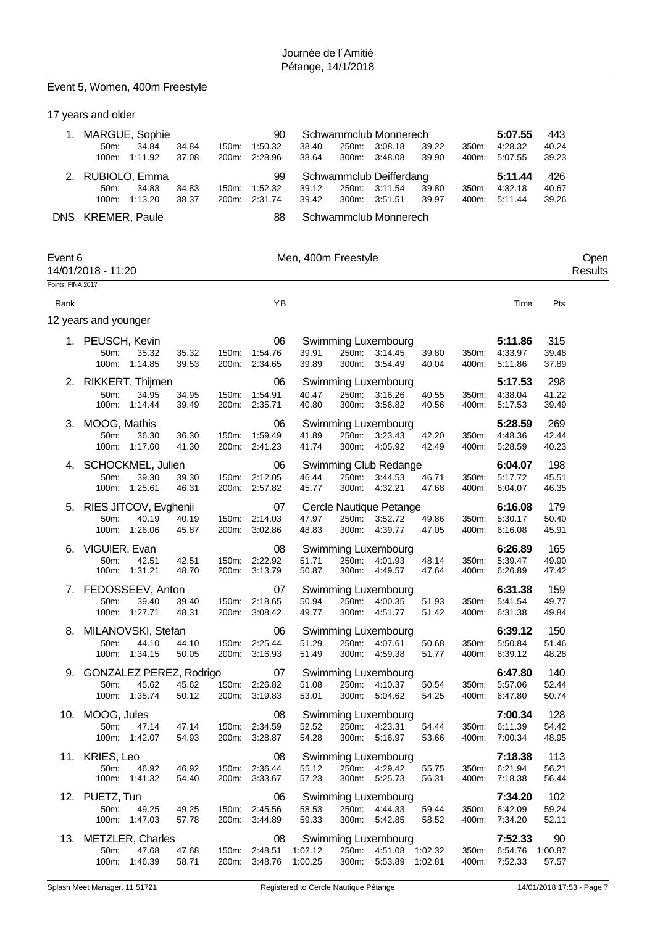# Event 5, Women, 400m Freestyle

|                   | 17 years and older                                           |                                  |                                      |                                  |                                                                       |                |                |                               |                        |                 |
|-------------------|--------------------------------------------------------------|----------------------------------|--------------------------------------|----------------------------------|-----------------------------------------------------------------------|----------------|----------------|-------------------------------|------------------------|-----------------|
| 1.                | MARGUE, Sophie<br>34.84<br>50m:<br>100m:<br>1:11.92          | 34.84<br>150m:<br>37.08<br>200m: | 90<br>1:50.32<br>2:28.96             | 38.40<br>250m:<br>38.64<br>300m: | Schwammclub Monnerech<br>3:08.18<br>3:48.08                           | 39.22<br>39.90 | 350m:<br>400m: | 5:07.55<br>4:28.32<br>5:07.55 | 443<br>40.24<br>39.23  |                 |
| 2.                | RUBIOLO, Emma<br>50m:<br>34.83<br>100m:<br>1:13.20           | 34.83<br>150m:<br>38.37          | 99<br>1:52.32<br>200m: 2:31.74       | 250m:<br>39.12<br>39.42<br>300m: | Schwammclub Deifferdang<br>3:11.54<br>3:51.51                         | 39.80<br>39.97 | 350m:<br>400m: | 5:11.44<br>4:32.18<br>5:11.44 | 426<br>40.67<br>39.26  |                 |
|                   | DNS KREMER, Paule                                            |                                  | 88                                   |                                  | Schwammclub Monnerech                                                 |                |                |                               |                        |                 |
| Event 6           | 14/01/2018 - 11:20                                           |                                  |                                      | Men, 400m Freestyle              |                                                                       |                |                |                               |                        | Open<br>Results |
| Points: FINA 2017 |                                                              |                                  |                                      |                                  |                                                                       |                |                |                               |                        |                 |
| Rank              |                                                              |                                  | YB                                   |                                  |                                                                       |                |                | Time                          | Pts                    |                 |
|                   | 12 years and younger                                         |                                  |                                      |                                  |                                                                       |                |                |                               |                        |                 |
|                   | 1. PEUSCH, Kevin<br>35.32<br>50m:<br>100m: 1:14.85           | 35.32<br>150m:<br>39.53          | 06<br>1:54.76<br>200m: 2:34.65       | 39.91<br>250m:<br>39.89<br>300m: | Swimming Luxembourg<br>3:14.45<br>3:54.49                             | 39.80<br>40.04 | 350m:<br>400m: | 5:11.86<br>4:33.97<br>5:11.86 | 315<br>39.48<br>37.89  |                 |
|                   | 2. RIKKERT, Thijmen<br>50m:<br>34.95<br>100m: 1:14.44        | 34.95<br>150m:<br>39.49          | 06<br>1:54.91<br>200m: 2:35.71       | 40.47<br>250m:<br>40.80<br>300m: | Swimming Luxembourg<br>3:16.26<br>3.56.82                             | 40.55<br>40.56 | 350m:<br>400m: | 5:17.53<br>4:38.04<br>5:17.53 | 298<br>41.22<br>39.49  |                 |
| З.                | MOOG, Mathis<br>50m:<br>36.30<br>100m:<br>1:17.60            | 36.30<br>150m:<br>41.30          | 06<br>1:59.49<br>200m: 2:41.23       | 250m:<br>41.89<br>41.74<br>300m: | Swimming Luxembourg<br>3:23.43<br>4:05.92                             | 42.20<br>42.49 | 350m:<br>400m: | 5:28.59<br>4:48.36<br>5:28.59 | 269<br>42.44<br>40.23  |                 |
| 4.                | SCHOCKMEL, Julien<br>50m:<br>39.30<br>100m:<br>1:25.61       | 39.30<br>150m:<br>46.31          | 06<br>2:12.05<br>200m: 2:57.82       | 250m:<br>46.44<br>300m:<br>45.77 | Swimming Club Redange<br>3:44.53<br>4:32.21                           | 46.71<br>47.68 | 350m:<br>400m: | 6:04.07<br>5:17.72<br>6:04.07 | 198<br>45.51<br>46.35  |                 |
| 5.                | RIES JITCOV, Evghenii<br>50m:<br>40.19<br>100m:<br>1:26.06   | 40.19<br>150m:<br>45.87<br>200m: | 07<br>2:14.03<br>3:02.86             | 47.97<br>250m:<br>48.83<br>300m: | Cercle Nautique Petange<br>3:52.72<br>4:39.77                         | 49.86<br>47.05 | 350m:<br>400m: | 6:16.08<br>5:30.17<br>6:16.08 | 179<br>50.40<br>45.91  |                 |
| 6.                | VIGUIER, Evan<br>50m:<br>42.51<br>100m:<br>1:31.21           | 42.51<br>150m:<br>48.70<br>200m: | 08<br>2:22.92<br>3:13.79             | 250m:<br>51.71<br>50.87<br>300m: | Swimming Luxembourg<br>4:01.93<br>4:49.57                             | 48.14<br>47.64 | 350m:<br>400m: | 6:26.89<br>5:39.47<br>6:26.89 | 165<br>49.90<br>47.42  |                 |
|                   | 7. FEDOSSEEV, Anton<br>50m:<br>39.40<br>100m:<br>1:27.71     | 39.40<br>48.31                   | 07<br>150m: 2:18.65<br>200m: 3:08.42 | 50.94<br>49.77<br>300m:          | Swimming Luxembourg<br>250m:<br>4:00.35<br>4:51.77                    | 51.93<br>51.42 | 350m:<br>400m: | 6:31.38<br>5:41.54<br>6:31.38 | 159<br>49.77<br>49.84  |                 |
|                   | 8. MILANOVSKI, Stefan<br>44.10<br>50m:<br>100m: 1:34.15      | 44.10<br>50.05                   | 06<br>150m: 2:25.44<br>200m: 3:16.93 | 51.29<br>51.49                   | Swimming Luxembourg<br>250m: 4:07.61<br>300m:<br>4:59.38              | 50.68<br>51.77 | 350m:<br>400m: | 6:39.12<br>5:50.84<br>6:39.12 | 150<br>51.46<br>48.28  |                 |
|                   | 9. GONZALEZ PEREZ, Rodrigo<br>50m:<br>45.62<br>100m: 1:35.74 | 45.62<br>50.12                   | 07<br>150m: 2:26.82<br>200m: 3:19.83 | 51.08<br>53.01                   | Swimming Luxembourg<br>250m: 4:10.37<br>300m: 5:04.62                 | 50.54<br>54.25 | 350m:<br>400m: | 6:47.80<br>5:57.06<br>6:47.80 | 140<br>52.44<br>50.74  |                 |
|                   | 10. MOOG, Jules<br>50m:<br>47.14<br>100m: 1:42.07            | 47.14<br>54.93                   | 08<br>150m: 2:34.59<br>200m: 3:28.87 | 52.52<br>54.28                   | Swimming Luxembourg<br>250m: 4:23.31<br>300m:<br>5:16.97              | 54.44<br>53.66 | 350m:<br>400m: | 7:00.34<br>6:11.39<br>7:00.34 | 128<br>54.42<br>48.95  |                 |
|                   | 11. KRIES, Leo<br>50m:<br>46.92<br>100m: 1:41.32             | 46.92<br>54.40                   | 08<br>150m: 2:36.44<br>200m: 3:33.67 | 55.12<br>57.23                   | <b>Swimming Luxembourg</b><br>250m: 4:29.42<br>300m:<br>5:25.73       | 55.75<br>56.31 | 350m:<br>400m: | 7:18.38<br>6:21.94<br>7:18.38 | 113<br>56.21<br>56.44  |                 |
|                   | 12. PUETZ, Tun<br>50m:<br>49.25<br>100m: 1:47.03             | 49.25<br>57.78                   | 06<br>150m: 2:45.56<br>200m: 3:44.89 | 58.53<br>59.33                   | <b>Swimming Luxembourg</b><br>250m: 4:44.33<br>300m: 5:42.85          | 59.44<br>58.52 | 350m:<br>400m: | 7:34.20<br>6:42.09<br>7:34.20 | 102<br>59.24<br>52.11  |                 |
|                   | 13. METZLER, Charles<br>47.68<br>50m:<br>100m: 1:46.39       | 47.68<br>58.71                   | 08<br>150m: 2:48.51<br>200m: 3:48.76 | 1:02.12<br>1:00.25               | Swimming Luxembourg<br>250m: 4:51.08 1:02.32<br>300m: 5:53.89 1:02.81 |                | 350m:<br>400m: | 7:52.33<br>6:54.76<br>7:52.33 | 90<br>1:00.87<br>57.57 |                 |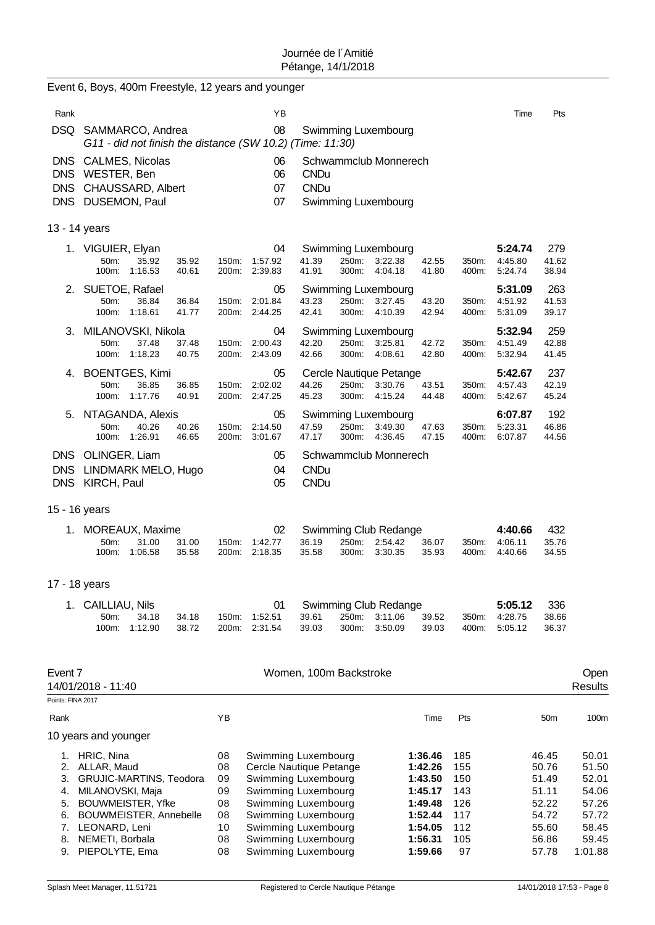|                                        | Event 6, Boys, 400m Freestyle, 12 years and younger                                                                                             |                                            |                                                                                                                                                                   |                                                                           |                                               |                               |                                                             |                                                             |
|----------------------------------------|-------------------------------------------------------------------------------------------------------------------------------------------------|--------------------------------------------|-------------------------------------------------------------------------------------------------------------------------------------------------------------------|---------------------------------------------------------------------------|-----------------------------------------------|-------------------------------|-------------------------------------------------------------|-------------------------------------------------------------|
| Rank                                   |                                                                                                                                                 | YB                                         |                                                                                                                                                                   |                                                                           |                                               | Time                          | Pts                                                         |                                                             |
|                                        | DSQ SAMMARCO, Andrea<br>G11 - did not finish the distance (SW 10.2) (Time: 11:30)                                                               | 08                                         | Swimming Luxembourg                                                                                                                                               |                                                                           |                                               |                               |                                                             |                                                             |
|                                        | DNS CALMES, Nicolas<br>DNS WESTER, Ben<br>DNS CHAUSSARD, Albert<br>DNS DUSEMON, Paul                                                            | 06<br>06<br>07<br>07                       | Schwammclub Monnerech<br><b>CNDu</b><br><b>CNDu</b><br>Swimming Luxembourg                                                                                        |                                                                           |                                               |                               |                                                             |                                                             |
|                                        | 13 - 14 years                                                                                                                                   |                                            |                                                                                                                                                                   |                                                                           |                                               |                               |                                                             |                                                             |
|                                        | 1. VIGUIER, Elyan<br>50m:<br>35.92<br>35.92<br>100m:<br>1:16.53<br>40.61                                                                        | 04<br>1:57.92<br>150m:<br>200m: 2:39.83    | Swimming Luxembourg<br>41.39<br>250m:<br>3:22.38<br>41.91<br>300m:<br>4:04.18                                                                                     | 42.55<br>41.80                                                            | 350m:<br>400m:                                | 5:24.74<br>4:45.80<br>5:24.74 | 279<br>41.62<br>38.94                                       |                                                             |
|                                        | 2. SUETOE, Rafael<br>50m:<br>36.84<br>36.84<br>100m:<br>1:18.61<br>41.77                                                                        | 05<br>2:01.84<br>150m:<br>2:44.25<br>200m: | Swimming Luxembourg<br>43.23<br>250m:<br>3:27.45<br>42.41<br>300m:<br>4:10.39                                                                                     | 43.20<br>42.94                                                            | 350m:<br>400m:                                | 5:31.09<br>4:51.92<br>5:31.09 | 263<br>41.53<br>39.17                                       |                                                             |
| 3.                                     | MILANOVSKI, Nikola<br>50m:<br>37.48<br>37.48<br>100m:<br>1:18.23<br>40.75                                                                       | 04<br>150m:<br>2:00.43<br>200m:<br>2:43.09 | Swimming Luxembourg<br>42.20<br>250m:<br>3:25.81<br>42.66<br>300m:<br>4:08.61                                                                                     | 42.72<br>42.80                                                            | 350m:<br>400m:                                | 5:32.94<br>4:51.49<br>5:32.94 | 259<br>42.88<br>41.45                                       |                                                             |
| 4.                                     | <b>BOENTGES, Kimi</b><br>50m:<br>36.85<br>36.85<br>100m: 1:17.76<br>40.91                                                                       | 05<br>2:02.02<br>150m:<br>200m: 2:47.25    | Cercle Nautique Petange<br>44.26<br>250m:<br>3:30.76<br>45.23<br>300m:<br>4:15.24                                                                                 | 43.51<br>44.48                                                            | 350m:<br>400m:                                | 5:42.67<br>4:57.43<br>5:42.67 | 237<br>42.19<br>45.24                                       |                                                             |
|                                        | 5. NTAGANDA, Alexis<br>50m:<br>40.26<br>40.26<br>100m: 1:26.91<br>46.65                                                                         | 05<br>2:14.50<br>150m:<br>3:01.67<br>200m: | Swimming Luxembourg<br>47.59<br>250m:<br>3:49.30<br>47.17<br>300m:<br>4:36.45                                                                                     | 47.63<br>47.15                                                            | 350m:<br>400m:                                | 6:07.87<br>5:23.31<br>6:07.87 | 192<br>46.86<br>44.56                                       |                                                             |
| <b>DNS</b>                             | DNS OLINGER, Liam<br>LINDMARK MELO, Hugo<br>DNS KIRCH, Paul                                                                                     | 05<br>04<br>05                             | Schwammclub Monnerech<br><b>CNDu</b><br><b>CNDu</b>                                                                                                               |                                                                           |                                               |                               |                                                             |                                                             |
|                                        | 15 - 16 years                                                                                                                                   |                                            |                                                                                                                                                                   |                                                                           |                                               |                               |                                                             |                                                             |
| 1.                                     | MOREAUX, Maxime<br>50m:<br>31.00<br>31.00<br>1:06.58<br>35.58<br>100m:                                                                          | 02<br>150m:<br>1:42.77<br>2:18.35<br>200m: | Swimming Club Redange<br>36.19<br>250m:<br>2:54.42<br>35.58<br>300m:<br>3:30.35                                                                                   | 36.07<br>35.93                                                            | 350m:<br>400m:                                | 4:40.66<br>4:06.11<br>4:40.66 | 432<br>35.76<br>34.55                                       |                                                             |
|                                        | 17 - 18 years                                                                                                                                   |                                            |                                                                                                                                                                   |                                                                           |                                               |                               |                                                             |                                                             |
|                                        | 1. CAILLIAU, Nils<br>50m:<br>34.18<br>34.18<br>1:12.90<br>38.72<br>100m:                                                                        | 01<br>1:52.51<br>150m:<br>2:31.54<br>200m: | Swimming Club Redange<br>39.61<br>250m:<br>3:11.06<br>39.03<br>300m:<br>3:50.09                                                                                   | 39.52<br>39.03                                                            | 350m:<br>400m:                                | 5:05.12<br>4:28.75<br>5:05.12 | 336<br>38.66<br>36.37                                       |                                                             |
| Event 7                                |                                                                                                                                                 |                                            | Women, 100m Backstroke                                                                                                                                            |                                                                           |                                               |                               |                                                             | Open                                                        |
| Points: FINA 2017                      | 14/01/2018 - 11:40                                                                                                                              |                                            |                                                                                                                                                                   |                                                                           |                                               |                               |                                                             | Results                                                     |
| Rank                                   |                                                                                                                                                 | YB                                         |                                                                                                                                                                   | Time                                                                      | Pts                                           |                               | 50 <sub>m</sub>                                             | 100 <sub>m</sub>                                            |
|                                        | 10 years and younger                                                                                                                            |                                            |                                                                                                                                                                   |                                                                           |                                               |                               |                                                             |                                                             |
| 1.<br>2.<br>3.<br>4.<br>5.<br>6.<br>7. | HRIC, Nina<br>ALLAR, Maud<br>GRUJIC-MARTINS, Teodora<br>MILANOVSKI, Maja<br><b>BOUWMEISTER, Yfke</b><br>BOUWMEISTER, Annebelle<br>LEONARD, Leni | 08<br>08<br>09<br>09<br>08<br>08<br>10     | Swimming Luxembourg<br>Cercle Nautique Petange<br>Swimming Luxembourg<br>Swimming Luxembourg<br>Swimming Luxembourg<br>Swimming Luxembourg<br>Swimming Luxembourg | 1:36.46<br>1:42.26<br>1:43.50<br>1:45.17<br>1:49.48<br>1:52.44<br>1:54.05 | 185<br>155<br>150<br>143<br>126<br>117<br>112 |                               | 46.45<br>50.76<br>51.49<br>51.11<br>52.22<br>54.72<br>55.60 | 50.01<br>51.50<br>52.01<br>54.06<br>57.26<br>57.72<br>58.45 |
| 8.<br>9.                               | NEMETI, Borbala<br>PIEPOLYTE, Ema                                                                                                               | 08<br>08                                   | Swimming Luxembourg<br>Swimming Luxembourg                                                                                                                        | 1:56.31<br>1:59.66                                                        | 105<br>97                                     |                               | 56.86<br>57.78                                              | 59.45<br>1:01.88                                            |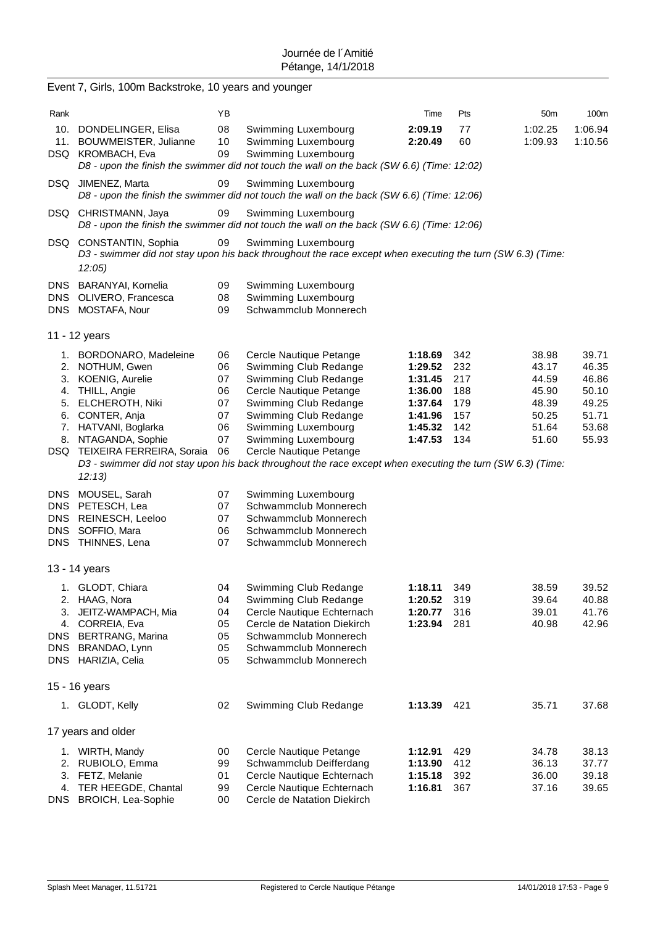|                          | Event 7, Girls, 100m Backstroke, 10 years and younger                                                                                                                                                               |                                                    |                                                                                                                                                                                                                                                                                                                                               |                                                                                      |                                                      |                                                                      |                                                                      |
|--------------------------|---------------------------------------------------------------------------------------------------------------------------------------------------------------------------------------------------------------------|----------------------------------------------------|-----------------------------------------------------------------------------------------------------------------------------------------------------------------------------------------------------------------------------------------------------------------------------------------------------------------------------------------------|--------------------------------------------------------------------------------------|------------------------------------------------------|----------------------------------------------------------------------|----------------------------------------------------------------------|
| Rank                     |                                                                                                                                                                                                                     | ΥB                                                 |                                                                                                                                                                                                                                                                                                                                               | Time                                                                                 | Pts                                                  | 50 <sub>m</sub>                                                      | 100m                                                                 |
|                          | 10. DONDELINGER, Elisa<br>11. BOUWMEISTER, Julianne<br>DSQ KROMBACH, Eva                                                                                                                                            | 08<br>10<br>09                                     | Swimming Luxembourg<br>Swimming Luxembourg<br>Swimming Luxembourg<br>D8 - upon the finish the swimmer did not touch the wall on the back (SW 6.6) (Time: 12:02)                                                                                                                                                                               | 2:09.19<br>2:20.49                                                                   | 77<br>60                                             | 1:02.25<br>1:09.93                                                   | 1:06.94<br>1:10.56                                                   |
|                          | DSQ JIMENEZ, Marta                                                                                                                                                                                                  | 09                                                 | Swimming Luxembourg<br>D8 - upon the finish the swimmer did not touch the wall on the back (SW 6.6) (Time: 12:06)                                                                                                                                                                                                                             |                                                                                      |                                                      |                                                                      |                                                                      |
|                          | DSQ CHRISTMANN, Jaya                                                                                                                                                                                                | 09                                                 | Swimming Luxembourg<br>D8 - upon the finish the swimmer did not touch the wall on the back (SW 6.6) (Time: 12:06)                                                                                                                                                                                                                             |                                                                                      |                                                      |                                                                      |                                                                      |
|                          | DSQ CONSTANTIN, Sophia<br>12:05)                                                                                                                                                                                    | 09                                                 | Swimming Luxembourg<br>D3 - swimmer did not stay upon his back throughout the race except when executing the turn (SW 6.3) (Time:                                                                                                                                                                                                             |                                                                                      |                                                      |                                                                      |                                                                      |
| <b>DNS</b>               | BARANYAI, Kornelia<br>DNS OLIVERO, Francesca<br>DNS MOSTAFA, Nour                                                                                                                                                   | 09<br>08<br>09                                     | Swimming Luxembourg<br>Swimming Luxembourg<br>Schwammclub Monnerech                                                                                                                                                                                                                                                                           |                                                                                      |                                                      |                                                                      |                                                                      |
|                          | 11 - 12 years                                                                                                                                                                                                       |                                                    |                                                                                                                                                                                                                                                                                                                                               |                                                                                      |                                                      |                                                                      |                                                                      |
| 4.                       | 1. BORDONARO, Madeleine<br>2. NOTHUM, Gwen<br>3. KOENIG, Aurelie<br>THILL, Angie<br>5. ELCHEROTH, Niki<br>6. CONTER, Anja<br>7. HATVANI, Boglarka<br>8. NTAGANDA, Sophie<br>DSQ TEIXEIRA FERREIRA, Soraia<br>12:13) | 06<br>06<br>07<br>06<br>07<br>07<br>06<br>07<br>06 | Cercle Nautique Petange<br>Swimming Club Redange<br>Swimming Club Redange<br>Cercle Nautique Petange<br>Swimming Club Redange<br>Swimming Club Redange<br>Swimming Luxembourg<br>Swimming Luxembourg<br>Cercle Nautique Petange<br>D3 - swimmer did not stay upon his back throughout the race except when executing the turn (SW 6.3) (Time: | 1:18.69<br>1:29.52<br>1:31.45<br>1:36.00<br>1:37.64<br>1:41.96<br>1:45.32<br>1:47.53 | 342<br>232<br>217<br>188<br>179<br>157<br>142<br>134 | 38.98<br>43.17<br>44.59<br>45.90<br>48.39<br>50.25<br>51.64<br>51.60 | 39.71<br>46.35<br>46.86<br>50.10<br>49.25<br>51.71<br>53.68<br>55.93 |
| <b>DNS</b><br><b>DNS</b> | MOUSEL, Sarah<br>DNS PETESCH, Lea<br>DNS REINESCH, Leeloo<br>SOFFIO, Mara<br>DNS THINNES, Lena                                                                                                                      | 07<br>07<br>07<br>06<br>07                         | Swimming Luxembourg<br>Schwammclub Monnerech<br>Schwammclub Monnerech<br>Schwammclub Monnerech<br>Schwammclub Monnerech                                                                                                                                                                                                                       |                                                                                      |                                                      |                                                                      |                                                                      |
|                          | 13 - 14 years                                                                                                                                                                                                       |                                                    |                                                                                                                                                                                                                                                                                                                                               |                                                                                      |                                                      |                                                                      |                                                                      |
| DNS<br>DNS               | 1. GLODT, Chiara<br>2. HAAG, Nora<br>3. JEITZ-WAMPACH, Mia<br>4. CORREIA, Eva<br><b>BERTRANG, Marina</b><br>BRANDAO, Lynn<br>DNS HARIZIA, Celia                                                                     | 04<br>04<br>04<br>05<br>05<br>05<br>05             | Swimming Club Redange<br>Swimming Club Redange<br>Cercle Nautique Echternach<br>Cercle de Natation Diekirch<br>Schwammclub Monnerech<br>Schwammclub Monnerech<br>Schwammclub Monnerech                                                                                                                                                        | 1:18.11<br>1:20.52<br>1:20.77<br>1:23.94                                             | 349<br>319<br>316<br>281                             | 38.59<br>39.64<br>39.01<br>40.98                                     | 39.52<br>40.88<br>41.76<br>42.96                                     |
|                          | 15 - 16 years                                                                                                                                                                                                       |                                                    |                                                                                                                                                                                                                                                                                                                                               |                                                                                      |                                                      |                                                                      |                                                                      |
|                          | 1. GLODT, Kelly                                                                                                                                                                                                     | 02                                                 | Swimming Club Redange                                                                                                                                                                                                                                                                                                                         | 1:13.39                                                                              | 421                                                  | 35.71                                                                | 37.68                                                                |
|                          | 17 years and older                                                                                                                                                                                                  |                                                    |                                                                                                                                                                                                                                                                                                                                               |                                                                                      |                                                      |                                                                      |                                                                      |
|                          | 1. WIRTH, Mandy<br>2. RUBIOLO, Emma<br>3. FETZ, Melanie<br>4. TER HEEGDE, Chantal<br>DNS BROICH, Lea-Sophie                                                                                                         | 00<br>99<br>01<br>99<br>00                         | Cercle Nautique Petange<br>Schwammclub Deifferdang<br>Cercle Nautique Echternach<br>Cercle Nautique Echternach<br>Cercle de Natation Diekirch                                                                                                                                                                                                 | 1:12.91<br>1:13.90<br>1:15.18<br>1:16.81                                             | 429<br>412<br>392<br>367                             | 34.78<br>36.13<br>36.00<br>37.16                                     | 38.13<br>37.77<br>39.18<br>39.65                                     |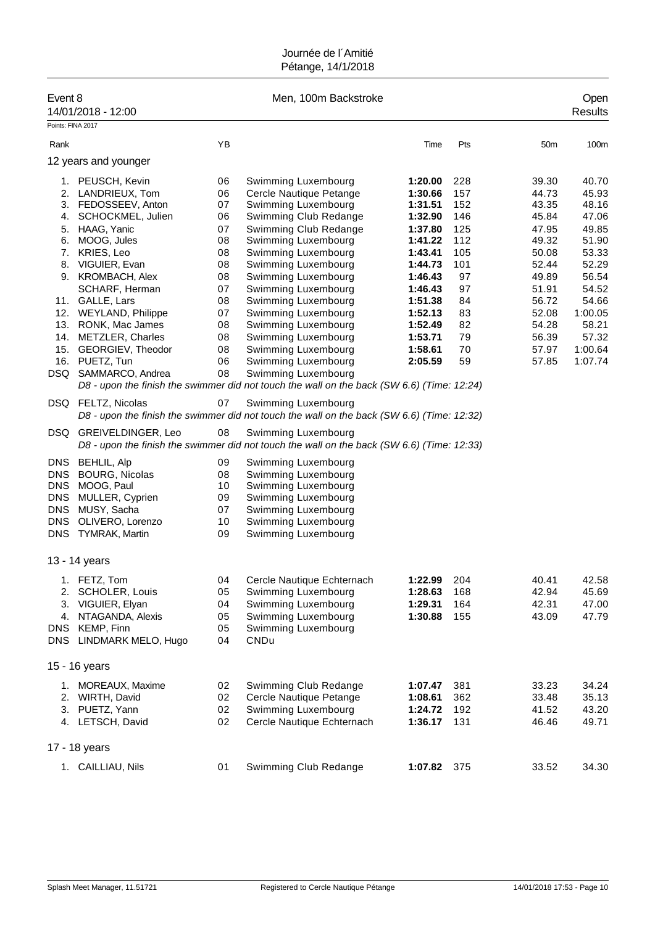| Event 8                                                                                 | 14/01/2018 - 12:00                                                                                                                       |                                        | Men, 100m Backstroke                                                                                                                                                                                                                                        |                                                                |                                  |                                                    | Open<br><b>Results</b>                                 |
|-----------------------------------------------------------------------------------------|------------------------------------------------------------------------------------------------------------------------------------------|----------------------------------------|-------------------------------------------------------------------------------------------------------------------------------------------------------------------------------------------------------------------------------------------------------------|----------------------------------------------------------------|----------------------------------|----------------------------------------------------|--------------------------------------------------------|
| Points: FINA 2017                                                                       |                                                                                                                                          |                                        |                                                                                                                                                                                                                                                             |                                                                |                                  |                                                    |                                                        |
| Rank                                                                                    |                                                                                                                                          | YB                                     |                                                                                                                                                                                                                                                             | Time                                                           | Pts                              | 50 <sub>m</sub>                                    | 100m                                                   |
|                                                                                         | 12 years and younger                                                                                                                     |                                        |                                                                                                                                                                                                                                                             |                                                                |                                  |                                                    |                                                        |
| 4.                                                                                      | 1. PEUSCH, Kevin<br>2. LANDRIEUX, Tom<br>3. FEDOSSEEV, Anton<br>SCHOCKMEL, Julien                                                        | 06<br>06<br>07<br>06                   | Swimming Luxembourg<br>Cercle Nautique Petange<br>Swimming Luxembourg<br>Swimming Club Redange                                                                                                                                                              | 1:20.00<br>1:30.66<br>1:31.51<br>1:32.90                       | 228<br>157<br>152<br>146         | 39.30<br>44.73<br>43.35<br>45.84                   | 40.70<br>45.93<br>48.16<br>47.06                       |
| 5.<br>6.<br>9.                                                                          | HAAG, Yanic<br>MOOG, Jules<br>7. KRIES, Leo<br>8. VIGUIER, Evan<br>KROMBACH, Alex                                                        | 07<br>08<br>08<br>08<br>08             | Swimming Club Redange<br>Swimming Luxembourg<br>Swimming Luxembourg<br>Swimming Luxembourg<br>Swimming Luxembourg                                                                                                                                           | 1:37.80<br>1:41.22<br>1:43.41<br>1:44.73<br>1:46.43            | 125<br>112<br>105<br>101<br>97   | 47.95<br>49.32<br>50.08<br>52.44<br>49.89          | 49.85<br>51.90<br>53.33<br>52.29<br>56.54              |
| 15.                                                                                     | SCHARF, Herman<br>11. GALLE, Lars<br>12. WEYLAND, Philippe<br>13. RONK, Mac James<br>14. METZLER, Charles<br>GEORGIEV, Theodor           | 07<br>08<br>07<br>08<br>08<br>08       | Swimming Luxembourg<br>Swimming Luxembourg<br>Swimming Luxembourg<br>Swimming Luxembourg<br>Swimming Luxembourg<br>Swimming Luxembourg                                                                                                                      | 1:46.43<br>1:51.38<br>1:52.13<br>1:52.49<br>1:53.71<br>1:58.61 | 97<br>84<br>83<br>82<br>79<br>70 | 51.91<br>56.72<br>52.08<br>54.28<br>56.39<br>57.97 | 54.52<br>54.66<br>1:00.05<br>58.21<br>57.32<br>1:00.64 |
|                                                                                         | 16. PUETZ, Tun<br>DSQ SAMMARCO, Andrea                                                                                                   | 06<br>08                               | Swimming Luxembourg<br>Swimming Luxembourg<br>D8 - upon the finish the swimmer did not touch the wall on the back (SW 6.6) (Time: 12:24)                                                                                                                    | 2:05.59                                                        | 59                               | 57.85                                              | 1:07.74                                                |
| DSQ                                                                                     | DSQ FELTZ, Nicolas<br>GREIVELDINGER, Leo                                                                                                 | 07<br>08                               | Swimming Luxembourg<br>D8 - upon the finish the swimmer did not touch the wall on the back (SW 6.6) (Time: 12:32)<br>Swimming Luxembourg                                                                                                                    |                                                                |                                  |                                                    |                                                        |
| DNS<br><b>DNS</b><br><b>DNS</b><br><b>DNS</b><br><b>DNS</b><br><b>DNS</b><br><b>DNS</b> | <b>BEHLIL, Alp</b><br><b>BOURG, Nicolas</b><br>MOOG, Paul<br>MULLER, Cyprien<br>MUSY, Sacha<br>OLIVERO, Lorenzo<br><b>TYMRAK, Martin</b> | 09<br>08<br>10<br>09<br>07<br>10<br>09 | D8 - upon the finish the swimmer did not touch the wall on the back (SW 6.6) (Time: 12:33)<br>Swimming Luxembourg<br>Swimming Luxembourg<br>Swimming Luxembourg<br>Swimming Luxembourg<br>Swimming Luxembourg<br>Swimming Luxembourg<br>Swimming Luxembourg |                                                                |                                  |                                                    |                                                        |
|                                                                                         | 13 - 14 years                                                                                                                            |                                        |                                                                                                                                                                                                                                                             |                                                                |                                  |                                                    |                                                        |
|                                                                                         | 1. FETZ, Tom<br>2. SCHOLER, Louis<br>3. VIGUIER, Elyan<br>4. NTAGANDA, Alexis<br>DNS KEMP, Finn<br>DNS LINDMARK MELO, Hugo               | 04<br>05<br>04<br>05<br>05<br>04       | Cercle Nautique Echternach<br>Swimming Luxembourg<br>Swimming Luxembourg<br>Swimming Luxembourg<br>Swimming Luxembourg<br><b>CNDu</b>                                                                                                                       | 1:22.99<br>1:28.63<br>1:29.31<br>1:30.88                       | 204<br>168<br>164<br>155         | 40.41<br>42.94<br>42.31<br>43.09                   | 42.58<br>45.69<br>47.00<br>47.79                       |
|                                                                                         | 15 - 16 years                                                                                                                            |                                        |                                                                                                                                                                                                                                                             |                                                                |                                  |                                                    |                                                        |
| 1.                                                                                      | MOREAUX, Maxime<br>2. WIRTH, David<br>3. PUETZ, Yann<br>4. LETSCH, David                                                                 | 02<br>02<br>02<br>02                   | Swimming Club Redange<br>Cercle Nautique Petange<br>Swimming Luxembourg<br>Cercle Nautique Echternach                                                                                                                                                       | 1:07.47<br>1:08.61<br>1:24.72<br>1:36.17                       | 381<br>362<br>192<br>131         | 33.23<br>33.48<br>41.52<br>46.46                   | 34.24<br>35.13<br>43.20<br>49.71                       |
|                                                                                         | 17 - 18 years                                                                                                                            |                                        |                                                                                                                                                                                                                                                             |                                                                |                                  |                                                    |                                                        |
|                                                                                         | 1. CAILLIAU, Nils                                                                                                                        | 01                                     | Swimming Club Redange                                                                                                                                                                                                                                       | 1:07.82 375                                                    |                                  | 33.52                                              | 34.30                                                  |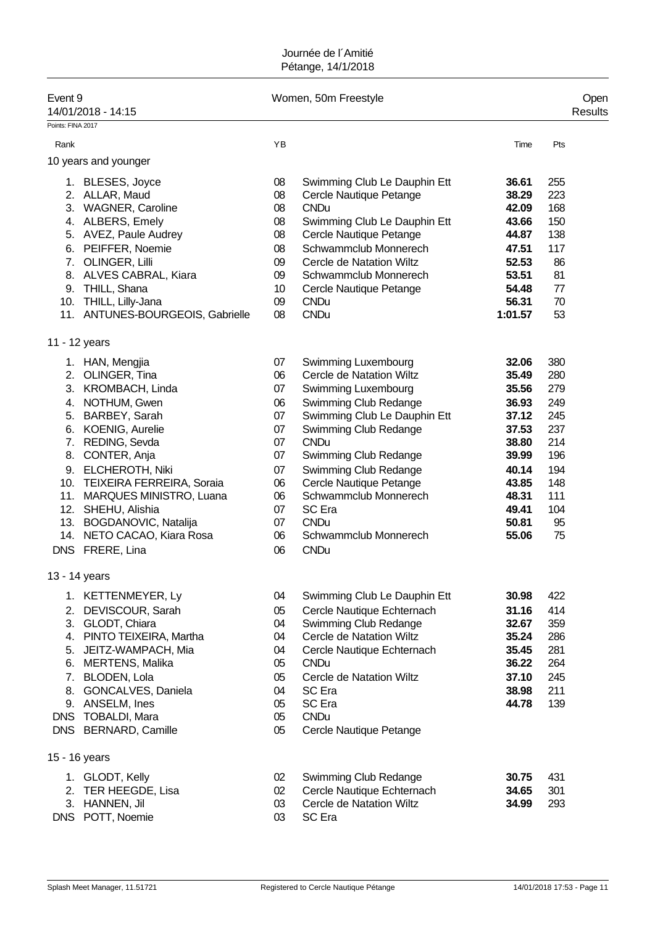| Event <sub>9</sub>                                         | 14/01/2018 - 14:15                                                                                                                                                                                                                                                                                                                            |                                                                                        | Women, 50m Freestyle                                                                                                                                                                                                                                                                                                                           |                                                                                                                            |                                                                                              | Open<br><b>Results</b> |
|------------------------------------------------------------|-----------------------------------------------------------------------------------------------------------------------------------------------------------------------------------------------------------------------------------------------------------------------------------------------------------------------------------------------|----------------------------------------------------------------------------------------|------------------------------------------------------------------------------------------------------------------------------------------------------------------------------------------------------------------------------------------------------------------------------------------------------------------------------------------------|----------------------------------------------------------------------------------------------------------------------------|----------------------------------------------------------------------------------------------|------------------------|
| Points: FINA 2017                                          |                                                                                                                                                                                                                                                                                                                                               |                                                                                        |                                                                                                                                                                                                                                                                                                                                                |                                                                                                                            |                                                                                              |                        |
| Rank                                                       |                                                                                                                                                                                                                                                                                                                                               | YB                                                                                     |                                                                                                                                                                                                                                                                                                                                                | Time                                                                                                                       | Pts                                                                                          |                        |
|                                                            | 10 years and younger                                                                                                                                                                                                                                                                                                                          |                                                                                        |                                                                                                                                                                                                                                                                                                                                                |                                                                                                                            |                                                                                              |                        |
| 3.<br>6.<br>7.<br>8.                                       | 1. BLESES, Joyce<br>2. ALLAR, Maud<br><b>WAGNER, Caroline</b><br>4. ALBERS, Emely<br>5. AVEZ, Paule Audrey<br>PEIFFER, Noemie<br>OLINGER, Lilli<br>ALVES CABRAL, Kiara<br>9. THILL, Shana<br>10. THILL, Lilly-Jana<br>11. ANTUNES-BOURGEOIS, Gabrielle                                                                                        | 08<br>08<br>08<br>08<br>08<br>08<br>09<br>09<br>10<br>09<br>08                         | Swimming Club Le Dauphin Ett<br>Cercle Nautique Petange<br><b>CNDu</b><br>Swimming Club Le Dauphin Ett<br>Cercle Nautique Petange<br>Schwammclub Monnerech<br>Cercle de Natation Wiltz<br>Schwammclub Monnerech<br>Cercle Nautique Petange<br><b>CNDu</b><br><b>CNDu</b>                                                                       | 36.61<br>38.29<br>42.09<br>43.66<br>44.87<br>47.51<br>52.53<br>53.51<br>54.48<br>56.31<br>1:01.57                          | 255<br>223<br>168<br>150<br>138<br>117<br>86<br>81<br>77<br>70<br>53                         |                        |
|                                                            | 11 - 12 years                                                                                                                                                                                                                                                                                                                                 |                                                                                        |                                                                                                                                                                                                                                                                                                                                                |                                                                                                                            |                                                                                              |                        |
| 2.<br>3.<br>4.                                             | 1. HAN, Mengjia<br>OLINGER, Tina<br>KROMBACH, Linda<br>NOTHUM, Gwen<br>5. BARBEY, Sarah<br>6. KOENIG, Aurelie<br>7. REDING, Sevda<br>8. CONTER, Anja<br>9. ELCHEROTH, Niki<br>10. TEIXEIRA FERREIRA, Soraia<br>11. MARQUES MINISTRO, Luana<br>12. SHEHU, Alishia<br>13. BOGDANOVIC, Natalija<br>14. NETO CACAO, Kiara Rosa<br>DNS FRERE, Lina | 07<br>06<br>07<br>06<br>07<br>07<br>07<br>07<br>07<br>06<br>06<br>07<br>07<br>06<br>06 | Swimming Luxembourg<br>Cercle de Natation Wiltz<br>Swimming Luxembourg<br>Swimming Club Redange<br>Swimming Club Le Dauphin Ett<br>Swimming Club Redange<br><b>CNDu</b><br>Swimming Club Redange<br>Swimming Club Redange<br>Cercle Nautique Petange<br>Schwammclub Monnerech<br>SC Era<br><b>CNDu</b><br>Schwammclub Monnerech<br><b>CNDu</b> | 32.06<br>35.49<br>35.56<br>36.93<br>37.12<br>37.53<br>38.80<br>39.99<br>40.14<br>43.85<br>48.31<br>49.41<br>50.81<br>55.06 | 380<br>280<br>279<br>249<br>245<br>237<br>214<br>196<br>194<br>148<br>111<br>104<br>95<br>75 |                        |
|                                                            | 13 - 14 years                                                                                                                                                                                                                                                                                                                                 |                                                                                        |                                                                                                                                                                                                                                                                                                                                                |                                                                                                                            |                                                                                              |                        |
| 2.<br>3.<br>4.<br>5.<br>6.<br>7.<br>8.<br>9.<br><b>DNS</b> | 1. KETTENMEYER, Ly<br>DEVISCOUR, Sarah<br>GLODT, Chiara<br>PINTO TEIXEIRA, Martha<br>JEITZ-WAMPACH, Mia<br><b>MERTENS, Malika</b><br>BLODEN, Lola<br>GONCALVES, Daniela<br>ANSELM, Ines<br><b>TOBALDI, Mara</b><br>DNS BERNARD, Camille                                                                                                       | 04<br>05<br>04<br>04<br>04<br>05<br>05<br>04<br>05<br>05<br>05                         | Swimming Club Le Dauphin Ett<br>Cercle Nautique Echternach<br>Swimming Club Redange<br>Cercle de Natation Wiltz<br>Cercle Nautique Echternach<br><b>CNDu</b><br><b>Cercle de Natation Wiltz</b><br>SC Era<br>SC Era<br><b>CNDu</b><br>Cercle Nautique Petange                                                                                  | 30.98<br>31.16<br>32.67<br>35.24<br>35.45<br>36.22<br>37.10<br>38.98<br>44.78                                              | 422<br>414<br>359<br>286<br>281<br>264<br>245<br>211<br>139                                  |                        |
|                                                            | 15 - 16 years                                                                                                                                                                                                                                                                                                                                 |                                                                                        |                                                                                                                                                                                                                                                                                                                                                |                                                                                                                            |                                                                                              |                        |
| 1.<br>2.<br>3.                                             | GLODT, Kelly<br>TER HEEGDE, Lisa<br>HANNEN, Jil<br>DNS POTT, Noemie                                                                                                                                                                                                                                                                           | 02<br>02<br>03<br>03                                                                   | Swimming Club Redange<br>Cercle Nautique Echternach<br>Cercle de Natation Wiltz<br>SC Era                                                                                                                                                                                                                                                      | 30.75<br>34.65<br>34.99                                                                                                    | 431<br>301<br>293                                                                            |                        |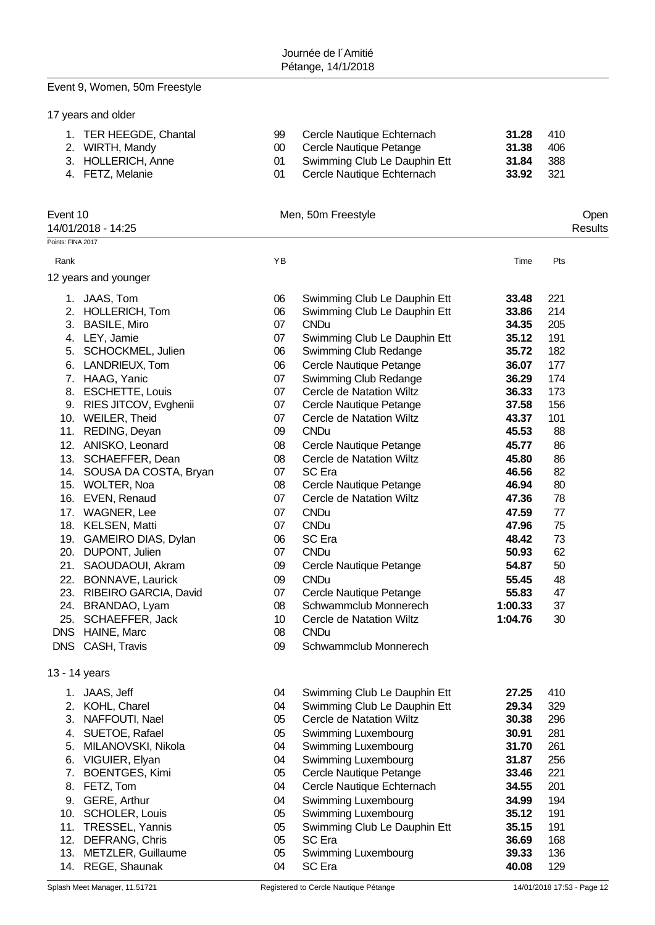# Event 9, Women, 50m Freestyle

|  |  |  | 17 years and older |  |
|--|--|--|--------------------|--|
|--|--|--|--------------------|--|

14/01/2018 - 14:25

| 1. TER HEEGDE, Chantal<br>2. WIRTH, Mandy<br>3. HOLLERICH, Anne | 99 Cercle Nautique Echternach<br>00 Cercle Nautique Petange<br>01 Swimming Club Le Dauphin Ett | 31.28<br>31.38<br>31.84 | -410<br>-406<br>- 388 |
|-----------------------------------------------------------------|------------------------------------------------------------------------------------------------|-------------------------|-----------------------|
| 4. FETZ, Melanie                                                | 01 Cercle Nautique Echternach                                                                  | 33.92                   | - 321                 |

Event 10 Open<br>
14/01/2018 - 14:25 Men, 50m Freestyle<br>
26 Menument Preestyle<br>
26 Menument Preestyle<br>
26 Menument Preestyle<br>
26 Menument Preestyle<br>
26 Menument Preestyle<br>
26 Menument Preestyle<br>
26 Menument Preestyle

| ⊃pen   |  |
|--------|--|
| esults |  |

| Points: FINA 2017 |                           |    |                                 |         |     |
|-------------------|---------------------------|----|---------------------------------|---------|-----|
| Rank              |                           | YB |                                 | Time    | Pts |
|                   | 12 years and younger      |    |                                 |         |     |
|                   | 1. JAAS, Tom              | 06 | Swimming Club Le Dauphin Ett    | 33.48   | 221 |
|                   | 2. HOLLERICH, Tom         | 06 | Swimming Club Le Dauphin Ett    | 33.86   | 214 |
| 3.                | <b>BASILE, Miro</b>       | 07 | <b>CNDu</b>                     | 34.35   | 205 |
|                   | 4. LEY, Jamie             | 07 | Swimming Club Le Dauphin Ett    | 35.12   | 191 |
|                   | 5. SCHOCKMEL, Julien      | 06 | Swimming Club Redange           | 35.72   | 182 |
|                   | 6. LANDRIEUX, Tom         | 06 | Cercle Nautique Petange         | 36.07   | 177 |
|                   | 7. HAAG, Yanic            | 07 | Swimming Club Redange           | 36.29   | 174 |
| 8.                | <b>ESCHETTE, Louis</b>    | 07 | Cercle de Natation Wiltz        | 36.33   | 173 |
|                   | 9. RIES JITCOV, Evghenii  | 07 | Cercle Nautique Petange         | 37.58   | 156 |
|                   | 10. WEILER, Theid         | 07 | Cercle de Natation Wiltz        | 43.37   | 101 |
|                   | 11. REDING, Deyan         | 09 | <b>CNDu</b>                     | 45.53   | 88  |
|                   | 12. ANISKO, Leonard       | 08 | Cercle Nautique Petange         | 45.77   | 86  |
| 13.               | SCHAEFFER, Dean           | 08 | Cercle de Natation Wiltz        | 45.80   | 86  |
|                   | 14. SOUSA DA COSTA, Bryan | 07 | SC Era                          | 46.56   | 82  |
|                   | 15. WOLTER, Noa           | 08 | Cercle Nautique Petange         | 46.94   | 80  |
|                   | 16. EVEN, Renaud          | 07 | Cercle de Natation Wiltz        | 47.36   | 78  |
|                   | 17. WAGNER, Lee           | 07 | <b>CNDu</b>                     | 47.59   | 77  |
|                   | 18. KELSEN, Matti         | 07 | <b>CNDu</b>                     | 47.96   | 75  |
|                   | 19. GAMEIRO DIAS, Dylan   | 06 | SC Era                          | 48.42   | 73  |
| 20.               | DUPONT, Julien            | 07 | <b>CNDu</b>                     | 50.93   | 62  |
|                   | 21. SAOUDAOUI, Akram      | 09 | Cercle Nautique Petange         | 54.87   | 50  |
|                   | 22. BONNAVE, Laurick      | 09 | <b>CNDu</b>                     | 55.45   | 48  |
|                   | 23. RIBEIRO GARCIA, David | 07 | Cercle Nautique Petange         | 55.83   | 47  |
|                   | 24. BRANDAO, Lyam         | 08 | Schwammclub Monnerech           | 1:00.33 | 37  |
|                   | 25. SCHAEFFER, Jack       | 10 | Cercle de Natation Wiltz        | 1:04.76 | 30  |
|                   | DNS HAINE, Marc           | 08 | <b>CNDu</b>                     |         |     |
|                   | DNS CASH, Travis          | 09 | Schwammclub Monnerech           |         |     |
|                   | 13 - 14 years             |    |                                 |         |     |
|                   | 1. JAAS, Jeff             | 04 | Swimming Club Le Dauphin Ett    | 27.25   | 410 |
|                   | 2. KOHL, Charel           | 04 | Swimming Club Le Dauphin Ett    | 29.34   | 329 |
|                   | 3. NAFFOUTI, Nael         | 05 | <b>Cercle de Natation Wiltz</b> | 30.38   | 296 |
| 4.                | SUETOE, Rafael            | 05 | Swimming Luxembourg             | 30.91   | 281 |
| 5.                | MILANOVSKI, Nikola        | 04 | Swimming Luxembourg             | 31.70   | 261 |
| 6.                | VIGUIER, Elyan            | 04 | Swimming Luxembourg             | 31.87   | 256 |
| 7.                | <b>BOENTGES, Kimi</b>     | 05 | Cercle Nautique Petange         | 33.46   | 221 |
| 8.                | FETZ, Tom                 | 04 | Cercle Nautique Echternach      | 34.55   | 201 |
| 9.                | GERE, Arthur              | 04 | Swimming Luxembourg             | 34.99   | 194 |
| 10.               | SCHOLER, Louis            | 05 | Swimming Luxembourg             | 35.12   | 191 |
| 11.               | TRESSEL, Yannis           | 05 | Swimming Club Le Dauphin Ett    | 35.15   | 191 |
| 12.               | DEFRANG, Chris            | 05 | SC Era                          | 36.69   | 168 |
| 13.               | METZLER, Guillaume        | 05 | Swimming Luxembourg             | 39.33   | 136 |
| 14.               | REGE, Shaunak             | 04 | SC Era                          | 40.08   | 129 |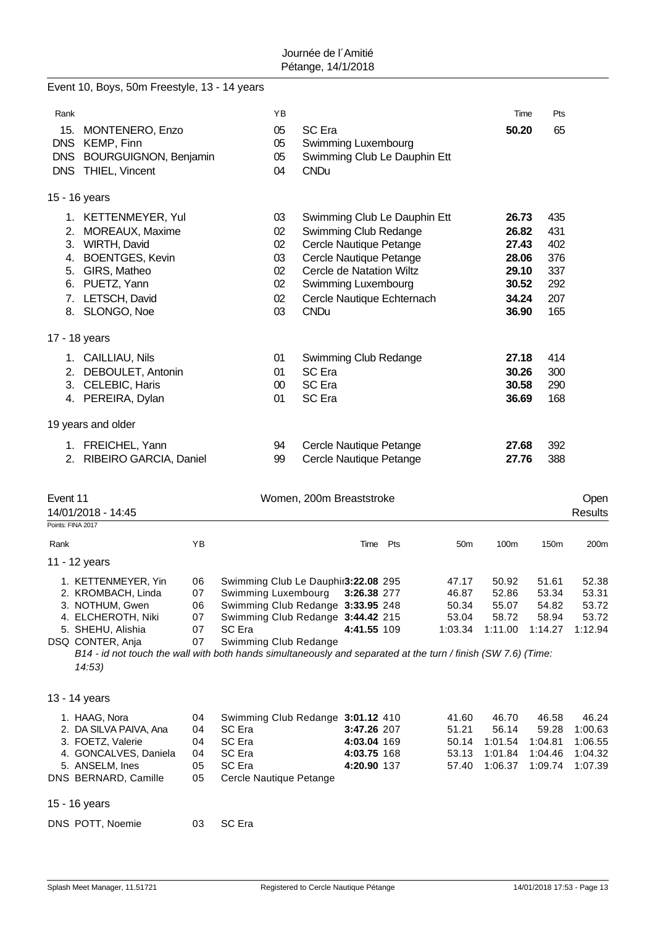|                                               | Event 10, Boys, 50m Freestyle, 13 - 14 years                                                                                                                                                                                                           |                                  |                                                                                                                                                                         |                                              |                                                     |                                                          |                                                                                                                                                                       |                                             |                                                                      |                                                      |                                                   |
|-----------------------------------------------|--------------------------------------------------------------------------------------------------------------------------------------------------------------------------------------------------------------------------------------------------------|----------------------------------|-------------------------------------------------------------------------------------------------------------------------------------------------------------------------|----------------------------------------------|-----------------------------------------------------|----------------------------------------------------------|-----------------------------------------------------------------------------------------------------------------------------------------------------------------------|---------------------------------------------|----------------------------------------------------------------------|------------------------------------------------------|---------------------------------------------------|
| Rank                                          |                                                                                                                                                                                                                                                        |                                  |                                                                                                                                                                         | ΥB                                           |                                                     |                                                          |                                                                                                                                                                       |                                             |                                                                      | Pts<br>Time                                          |                                                   |
| 15.<br><b>DNS</b><br><b>DNS</b><br><b>DNS</b> | <b>MONTENERO, Enzo</b><br>KEMP, Finn<br><b>BOURGUIGNON, Benjamin</b><br>THIEL, Vincent                                                                                                                                                                 |                                  |                                                                                                                                                                         | 05<br>05<br>05<br>04                         | <b>SC</b> Era<br>Swimming Luxembourg<br><b>CNDu</b> |                                                          | Swimming Club Le Dauphin Ett                                                                                                                                          |                                             | 50.20                                                                | 65                                                   |                                                   |
|                                               | 15 - 16 years                                                                                                                                                                                                                                          |                                  |                                                                                                                                                                         |                                              |                                                     |                                                          |                                                                                                                                                                       |                                             |                                                                      |                                                      |                                                   |
| 2.                                            | 1. KETTENMEYER, Yul<br>MOREAUX, Maxime<br>3. WIRTH, David<br>4. BOENTGES, Kevin<br>5. GIRS, Matheo<br>6. PUETZ, Yann<br>7. LETSCH, David<br>8. SLONGO, Noe                                                                                             |                                  |                                                                                                                                                                         | 03<br>02<br>02<br>03<br>02<br>02<br>02<br>03 | Swimming Luxembourg<br><b>CNDu</b>                  |                                                          | Swimming Club Le Dauphin Ett<br>Swimming Club Redange<br>Cercle Nautique Petange<br>Cercle Nautique Petange<br>Cercle de Natation Wiltz<br>Cercle Nautique Echternach |                                             | 26.73<br>26.82<br>27.43<br>28.06<br>29.10<br>30.52<br>34.24<br>36.90 | 435<br>431<br>402<br>376<br>337<br>292<br>207<br>165 |                                                   |
|                                               | 17 - 18 years                                                                                                                                                                                                                                          |                                  |                                                                                                                                                                         |                                              |                                                     |                                                          |                                                                                                                                                                       |                                             |                                                                      |                                                      |                                                   |
|                                               | 1. CAILLIAU, Nils<br>2. DEBOULET, Antonin<br>3. CELEBIC, Haris<br>4. PEREIRA, Dylan                                                                                                                                                                    |                                  |                                                                                                                                                                         | 01<br>01<br>00<br>01                         | SC Era<br>SC Era<br>SC Era                          |                                                          | Swimming Club Redange                                                                                                                                                 |                                             | 27.18<br>30.26<br>30.58<br>36.69                                     | 414<br>300<br>290<br>168                             |                                                   |
|                                               | 19 years and older                                                                                                                                                                                                                                     |                                  |                                                                                                                                                                         |                                              |                                                     |                                                          |                                                                                                                                                                       |                                             |                                                                      |                                                      |                                                   |
|                                               | 1. FREICHEL, Yann<br>2. RIBEIRO GARCIA, Daniel                                                                                                                                                                                                         |                                  |                                                                                                                                                                         | 94<br>99                                     |                                                     |                                                          | Cercle Nautique Petange<br>Cercle Nautique Petange                                                                                                                    |                                             | 27.68<br>27.76                                                       | 392<br>388                                           |                                                   |
| Event 11<br>Points: FINA 2017                 | 14/01/2018 - 14:45                                                                                                                                                                                                                                     |                                  |                                                                                                                                                                         |                                              | Women, 200m Breaststroke                            |                                                          |                                                                                                                                                                       |                                             |                                                                      |                                                      | Open<br><b>Results</b>                            |
| Rank                                          |                                                                                                                                                                                                                                                        | YB                               |                                                                                                                                                                         |                                              |                                                     | Time                                                     | Pts                                                                                                                                                                   | 50 <sub>m</sub>                             | 100m                                                                 | 150m                                                 | 200m                                              |
|                                               | 11 - 12 years                                                                                                                                                                                                                                          |                                  |                                                                                                                                                                         |                                              |                                                     |                                                          |                                                                                                                                                                       |                                             |                                                                      |                                                      |                                                   |
|                                               | 1. KETTENMEYER, Yin<br>2. KROMBACH, Linda<br>3. NOTHUM, Gwen<br>4. ELCHEROTH, Niki<br>5. SHEHU, Alishia<br>DSQ CONTER, Anja<br>B14 - id not touch the wall with both hands simultaneously and separated at the turn / finish (SW 7.6) (Time:<br>14:53) | 06<br>07<br>06<br>07<br>07<br>07 | Swimming Club Le Dauphir3:22.08 295<br>Swimming Luxembourg<br>Swimming Club Redange 3:33.95 248<br>Swimming Club Redange 3:44.42 215<br>SC Era<br>Swimming Club Redange |                                              |                                                     | 3:26.38 277<br>4:41.55 109                               |                                                                                                                                                                       | 47.17<br>46.87<br>50.34<br>53.04<br>1:03.34 | 50.92<br>52.86<br>55.07<br>58.72<br>1:11.00                          | 51.61<br>53.34<br>54.82<br>58.94<br>1:14.27          | 52.38<br>53.31<br>53.72<br>53.72<br>1:12.94       |
|                                               | 13 - 14 years                                                                                                                                                                                                                                          |                                  |                                                                                                                                                                         |                                              |                                                     |                                                          |                                                                                                                                                                       |                                             |                                                                      |                                                      |                                                   |
|                                               | 1. HAAG, Nora<br>2. DA SILVA PAIVA, Ana<br>3. FOETZ, Valerie<br>4. GONCALVES, Daniela<br>5. ANSELM, Ines<br>DNS BERNARD, Camille                                                                                                                       | 04<br>04<br>04<br>04<br>05<br>05 | Swimming Club Redange 3:01.12 410<br>SC Era<br>SC Era<br>SC Era<br>SC Era<br>Cercle Nautique Petange                                                                    |                                              |                                                     | 3:47.26 207<br>4:03.04 169<br>4:03.75 168<br>4:20.90 137 |                                                                                                                                                                       | 41.60<br>51.21<br>50.14<br>53.13<br>57.40   | 46.70<br>56.14<br>1:01.54<br>1:01.84<br>1:06.37                      | 46.58<br>59.28<br>1:04.81<br>1:04.46<br>1:09.74      | 46.24<br>1:00.63<br>1:06.55<br>1:04.32<br>1:07.39 |
|                                               | 15 - 16 years                                                                                                                                                                                                                                          |                                  |                                                                                                                                                                         |                                              |                                                     |                                                          |                                                                                                                                                                       |                                             |                                                                      |                                                      |                                                   |
|                                               | DNS POTT, Noemie                                                                                                                                                                                                                                       | 03                               | SC Era                                                                                                                                                                  |                                              |                                                     |                                                          |                                                                                                                                                                       |                                             |                                                                      |                                                      |                                                   |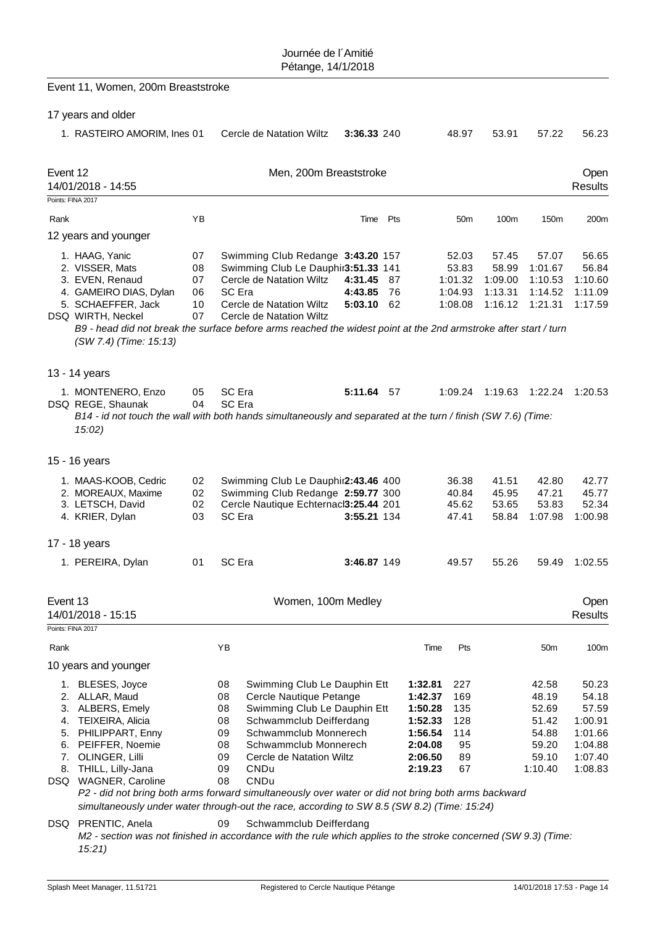|          | Event 11, Women, 200m Breaststroke                                                                                                                                                                                                                                                                                                                                                             |                                  |                                                    |                                                                                                                                                                                                                  |                               |                |                                                                                      |                                                   |                                                 |                                                                        |                                                                                |
|----------|------------------------------------------------------------------------------------------------------------------------------------------------------------------------------------------------------------------------------------------------------------------------------------------------------------------------------------------------------------------------------------------------|----------------------------------|----------------------------------------------------|------------------------------------------------------------------------------------------------------------------------------------------------------------------------------------------------------------------|-------------------------------|----------------|--------------------------------------------------------------------------------------|---------------------------------------------------|-------------------------------------------------|------------------------------------------------------------------------|--------------------------------------------------------------------------------|
|          | 17 years and older                                                                                                                                                                                                                                                                                                                                                                             |                                  |                                                    |                                                                                                                                                                                                                  |                               |                |                                                                                      |                                                   |                                                 |                                                                        |                                                                                |
|          | 1. RASTEIRO AMORIM, Ines 01                                                                                                                                                                                                                                                                                                                                                                    |                                  |                                                    | Cercle de Natation Wiltz                                                                                                                                                                                         | 3:36.33 240                   |                |                                                                                      | 48.97                                             | 53.91                                           | 57.22                                                                  | 56.23                                                                          |
| Event 12 | 14/01/2018 - 14:55                                                                                                                                                                                                                                                                                                                                                                             |                                  |                                                    | Men, 200m Breaststroke                                                                                                                                                                                           |                               |                |                                                                                      |                                                   |                                                 |                                                                        | Open<br><b>Results</b>                                                         |
|          | Points: FINA 2017                                                                                                                                                                                                                                                                                                                                                                              |                                  |                                                    |                                                                                                                                                                                                                  |                               |                |                                                                                      |                                                   |                                                 |                                                                        |                                                                                |
| Rank     |                                                                                                                                                                                                                                                                                                                                                                                                | YB                               |                                                    |                                                                                                                                                                                                                  | Time                          | Pts            |                                                                                      | 50 <sub>m</sub>                                   | 100m                                            | 150m                                                                   | 200m                                                                           |
|          | 12 years and younger                                                                                                                                                                                                                                                                                                                                                                           |                                  |                                                    |                                                                                                                                                                                                                  |                               |                |                                                                                      |                                                   |                                                 |                                                                        |                                                                                |
|          | 1. HAAG, Yanic<br>2. VISSER, Mats<br>3. EVEN, Renaud<br>4. GAMEIRO DIAS, Dylan<br>5. SCHAEFFER, Jack<br>DSQ WIRTH, Neckel<br>B9 - head did not break the surface before arms reached the widest point at the 2nd armstroke after start / turn<br>(SW 7.4) (Time: 15:13)                                                                                                                        | 07<br>08<br>07<br>06<br>10<br>07 | SC Era                                             | Swimming Club Redange 3:43.20 157<br>Swimming Club Le Dauphir3:51.33 141<br>Cercle de Natation Wiltz<br>Cercle de Natation Wiltz<br>Cercle de Natation Wiltz                                                     | 4:31.45<br>4:43.85<br>5:03.10 | 87<br>76<br>62 |                                                                                      | 52.03<br>53.83<br>1:01.32<br>1:04.93<br>1:08.08   | 57.45<br>58.99<br>1:09.00<br>1:13.31<br>1:16.12 | 57.07<br>1:01.67<br>1:10.53<br>1:14.52<br>1:21.31                      | 56.65<br>56.84<br>1:10.60<br>1:11.09<br>1:17.59                                |
|          | 13 - 14 years                                                                                                                                                                                                                                                                                                                                                                                  |                                  |                                                    |                                                                                                                                                                                                                  |                               |                |                                                                                      |                                                   |                                                 |                                                                        |                                                                                |
|          | 1. MONTENERO, Enzo<br>DSQ REGE, Shaunak<br>B14 - id not touch the wall with both hands simultaneously and separated at the turn / finish (SW 7.6) (Time:<br>15:02)                                                                                                                                                                                                                             | 05<br>04                         | SC Era<br>SC Era                                   |                                                                                                                                                                                                                  | 5:11.64 57                    |                |                                                                                      | 1:09.24                                           | 1:19.63                                         | 1:22.24                                                                | 1:20.53                                                                        |
|          | 15 - 16 years                                                                                                                                                                                                                                                                                                                                                                                  |                                  |                                                    |                                                                                                                                                                                                                  |                               |                |                                                                                      |                                                   |                                                 |                                                                        |                                                                                |
|          | 1. MAAS-KOOB, Cedric<br>2. MOREAUX, Maxime<br>3. LETSCH, David<br>4. KRIER, Dylan                                                                                                                                                                                                                                                                                                              | 02<br>02<br>02<br>03             | SC Era                                             | Swimming Club Le Dauphir2:43.46 400<br>Swimming Club Redange 2:59.77 300<br>Cercle Nautique Echternacl3:25.44 201                                                                                                | 3:55.21 134                   |                |                                                                                      | 36.38<br>40.84<br>45.62<br>47.41                  | 41.51<br>45.95<br>53.65<br>58.84                | 42.80<br>47.21<br>53.83<br>1:07.98                                     | 42.77<br>45.77<br>52.34<br>1:00.98                                             |
|          | 17 - 18 years                                                                                                                                                                                                                                                                                                                                                                                  |                                  |                                                    |                                                                                                                                                                                                                  |                               |                |                                                                                      |                                                   |                                                 |                                                                        |                                                                                |
|          | 1. PEREIRA, Dylan                                                                                                                                                                                                                                                                                                                                                                              | 01                               | SC Era                                             |                                                                                                                                                                                                                  | 3:46.87 149                   |                |                                                                                      | 49.57                                             | 55.26                                           | 59.49                                                                  | 1:02.55                                                                        |
| Event 13 | 14/01/2018 - 15:15                                                                                                                                                                                                                                                                                                                                                                             |                                  |                                                    | Women, 100m Medley                                                                                                                                                                                               |                               |                |                                                                                      |                                                   |                                                 |                                                                        | <b>Open</b><br><b>Results</b>                                                  |
|          | Points: FINA 2017                                                                                                                                                                                                                                                                                                                                                                              |                                  |                                                    |                                                                                                                                                                                                                  |                               |                |                                                                                      |                                                   |                                                 |                                                                        |                                                                                |
| Rank     |                                                                                                                                                                                                                                                                                                                                                                                                |                                  | YB                                                 |                                                                                                                                                                                                                  |                               |                | Time                                                                                 | Pts                                               |                                                 | 50 <sub>m</sub>                                                        | 100m                                                                           |
|          | 10 years and younger                                                                                                                                                                                                                                                                                                                                                                           |                                  |                                                    |                                                                                                                                                                                                                  |                               |                |                                                                                      |                                                   |                                                 |                                                                        |                                                                                |
| 3.<br>4. | 1. BLESES, Joyce<br>2. ALLAR, Maud<br>ALBERS, Emely<br>TEIXEIRA, Alicia<br>5. PHILIPPART, Enny<br>6. PEIFFER, Noemie<br>7. OLINGER, Lilli<br>8. THILL, Lilly-Jana<br>DSQ WAGNER, Caroline<br>P2 - did not bring both arms forward simultaneously over water or did not bring both arms backward<br>simultaneously under water through-out the race, according to SW 8.5 (SW 8.2) (Time: 15:24) |                                  | 08<br>08<br>08<br>08<br>09<br>08<br>09<br>09<br>08 | Swimming Club Le Dauphin Ett<br>Cercle Nautique Petange<br>Swimming Club Le Dauphin Ett<br>Schwammclub Deifferdang<br>Schwammclub Monnerech<br>Schwammclub Monnerech<br>Cercle de Natation Wiltz<br>CNDu<br>CNDu |                               |                | 1:32.81<br>1:42.37<br>1:50.28<br>1:52.33<br>1:56.54<br>2:04.08<br>2:06.50<br>2:19.23 | 227<br>169<br>135<br>128<br>114<br>95<br>89<br>67 |                                                 | 42.58<br>48.19<br>52.69<br>51.42<br>54.88<br>59.20<br>59.10<br>1:10.40 | 50.23<br>54.18<br>57.59<br>1:00.91<br>1:01.66<br>1:04.88<br>1:07.40<br>1:08.83 |
|          | DSQ PRENTIC, Anela<br>M2 - section was not finished in accordance with the rule which applies to the stroke concerned (SW 9.3) (Time:<br>15:21                                                                                                                                                                                                                                                 |                                  | 09                                                 | Schwammclub Deifferdang                                                                                                                                                                                          |                               |                |                                                                                      |                                                   |                                                 |                                                                        |                                                                                |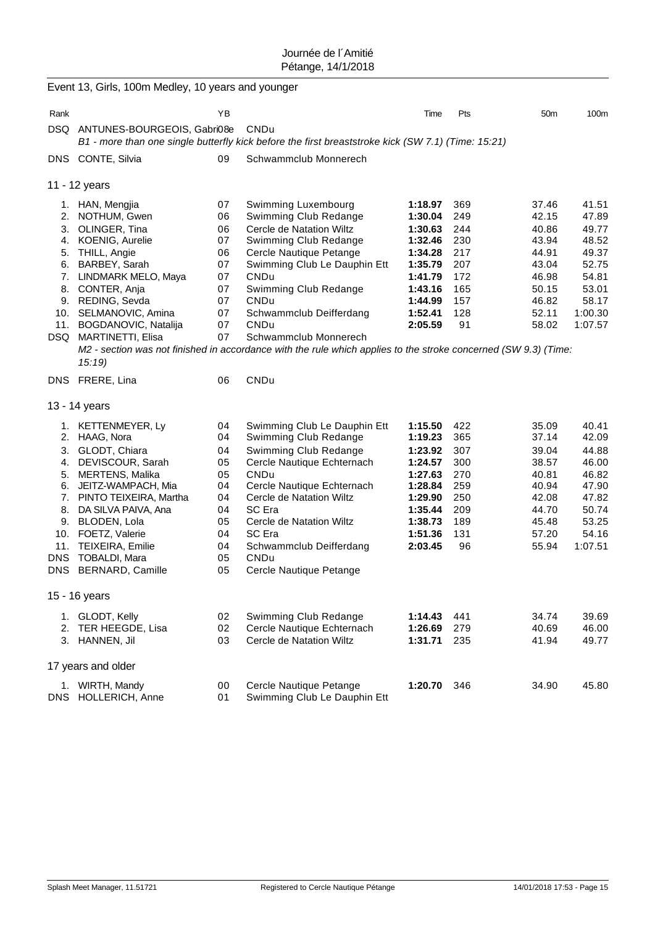|                                                               | Event 13, Girls, 100m Medley, 10 years and younger                                                                                                                                                                                                                             |                                                                            |                                                                                                                                                                                                                                                                                                                                                                                             |                                                                                                                       |                                                                          |                                                                                                 |                                                                                                     |
|---------------------------------------------------------------|--------------------------------------------------------------------------------------------------------------------------------------------------------------------------------------------------------------------------------------------------------------------------------|----------------------------------------------------------------------------|---------------------------------------------------------------------------------------------------------------------------------------------------------------------------------------------------------------------------------------------------------------------------------------------------------------------------------------------------------------------------------------------|-----------------------------------------------------------------------------------------------------------------------|--------------------------------------------------------------------------|-------------------------------------------------------------------------------------------------|-----------------------------------------------------------------------------------------------------|
| Rank                                                          |                                                                                                                                                                                                                                                                                | ΥB                                                                         |                                                                                                                                                                                                                                                                                                                                                                                             | Time                                                                                                                  | Pts                                                                      | 50 <sub>m</sub>                                                                                 | 100m                                                                                                |
| DSQ                                                           | ANTUNES-BOURGEOIS, Gabri08e                                                                                                                                                                                                                                                    |                                                                            | CNDu<br>B1 - more than one single butterfly kick before the first breaststroke kick (SW 7.1) (Time: 15:21)                                                                                                                                                                                                                                                                                  |                                                                                                                       |                                                                          |                                                                                                 |                                                                                                     |
|                                                               | DNS CONTE, Silvia                                                                                                                                                                                                                                                              | 09                                                                         | Schwammclub Monnerech                                                                                                                                                                                                                                                                                                                                                                       |                                                                                                                       |                                                                          |                                                                                                 |                                                                                                     |
|                                                               | 11 - 12 years                                                                                                                                                                                                                                                                  |                                                                            |                                                                                                                                                                                                                                                                                                                                                                                             |                                                                                                                       |                                                                          |                                                                                                 |                                                                                                     |
| 4.<br>9.<br>11.                                               | 1. HAN, Mengjia<br>2. NOTHUM, Gwen<br>3. OLINGER, Tina<br><b>KOENIG, Aurelie</b><br>5. THILL, Angie<br>6. BARBEY, Sarah<br>7. LINDMARK MELO, Maya<br>8. CONTER, Anja<br>REDING, Sevda<br>10. SELMANOVIC, Amina<br>BOGDANOVIC, Natalija<br>DSQ MARTINETTI, Elisa                | 07<br>06<br>06<br>07<br>06<br>07<br>07<br>07<br>07<br>07<br>07<br>07       | Swimming Luxembourg<br>Swimming Club Redange<br>Cercle de Natation Wiltz<br>Swimming Club Redange<br>Cercle Nautique Petange<br>Swimming Club Le Dauphin Ett<br>CNDu<br>Swimming Club Redange<br><b>CNDu</b><br>Schwammclub Deifferdang<br>CNDu<br>Schwammclub Monnerech<br>M2 - section was not finished in accordance with the rule which applies to the stroke concerned (SW 9.3) (Time: | 1:18.97<br>1:30.04<br>1:30.63<br>1:32.46<br>1:34.28<br>1:35.79<br>1:41.79<br>1:43.16<br>1:44.99<br>1:52.41<br>2:05.59 | 369<br>249<br>244<br>230<br>217<br>207<br>172<br>165<br>157<br>128<br>91 | 37.46<br>42.15<br>40.86<br>43.94<br>44.91<br>43.04<br>46.98<br>50.15<br>46.82<br>52.11<br>58.02 | 41.51<br>47.89<br>49.77<br>48.52<br>49.37<br>52.75<br>54.81<br>53.01<br>58.17<br>1:00.30<br>1:07.57 |
|                                                               | 15:19<br>DNS FRERE, Lina                                                                                                                                                                                                                                                       | 06                                                                         | CNDu                                                                                                                                                                                                                                                                                                                                                                                        |                                                                                                                       |                                                                          |                                                                                                 |                                                                                                     |
|                                                               | 13 - 14 years                                                                                                                                                                                                                                                                  |                                                                            |                                                                                                                                                                                                                                                                                                                                                                                             |                                                                                                                       |                                                                          |                                                                                                 |                                                                                                     |
| 3.<br>4.<br>7.<br>8.<br>9.<br>11.<br><b>DNS</b><br><b>DNS</b> | 1. KETTENMEYER, Ly<br>2. HAAG, Nora<br>GLODT, Chiara<br>DEVISCOUR, Sarah<br>5. MERTENS, Malika<br>6. JEITZ-WAMPACH, Mia<br>PINTO TEIXEIRA, Martha<br>DA SILVA PAIVA, Ana<br>BLODEN, Lola<br>10. FOETZ, Valerie<br>TEIXEIRA, Emilie<br><b>TOBALDI, Mara</b><br>BERNARD, Camille | 04<br>04<br>04<br>05<br>05<br>04<br>04<br>04<br>05<br>04<br>04<br>05<br>05 | Swimming Club Le Dauphin Ett<br>Swimming Club Redange<br>Swimming Club Redange<br>Cercle Nautique Echternach<br>CNDu<br>Cercle Nautique Echternach<br>Cercle de Natation Wiltz<br>SC Era<br>Cercle de Natation Wiltz<br>SC Era<br>Schwammclub Deifferdang<br>CNDu<br>Cercle Nautique Petange                                                                                                | 1:15.50<br>1:19.23<br>1:23.92<br>1:24.57<br>1:27.63<br>1:28.84<br>1:29.90<br>1:35.44<br>1:38.73<br>1:51.36<br>2:03.45 | 422<br>365<br>307<br>300<br>270<br>259<br>250<br>209<br>189<br>131<br>96 | 35.09<br>37.14<br>39.04<br>38.57<br>40.81<br>40.94<br>42.08<br>44.70<br>45.48<br>57.20<br>55.94 | 40.41<br>42.09<br>44.88<br>46.00<br>46.82<br>47.90<br>47.82<br>50.74<br>53.25<br>54.16<br>1:07.51   |
|                                                               | 15 - 16 years                                                                                                                                                                                                                                                                  |                                                                            |                                                                                                                                                                                                                                                                                                                                                                                             |                                                                                                                       |                                                                          |                                                                                                 |                                                                                                     |
|                                                               | 1. GLODT, Kelly<br>2. TER HEEGDE, Lisa<br>3. HANNEN, Jil                                                                                                                                                                                                                       | 02<br>02<br>03                                                             | Swimming Club Redange<br>Cercle Nautique Echternach<br>Cercle de Natation Wiltz                                                                                                                                                                                                                                                                                                             | 1:14.43<br>1:26.69<br>1:31.71                                                                                         | 441<br>279<br>235                                                        | 34.74<br>40.69<br>41.94                                                                         | 39.69<br>46.00<br>49.77                                                                             |
|                                                               | 17 years and older                                                                                                                                                                                                                                                             |                                                                            |                                                                                                                                                                                                                                                                                                                                                                                             |                                                                                                                       |                                                                          |                                                                                                 |                                                                                                     |
| <b>DNS</b>                                                    | 1. WIRTH, Mandy<br>HOLLERICH, Anne                                                                                                                                                                                                                                             | 00<br>01                                                                   | Cercle Nautique Petange<br>Swimming Club Le Dauphin Ett                                                                                                                                                                                                                                                                                                                                     | 1:20.70                                                                                                               | 346                                                                      | 34.90                                                                                           | 45.80                                                                                               |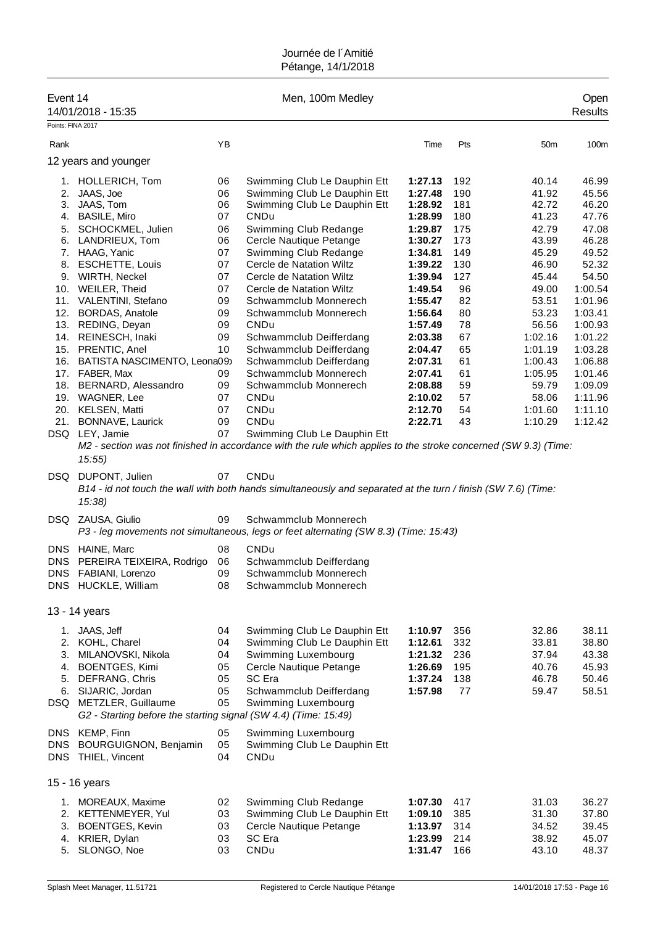| Event 14                        | 14/01/2018 - 15:35                                                                                                                                                                                     |                                  | Men, 100m Medley                                                                                                                           |                                                     |                                 |                                           | Open<br><b>Results</b>                    |
|---------------------------------|--------------------------------------------------------------------------------------------------------------------------------------------------------------------------------------------------------|----------------------------------|--------------------------------------------------------------------------------------------------------------------------------------------|-----------------------------------------------------|---------------------------------|-------------------------------------------|-------------------------------------------|
| Points: FINA 2017               |                                                                                                                                                                                                        |                                  |                                                                                                                                            |                                                     |                                 |                                           |                                           |
| Rank                            |                                                                                                                                                                                                        | YB                               |                                                                                                                                            | Time                                                | Pts                             | 50 <sub>m</sub>                           | 100m                                      |
|                                 | 12 years and younger                                                                                                                                                                                   |                                  |                                                                                                                                            |                                                     |                                 |                                           |                                           |
| 2.                              | 1. HOLLERICH, Tom<br>JAAS, Joe                                                                                                                                                                         | 06<br>06                         | Swimming Club Le Dauphin Ett<br>Swimming Club Le Dauphin Ett                                                                               | 1:27.13<br>1:27.48                                  | 192<br>190                      | 40.14<br>41.92                            | 46.99<br>45.56                            |
|                                 | 3. JAAS, Tom                                                                                                                                                                                           | 06                               | Swimming Club Le Dauphin Ett                                                                                                               | 1:28.92                                             | 181                             | 42.72                                     | 46.20<br>47.76                            |
|                                 | 4. BASILE, Miro<br>5. SCHOCKMEL, Julien                                                                                                                                                                | 07<br>06                         | CNDu<br>Swimming Club Redange                                                                                                              | 1:28.99<br>1:29.87                                  | 180<br>175                      | 41.23<br>42.79                            | 47.08                                     |
| 6.                              | LANDRIEUX, Tom                                                                                                                                                                                         | 06                               | Cercle Nautique Petange                                                                                                                    | 1:30.27                                             | 173                             | 43.99                                     | 46.28                                     |
|                                 | 7. HAAG, Yanic                                                                                                                                                                                         | 07                               | Swimming Club Redange                                                                                                                      | 1:34.81                                             | 149                             | 45.29                                     | 49.52                                     |
| 8.                              | <b>ESCHETTE, Louis</b>                                                                                                                                                                                 | 07                               | Cercle de Natation Wiltz                                                                                                                   | 1:39.22                                             | 130                             | 46.90                                     | 52.32                                     |
|                                 | 9. WIRTH, Neckel                                                                                                                                                                                       | 07                               | Cercle de Natation Wiltz                                                                                                                   | 1:39.94                                             | 127                             | 45.44                                     | 54.50                                     |
|                                 | 10. WEILER, Theid                                                                                                                                                                                      | 07                               | Cercle de Natation Wiltz                                                                                                                   | 1:49.54                                             | 96                              | 49.00                                     | 1:00.54                                   |
|                                 | 11. VALENTINI, Stefano                                                                                                                                                                                 | 09                               | Schwammclub Monnerech                                                                                                                      | 1:55.47                                             | 82                              | 53.51                                     | 1:01.96                                   |
|                                 | 12. BORDAS, Anatole                                                                                                                                                                                    | 09                               | Schwammclub Monnerech                                                                                                                      | 1:56.64                                             | 80                              | 53.23                                     | 1:03.41                                   |
| 13.                             | REDING, Deyan                                                                                                                                                                                          | 09                               | CNDu                                                                                                                                       | 1:57.49                                             | 78                              | 56.56                                     | 1:00.93                                   |
|                                 | 14. REINESCH, Inaki                                                                                                                                                                                    | 09                               | Schwammclub Deifferdang                                                                                                                    | 2:03.38                                             | 67                              | 1:02.16                                   | 1:01.22                                   |
| 16.                             | 15. PRENTIC, Anel                                                                                                                                                                                      | 10                               | Schwammclub Deifferdang                                                                                                                    | 2:04.47<br>2:07.31                                  | 65<br>61                        | 1:01.19<br>1:00.43                        | 1:03.28<br>1:06.88                        |
|                                 | BATISTA NASCIMENTO, Leona09)<br>17. FABER, Max                                                                                                                                                         | 09                               | Schwammclub Deifferdang<br>Schwammclub Monnerech                                                                                           | 2:07.41                                             | 61                              | 1:05.95                                   | 1:01.46                                   |
|                                 | 18. BERNARD, Alessandro                                                                                                                                                                                | 09                               | Schwammclub Monnerech                                                                                                                      | 2:08.88                                             | 59                              | 59.79                                     | 1:09.09                                   |
|                                 | 19. WAGNER, Lee                                                                                                                                                                                        | 07                               | CNDu                                                                                                                                       | 2:10.02                                             | 57                              | 58.06                                     | 1:11.96                                   |
|                                 | 20. KELSEN, Matti                                                                                                                                                                                      | 07                               | CNDu                                                                                                                                       | 2:12.70                                             | 54                              | 1:01.60                                   | 1:11.10                                   |
| 21.                             | BONNAVE, Laurick                                                                                                                                                                                       | 09                               | CNDu                                                                                                                                       | 2:22.71                                             | 43                              | 1:10.29                                   | 1:12.42                                   |
|                                 | DSQ LEY, Jamie                                                                                                                                                                                         | 07                               | Swimming Club Le Dauphin Ett                                                                                                               |                                                     |                                 |                                           |                                           |
|                                 | 15:55                                                                                                                                                                                                  |                                  | M2 - section was not finished in accordance with the rule which applies to the stroke concerned (SW 9.3) (Time:                            |                                                     |                                 |                                           |                                           |
| DSQ.                            | DUPONT, Julien<br>15:38                                                                                                                                                                                | 07                               | CNDu<br>B14 - id not touch the wall with both hands simultaneously and separated at the turn / finish (SW 7.6) (Time:                      |                                                     |                                 |                                           |                                           |
|                                 | DSQ ZAUSA, Giulio                                                                                                                                                                                      | 09                               | Schwammclub Monnerech<br>P3 - leg movements not simultaneous, legs or feet alternating (SW 8.3) (Time: 15:43)                              |                                                     |                                 |                                           |                                           |
| <b>DNS</b>                      | HAINE, Marc                                                                                                                                                                                            | 08                               | CNDu                                                                                                                                       |                                                     |                                 |                                           |                                           |
|                                 | DNS PEREIRA TEIXEIRA, Rodrigo<br>DNS FABIANI, Lorenzo<br>DNS HUCKLE, William                                                                                                                           | 06<br>09<br>08                   | Schwammclub Deifferdang<br>Schwammclub Monnerech<br>Schwammclub Monnerech                                                                  |                                                     |                                 |                                           |                                           |
|                                 | 13 - 14 years                                                                                                                                                                                          |                                  |                                                                                                                                            |                                                     |                                 |                                           |                                           |
| 1.                              | JAAS, Jeff                                                                                                                                                                                             | 04                               | Swimming Club Le Dauphin Ett                                                                                                               | 1:10.97                                             | 356                             | 32.86                                     | 38.11                                     |
| 3.<br>4.                        | 2. KOHL, Charel<br>MILANOVSKI, Nikola<br><b>BOENTGES, Kimi</b><br>5. DEFRANG, Chris<br>6. SIJARIC, Jordan<br>DSQ METZLER, Guillaume<br>G2 - Starting before the starting signal (SW 4.4) (Time: 15:49) | 04<br>04<br>05<br>05<br>05<br>05 | Swimming Club Le Dauphin Ett<br>Swimming Luxembourg<br>Cercle Nautique Petange<br>SC Era<br>Schwammclub Deifferdang<br>Swimming Luxembourg | 1:12.61<br>1:21.32<br>1:26.69<br>1:37.24<br>1:57.98 | 332<br>236<br>195<br>138<br>77  | 33.81<br>37.94<br>40.76<br>46.78<br>59.47 | 38.80<br>43.38<br>45.93<br>50.46<br>58.51 |
| <b>DNS</b><br>DNS<br><b>DNS</b> | KEMP, Finn<br><b>BOURGUIGNON, Benjamin</b><br>THIEL, Vincent                                                                                                                                           | 05<br>05<br>04                   | Swimming Luxembourg<br>Swimming Club Le Dauphin Ett<br>CNDu                                                                                |                                                     |                                 |                                           |                                           |
|                                 | 15 - 16 years                                                                                                                                                                                          |                                  |                                                                                                                                            |                                                     |                                 |                                           |                                           |
| 1.<br>3.<br>5.                  | MOREAUX, Maxime<br>2. KETTENMEYER, Yul<br><b>BOENTGES, Kevin</b><br>4. KRIER, Dylan<br>SLONGO, Noe                                                                                                     | 02<br>03<br>03<br>03<br>03       | Swimming Club Redange<br>Swimming Club Le Dauphin Ett<br>Cercle Nautique Petange<br>SC Era<br>CNDu                                         | 1:07.30<br>1:09.10<br>1:13.97<br>1:23.99<br>1:31.47 | 417<br>385<br>314<br>214<br>166 | 31.03<br>31.30<br>34.52<br>38.92<br>43.10 | 36.27<br>37.80<br>39.45<br>45.07<br>48.37 |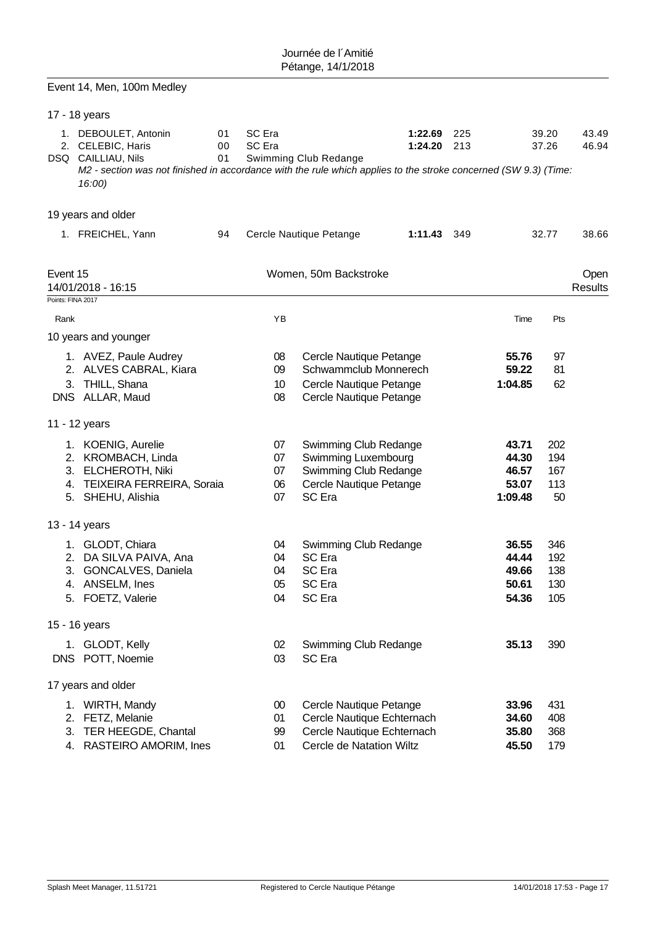|                   | Event 14, Men, 100m Medley                                                                                                                                                                   |                |                  |                                                    |                    |            |                |                |                 |
|-------------------|----------------------------------------------------------------------------------------------------------------------------------------------------------------------------------------------|----------------|------------------|----------------------------------------------------|--------------------|------------|----------------|----------------|-----------------|
|                   | 17 - 18 years                                                                                                                                                                                |                |                  |                                                    |                    |            |                |                |                 |
|                   | 1. DEBOULET, Antonin<br>2. CELEBIC, Haris<br>DSQ CAILLIAU, Nils<br>M2 - section was not finished in accordance with the rule which applies to the stroke concerned (SW 9.3) (Time:<br>16:00) | 01<br>00<br>01 | SC Era<br>SC Era | Swimming Club Redange                              | 1:22.69<br>1:24.20 | 225<br>213 |                | 39.20<br>37.26 | 43.49<br>46.94  |
|                   | 19 years and older                                                                                                                                                                           |                |                  |                                                    |                    |            |                |                |                 |
|                   | 1. FREICHEL, Yann                                                                                                                                                                            | 94             |                  | Cercle Nautique Petange                            | 1:11.43 349        |            |                | 32.77          | 38.66           |
| Event 15          | 14/01/2018 - 16:15                                                                                                                                                                           |                |                  | Women, 50m Backstroke                              |                    |            |                |                | Open<br>Results |
| Points: FINA 2017 |                                                                                                                                                                                              |                |                  |                                                    |                    |            |                |                |                 |
| Rank              | 10 years and younger                                                                                                                                                                         |                | YB               |                                                    |                    |            | Time           | Pts            |                 |
|                   | 1. AVEZ, Paule Audrey                                                                                                                                                                        |                | 08               | Cercle Nautique Petange                            |                    |            | 55.76          | 97             |                 |
|                   | 2. ALVES CABRAL, Kiara                                                                                                                                                                       |                | 09               | Schwammclub Monnerech                              |                    |            | 59.22          | 81             |                 |
|                   | 3. THILL, Shana<br>DNS ALLAR, Maud                                                                                                                                                           |                | 10<br>08         | Cercle Nautique Petange<br>Cercle Nautique Petange |                    |            | 1:04.85        | 62             |                 |
|                   | 11 - 12 years                                                                                                                                                                                |                |                  |                                                    |                    |            |                |                |                 |
|                   | 1. KOENIG, Aurelie                                                                                                                                                                           |                | 07               | Swimming Club Redange                              |                    |            | 43.71          | 202            |                 |
|                   | 2. KROMBACH, Linda                                                                                                                                                                           |                | 07               | Swimming Luxembourg                                |                    |            | 44.30          | 194            |                 |
|                   | 3. ELCHEROTH, Niki<br>4. TEIXEIRA FERREIRA, Soraia                                                                                                                                           |                | 07<br>06         | Swimming Club Redange<br>Cercle Nautique Petange   |                    |            | 46.57<br>53.07 | 167<br>113     |                 |
|                   | 5. SHEHU, Alishia                                                                                                                                                                            |                | 07               | <b>SC</b> Era                                      |                    |            | 1:09.48        | 50             |                 |
|                   | 13 - 14 years                                                                                                                                                                                |                |                  |                                                    |                    |            |                |                |                 |
|                   | 1. GLODT, Chiara                                                                                                                                                                             |                | 04               | Swimming Club Redange                              |                    |            | 36.55          | 346            |                 |
|                   | 2. DA SILVA PAIVA, Ana                                                                                                                                                                       |                | 04               | SC Era                                             |                    |            | 44.44          | 192            |                 |
|                   | 3. GONCALVES, Daniela                                                                                                                                                                        |                | 04               | SC Era                                             |                    |            | 49.66          | 138            |                 |
|                   | 4. ANSELM, Ines<br>5. FOETZ, Valerie                                                                                                                                                         |                | 05<br>04         | SC Era<br>SC Era                                   |                    |            | 50.61<br>54.36 | 130<br>105     |                 |
|                   |                                                                                                                                                                                              |                |                  |                                                    |                    |            |                |                |                 |
|                   | 15 - 16 years                                                                                                                                                                                |                |                  |                                                    |                    |            |                |                |                 |
|                   | 1. GLODT, Kelly                                                                                                                                                                              |                | 02               | Swimming Club Redange                              |                    |            | 35.13          | 390            |                 |
|                   | DNS POTT, Noemie                                                                                                                                                                             |                | 03               | SC Era                                             |                    |            |                |                |                 |
|                   | 17 years and older                                                                                                                                                                           |                |                  |                                                    |                    |            |                |                |                 |
|                   | 1. WIRTH, Mandy                                                                                                                                                                              |                | 00               | Cercle Nautique Petange                            |                    |            | 33.96          | 431            |                 |
|                   | 2. FETZ, Melanie                                                                                                                                                                             |                | 01               | Cercle Nautique Echternach                         |                    |            | 34.60          | 408            |                 |
|                   | 3. TER HEEGDE, Chantal                                                                                                                                                                       |                | 99               | Cercle Nautique Echternach                         |                    |            | 35.80          | 368            |                 |
|                   | 4. RASTEIRO AMORIM, Ines                                                                                                                                                                     |                | 01               | Cercle de Natation Wiltz                           |                    |            | 45.50          | 179            |                 |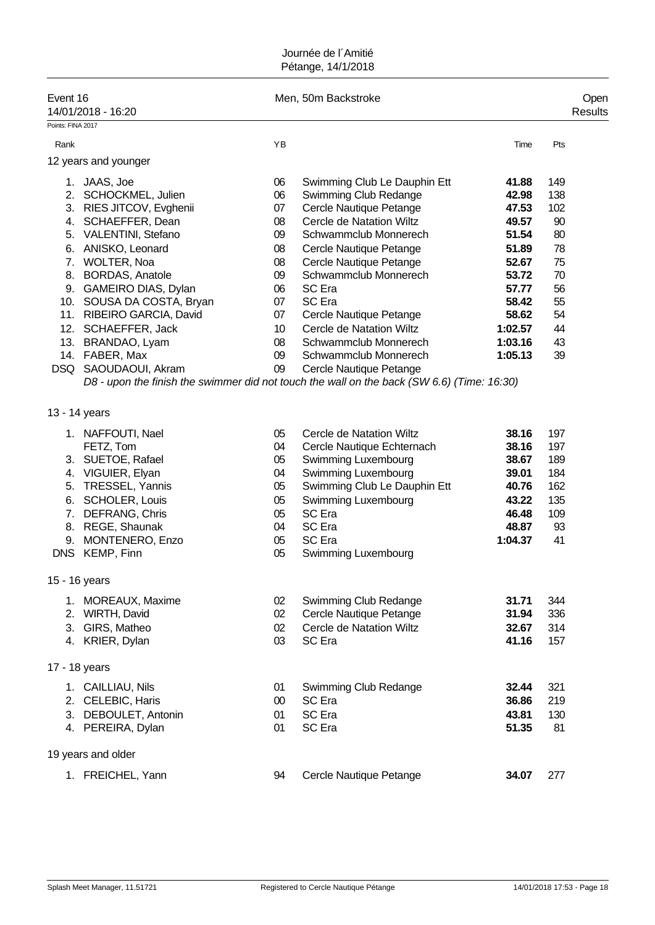| Event 16<br>14/01/2018 - 16:20 |                                                                                                                                                                                                   |                                                          | Men, 50m Backstroke                                                                                                                                                                                              |                                                                                 |                                                           |  |  |  |
|--------------------------------|---------------------------------------------------------------------------------------------------------------------------------------------------------------------------------------------------|----------------------------------------------------------|------------------------------------------------------------------------------------------------------------------------------------------------------------------------------------------------------------------|---------------------------------------------------------------------------------|-----------------------------------------------------------|--|--|--|
| Points: FINA 2017              |                                                                                                                                                                                                   |                                                          |                                                                                                                                                                                                                  |                                                                                 |                                                           |  |  |  |
| Rank                           |                                                                                                                                                                                                   | YB                                                       |                                                                                                                                                                                                                  | Time                                                                            | Pts                                                       |  |  |  |
|                                | 12 years and younger                                                                                                                                                                              |                                                          |                                                                                                                                                                                                                  |                                                                                 |                                                           |  |  |  |
|                                | 1. JAAS, Joe<br>2. SCHOCKMEL, Julien<br>3. RIES JITCOV, Evghenii                                                                                                                                  | 06<br>06<br>07                                           | Swimming Club Le Dauphin Ett<br>Swimming Club Redange<br>Cercle Nautique Petange                                                                                                                                 | 41.88<br>42.98<br>47.53                                                         | 149<br>138<br>102                                         |  |  |  |
|                                | 4. SCHAEFFER, Dean<br>5. VALENTINI, Stefano<br>6. ANISKO, Leonard                                                                                                                                 | 08<br>09<br>80                                           | <b>Cercle de Natation Wiltz</b><br>Schwammclub Monnerech<br>Cercle Nautique Petange                                                                                                                              | 49.57<br>51.54<br>51.89                                                         | 90<br>80<br>78                                            |  |  |  |
|                                | 7. WOLTER, Noa<br>8. BORDAS, Anatole<br>9. GAMEIRO DIAS, Dylan                                                                                                                                    | 08<br>09<br>06                                           | Cercle Nautique Petange<br>Schwammclub Monnerech<br>SC Era                                                                                                                                                       | 52.67<br>53.72<br>57.77                                                         | 75<br>70<br>56                                            |  |  |  |
|                                | 10. SOUSA DA COSTA, Bryan<br>11. RIBEIRO GARCIA, David<br>12. SCHAEFFER, Jack<br>13. BRANDAO, Lyam                                                                                                | 07<br>07<br>10 <sup>°</sup><br>08                        | SC Era<br>Cercle Nautique Petange<br>Cercle de Natation Wiltz<br>Schwammclub Monnerech                                                                                                                           | 58.42<br>58.62<br>1:02.57<br>1:03.16                                            | 55<br>54<br>44<br>43                                      |  |  |  |
|                                | 14. FABER, Max<br>DSQ SAOUDAOUI, Akram                                                                                                                                                            | 09<br>09                                                 | Schwammclub Monnerech<br>Cercle Nautique Petange<br>D8 - upon the finish the swimmer did not touch the wall on the back (SW 6.6) (Time: 16:30)                                                                   | 1:05.13                                                                         | 39                                                        |  |  |  |
|                                | 13 - 14 years                                                                                                                                                                                     |                                                          |                                                                                                                                                                                                                  |                                                                                 |                                                           |  |  |  |
| 5.                             | 1. NAFFOUTI, Nael<br>FETZ, Tom<br>3. SUETOE, Rafael<br>4. VIGUIER, Elyan<br>TRESSEL, Yannis<br>6. SCHOLER, Louis<br>7. DEFRANG, Chris<br>8. REGE, Shaunak<br>9. MONTENERO, Enzo<br>DNS KEMP, Finn | 05<br>04<br>05<br>04<br>05<br>05<br>05<br>04<br>05<br>05 | Cercle de Natation Wiltz<br>Cercle Nautique Echternach<br>Swimming Luxembourg<br>Swimming Luxembourg<br>Swimming Club Le Dauphin Ett<br>Swimming Luxembourg<br>SC Era<br>SC Era<br>SC Era<br>Swimming Luxembourg | 38.16<br>38.16<br>38.67<br>39.01<br>40.76<br>43.22<br>46.48<br>48.87<br>1:04.37 | 197<br>197<br>189<br>184<br>162<br>135<br>109<br>93<br>41 |  |  |  |
| 1.<br>2.<br>3.                 | 15 - 16 years<br>MOREAUX, Maxime<br>WIRTH, David<br>GIRS, Matheo<br>4. KRIER, Dylan                                                                                                               | 02<br>02<br>02<br>03                                     | Swimming Club Redange<br>Cercle Nautique Petange<br>Cercle de Natation Wiltz<br>SC Era                                                                                                                           | 31.71<br>31.94<br>32.67<br>41.16                                                | 344<br>336<br>314<br>157                                  |  |  |  |
|                                | 17 - 18 years                                                                                                                                                                                     |                                                          |                                                                                                                                                                                                                  |                                                                                 |                                                           |  |  |  |
|                                | 1. CAILLIAU, Nils<br>2. CELEBIC, Haris<br>3. DEBOULET, Antonin<br>4. PEREIRA, Dylan                                                                                                               | 01<br>$00\,$<br>01<br>01                                 | Swimming Club Redange<br>SC Era<br>SC Era<br>SC Era                                                                                                                                                              | 32.44<br>36.86<br>43.81<br>51.35                                                | 321<br>219<br>130<br>81                                   |  |  |  |
|                                | 19 years and older                                                                                                                                                                                |                                                          |                                                                                                                                                                                                                  |                                                                                 |                                                           |  |  |  |
|                                | 1. FREICHEL, Yann                                                                                                                                                                                 | 94                                                       | Cercle Nautique Petange                                                                                                                                                                                          | 34.07                                                                           | 277                                                       |  |  |  |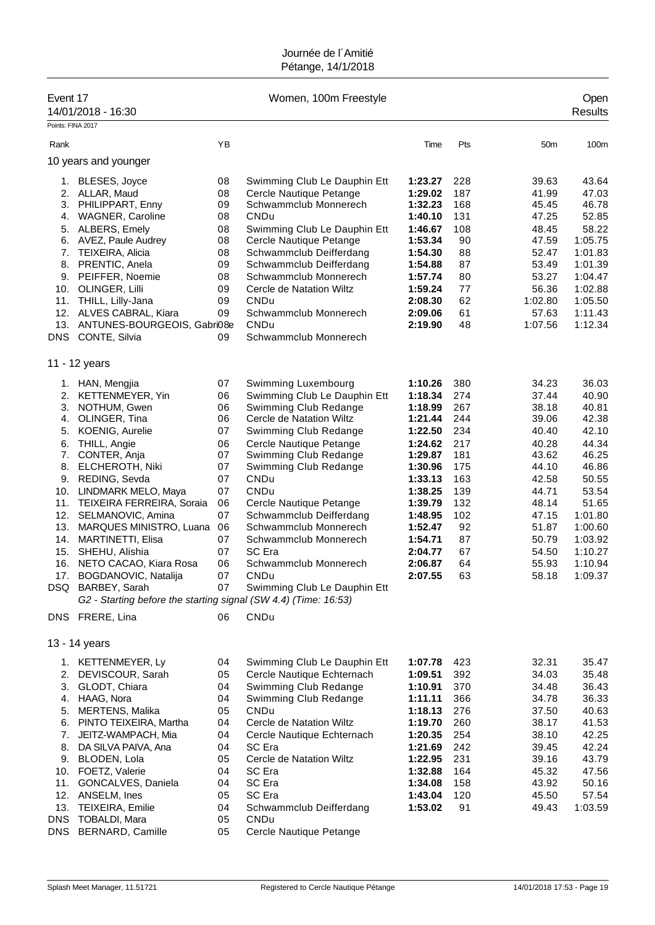| Event 17          | 14/01/2018 - 16:30                                              |          | Women, 100m Freestyle                   |                    |            |                 | Open<br><b>Results</b> |
|-------------------|-----------------------------------------------------------------|----------|-----------------------------------------|--------------------|------------|-----------------|------------------------|
| Points: FINA 2017 |                                                                 |          |                                         |                    |            |                 |                        |
| Rank              |                                                                 | ΥB       |                                         | Time               | Pts        | 50 <sub>m</sub> | 100m                   |
|                   | 10 years and younger                                            |          |                                         |                    |            |                 |                        |
|                   |                                                                 |          |                                         |                    |            |                 |                        |
|                   | 1. BLESES, Joyce                                                | 08       | Swimming Club Le Dauphin Ett            | 1:23.27            | 228        | 39.63           | 43.64                  |
| 2.                | ALLAR, Maud                                                     | 08       | Cercle Nautique Petange                 | 1:29.02            | 187        | 41.99           | 47.03                  |
| 3.                | PHILIPPART, Enny                                                | 09<br>08 | Schwammclub Monnerech<br>CNDu           | 1:32.23<br>1:40.10 | 168<br>131 | 45.45<br>47.25  | 46.78<br>52.85         |
| 4.                | <b>WAGNER, Caroline</b>                                         |          |                                         |                    |            |                 |                        |
| 5.                | ALBERS, Emely                                                   | 08       | Swimming Club Le Dauphin Ett            | 1:46.67            | 108        | 48.45           | 58.22                  |
| 6.<br>7.          | AVEZ, Paule Audrey                                              | 08<br>08 | Cercle Nautique Petange                 | 1:53.34<br>1:54.30 | 90<br>88   | 47.59<br>52.47  | 1:05.75<br>1:01.83     |
| 8.                | TEIXEIRA, Alicia<br>PRENTIC, Anela                              | 09       | Schwammclub Deifferdang                 |                    | 87         |                 | 1:01.39                |
|                   |                                                                 |          | Schwammclub Deifferdang                 | 1:54.88            |            | 53.49           |                        |
| 9.                | PEIFFER, Noemie                                                 | 08<br>09 | Schwammclub Monnerech                   | 1:57.74            | 80<br>77   | 53.27           | 1:04.47<br>1:02.88     |
| 10.               | OLINGER, Lilli                                                  |          | Cercle de Natation Wiltz<br><b>CNDu</b> | 1:59.24            |            | 56.36           |                        |
| 11.               | THILL, Lilly-Jana                                               | 09<br>09 |                                         | 2:08.30<br>2:09.06 | 62         | 1:02.80         | 1:05.50<br>1:11.43     |
| 12.               | ALVES CABRAL, Kiara                                             |          | Schwammclub Monnerech                   |                    | 61         | 57.63           |                        |
| 13.               | ANTUNES-BOURGEOIS, Gabri08e                                     |          | CNDu                                    | 2:19.90            | 48         | 1:07.56         | 1:12.34                |
| <b>DNS</b>        | CONTE, Silvia                                                   | 09       | Schwammclub Monnerech                   |                    |            |                 |                        |
|                   | 11 - 12 years                                                   |          |                                         |                    |            |                 |                        |
| 1.                | HAN, Mengjia                                                    | 07       | Swimming Luxembourg                     | 1:10.26            | 380        | 34.23           | 36.03                  |
| 2.                | KETTENMEYER, Yin                                                | 06       | Swimming Club Le Dauphin Ett            | 1:18.34            | 274        | 37.44           | 40.90                  |
| 3.                | NOTHUM, Gwen                                                    | 06       | Swimming Club Redange                   | 1:18.99            | 267        | 38.18           | 40.81                  |
| 4.                | OLINGER, Tina                                                   | 06       | Cercle de Natation Wiltz                | 1:21.44            | 244        | 39.06           | 42.38                  |
| 5.                | KOENIG, Aurelie                                                 | 07       | Swimming Club Redange                   | 1:22.50            | 234        | 40.40           | 42.10                  |
| 6.                | THILL, Angie                                                    | 06       | Cercle Nautique Petange                 | 1:24.62            | 217        | 40.28           | 44.34                  |
| 7.                | CONTER, Anja                                                    | 07       | Swimming Club Redange                   | 1:29.87            | 181        | 43.62           | 46.25                  |
| 8.                | ELCHEROTH, Niki                                                 | 07       | Swimming Club Redange                   | 1:30.96            | 175        | 44.10           | 46.86                  |
| 9.                | REDING, Sevda                                                   | 07       | CNDu                                    | 1:33.13            | 163        | 42.58           | 50.55                  |
| 10.               | LINDMARK MELO, Maya                                             | 07       | <b>CNDu</b>                             | 1:38.25            | 139        | 44.71           | 53.54                  |
| 11.               | TEIXEIRA FERREIRA, Soraia                                       | 06       | Cercle Nautique Petange                 | 1:39.79            | 132        | 48.14           | 51.65                  |
|                   | 12. SELMANOVIC, Amina                                           | 07       | Schwammclub Deifferdang                 | 1:48.95            | 102        | 47.15           | 1:01.80                |
| 13.               | MARQUES MINISTRO, Luana                                         | 06       | Schwammclub Monnerech                   | 1:52.47            | 92         | 51.87           | 1:00.60                |
| 14.               | <b>MARTINETTI, Elisa</b>                                        | 07       | Schwammclub Monnerech                   | 1:54.71            | 87         | 50.79           | 1:03.92                |
| 15.               | SHEHU, Alishia                                                  | 07       | SC Era                                  | 2:04.77            | 67         | 54.50           | 1:10.27                |
| 16.               | NETO CACAO, Kiara Rosa                                          | 06       | Schwammclub Monnerech                   | 2:06.87            | 64         | 55.93           | 1:10.94                |
|                   | 17. BOGDANOVIC, Natalija                                        | 07       | CNDu                                    | 2:07.55            | 63         | 58.18           | 1:09.37                |
|                   | DSQ BARBEY, Sarah                                               | 07       | Swimming Club Le Dauphin Ett            |                    |            |                 |                        |
|                   | G2 - Starting before the starting signal (SW 4.4) (Time: 16:53) |          |                                         |                    |            |                 |                        |
|                   | DNS FRERE, Lina                                                 | 06       | CNDu                                    |                    |            |                 |                        |
|                   |                                                                 |          |                                         |                    |            |                 |                        |
|                   | 13 - 14 years                                                   |          |                                         |                    |            |                 |                        |
|                   | 1. KETTENMEYER, Ly                                              | 04       | Swimming Club Le Dauphin Ett            | 1:07.78            | 423        | 32.31           | 35.47                  |
| 2.                | DEVISCOUR, Sarah                                                | 05       | Cercle Nautique Echternach              | 1:09.51            | 392        | 34.03           | 35.48                  |
| 3.                | GLODT, Chiara                                                   | 04       | Swimming Club Redange                   | 1:10.91            | 370        | 34.48           | 36.43                  |
| 4.                | HAAG, Nora                                                      | 04       | Swimming Club Redange                   | 1:11.11            | 366        | 34.78           | 36.33                  |
|                   | 5. MERTENS, Malika                                              | 05       | CNDu                                    | 1:18.13            | 276        | 37.50           | 40.63                  |
| 6.                | PINTO TEIXEIRA, Martha                                          | 04       | Cercle de Natation Wiltz                | 1:19.70            | 260        | 38.17           | 41.53                  |
| 7.                | JEITZ-WAMPACH, Mia                                              | 04       | Cercle Nautique Echternach              | 1:20.35            | 254        | 38.10           | 42.25                  |
| 8.                | DA SILVA PAIVA, Ana                                             | 04       | SC Era                                  | 1:21.69            | 242        | 39.45           | 42.24                  |
| 9.                | BLODEN, Lola                                                    | 05       | Cercle de Natation Wiltz                | 1:22.95            | 231        | 39.16           | 43.79                  |
|                   | 10. FOETZ, Valerie                                              | 04       | SC Era                                  | 1:32.88            | 164        | 45.32           | 47.56                  |
|                   | 11. GONCALVES, Daniela                                          | 04       | SC Era                                  | 1:34.08            | 158        | 43.92           | 50.16                  |
|                   | 12. ANSELM, Ines                                                | 05       | SC Era                                  | 1:43.04            | 120        | 45.50           | 57.54                  |
| 13.               | TEIXEIRA, Emilie                                                | 04       | Schwammclub Deifferdang                 | 1:53.02            | 91         | 49.43           | 1:03.59                |
| DNS               | TOBALDI, Mara                                                   | 05       | CNDu                                    |                    |            |                 |                        |
|                   | DNS BERNARD, Camille                                            | 05       | Cercle Nautique Petange                 |                    |            |                 |                        |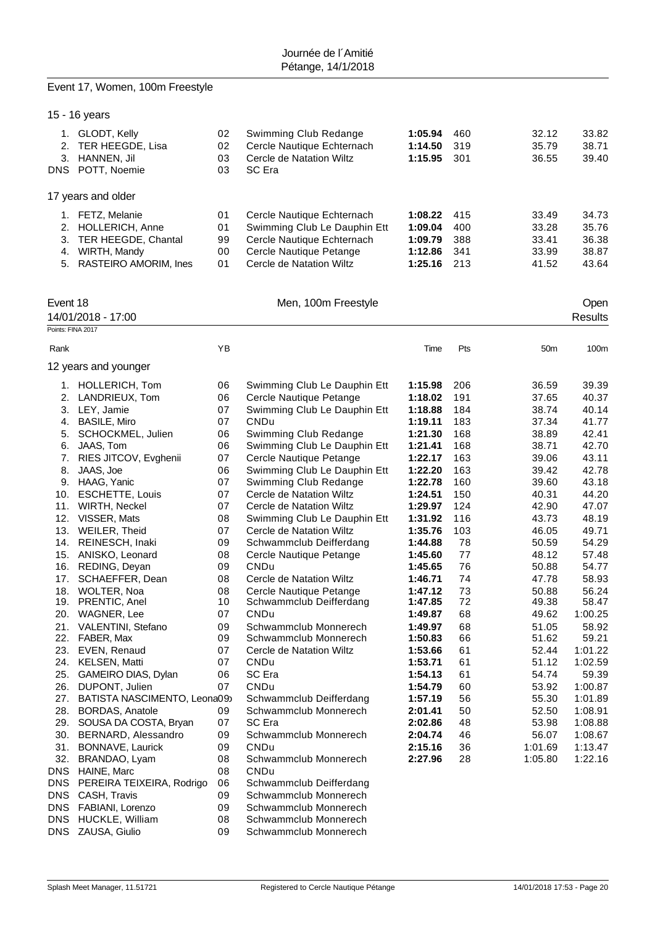# Event 17, Women, 100m Freestyle

|                   | 15 - 16 years                              |          |                                        |                    |           |                 |                |
|-------------------|--------------------------------------------|----------|----------------------------------------|--------------------|-----------|-----------------|----------------|
|                   | 1. GLODT, Kelly                            | 02       | Swimming Club Redange                  | 1:05.94            | 460       | 32.12           | 33.82          |
|                   | 2. TER HEEGDE, Lisa                        | 02       | Cercle Nautique Echternach             | 1:14.50            | 319       | 35.79           | 38.71          |
|                   | 3. HANNEN, Jil                             | 03       | Cercle de Natation Wiltz               | 1:15.95            | 301       | 36.55           | 39.40          |
|                   | DNS POTT, Noemie                           | 03       | SC Era                                 |                    |           |                 |                |
|                   | 17 years and older                         |          |                                        |                    |           |                 |                |
|                   | 1. FETZ, Melanie                           | 01       | Cercle Nautique Echternach             | 1:08.22            | 415       | 33.49           | 34.73          |
|                   | 2. HOLLERICH, Anne                         | 01       | Swimming Club Le Dauphin Ett           | 1:09.04            | 400       | 33.28           | 35.76          |
|                   | 3. TER HEEGDE, Chantal                     | 99       | Cercle Nautique Echternach             | 1:09.79            | 388       | 33.41           | 36.38          |
|                   | 4. WIRTH, Mandy                            | 00       | Cercle Nautique Petange                | 1:12.86            | 341       | 33.99           | 38.87          |
|                   | 5. RASTEIRO AMORIM, Ines                   | 01       | Cercle de Natation Wiltz               | 1:25.16            | 213       | 41.52           | 43.64          |
|                   |                                            |          |                                        |                    |           |                 |                |
| Event 18          |                                            |          | Men, 100m Freestyle                    |                    |           |                 | Open           |
|                   | 14/01/2018 - 17:00                         |          |                                        |                    |           |                 | <b>Results</b> |
| Points: FINA 2017 |                                            |          |                                        |                    |           |                 |                |
| Rank              |                                            | YB       |                                        | Time               | Pts       | 50 <sub>m</sub> | 100m           |
|                   | 12 years and younger                       |          |                                        |                    |           |                 |                |
|                   | 1. HOLLERICH, Tom                          | 06       | Swimming Club Le Dauphin Ett           | 1:15.98            | 206       | 36.59           | 39.39          |
|                   | 2. LANDRIEUX, Tom                          | 06       | Cercle Nautique Petange                | 1:18.02            | 191       | 37.65           | 40.37          |
|                   | 3. LEY, Jamie                              | 07       | Swimming Club Le Dauphin Ett           | 1:18.88            | 184       | 38.74           | 40.14          |
|                   | 4. BASILE, Miro                            | 07       | CNDu                                   | 1:19.11            | 183       | 37.34           | 41.77          |
| 5.                | SCHOCKMEL, Julien                          | 06       | Swimming Club Redange                  | 1:21.30            | 168       | 38.89           | 42.41          |
|                   | 6. JAAS, Tom                               | 06       | Swimming Club Le Dauphin Ett           | 1:21.41            | 168       | 38.71           | 42.70          |
| 7.                | RIES JITCOV, Evghenii                      | 07       | Cercle Nautique Petange                | 1:22.17            | 163       | 39.06           | 43.11          |
| 8.                | JAAS, Joe                                  | 06       | Swimming Club Le Dauphin Ett           | 1:22.20            | 163       | 39.42           | 42.78          |
|                   | 9. HAAG, Yanic                             | 07       | Swimming Club Redange                  | 1:22.78            | 160       | 39.60           | 43.18          |
|                   | 10. ESCHETTE, Louis                        | 07       | Cercle de Natation Wiltz               | 1:24.51            | 150       | 40.31           | 44.20          |
|                   | 11. WIRTH, Neckel                          | 07       | Cercle de Natation Wiltz               | 1:29.97            | 124       | 42.90           | 47.07          |
|                   | 12. VISSER, Mats                           | 08       | Swimming Club Le Dauphin Ett           | 1:31.92            | 116       | 43.73           | 48.19          |
|                   | 13. WEILER, Theid                          | 07<br>09 | Cercle de Natation Wiltz               | 1:35.76            | 103<br>78 | 46.05           | 49.71          |
|                   | 14. REINESCH, Inaki<br>15. ANISKO, Leonard | 08       | Schwammclub Deifferdang                | 1:44.88            | 77        | 50.59<br>48.12  | 54.29          |
| 16.               | REDING, Deyan                              | 09       | Cercle Nautique Petange<br><b>CNDu</b> | 1:45.60<br>1:45.65 | 76        | 50.88           | 57.48<br>54.77 |
| 17.               | SCHAEFFER, Dean                            | 08       | Cercle de Natation Wiltz               | 1:46.71            | 74        | 47.78           | 58.93          |
|                   | 18. WOLTER, Noa                            | 08       | Cercle Nautique Petange                | 1:47.12            | 73        | 50.88           | 56.24          |
|                   | 19. PRENTIC, Anel                          | 10       | Schwammclub Deifferdang                | 1:47.85            | 72        | 49.38           | 58.47          |
| 20.               | WAGNER, Lee                                | 07       | CNDu                                   | 1:49.87            | 68        | 49.62           | 1:00.25        |
| 21.               | VALENTINI, Stefano                         | 09       | Schwammclub Monnerech                  | 1:49.97            | 68        | 51.05           | 58.92          |
| 22.               | FABER, Max                                 | 09       | Schwammclub Monnerech                  | 1:50.83            | 66        | 51.62           | 59.21          |
|                   | 23. EVEN, Renaud                           | 07       | Cercle de Natation Wiltz               | 1:53.66            | 61        | 52.44           | 1:01.22        |
|                   | 24. KELSEN, Matti                          | 07       | CNDu                                   | 1:53.71            | 61        | 51.12           | 1:02.59        |
| 25.               | GAMEIRO DIAS, Dylan                        | 06       | SC Era                                 | 1:54.13            | 61        | 54.74           | 59.39          |
| 26.               | DUPONT, Julien                             | 07       | CNDu                                   | 1:54.79            | 60        | 53.92           | 1:00.87        |
| 27.               | BATISTA NASCIMENTO, Leona09)               |          | Schwammclub Deifferdang                | 1:57.19            | 56        | 55.30           | 1:01.89        |
| 28.               | <b>BORDAS, Anatole</b>                     | 09       | Schwammclub Monnerech                  | 2:01.41            | 50        | 52.50           | 1:08.91        |
| 29.               | SOUSA DA COSTA, Bryan                      | 07       | SC Era                                 | 2:02.86            | 48        | 53.98           | 1:08.88        |
| 30.               | BERNARD, Alessandro                        | 09       | Schwammclub Monnerech                  | 2:04.74            | 46        | 56.07           | 1:08.67        |
| 31.               | BONNAVE, Laurick                           | 09       | CNDu                                   | 2:15.16            | 36        | 1:01.69         | 1:13.47        |
| 32.               | BRANDAO, Lyam                              | 08       | Schwammclub Monnerech                  | 2:27.96            | 28        | 1:05.80         | 1:22.16        |
| <b>DNS</b>        | HAINE, Marc                                | 08       | CNDu                                   |                    |           |                 |                |
| <b>DNS</b>        | PEREIRA TEIXEIRA, Rodrigo                  | 06       | Schwammclub Deifferdang                |                    |           |                 |                |
| <b>DNS</b>        | CASH, Travis                               | 09       | Schwammclub Monnerech                  |                    |           |                 |                |
| <b>DNS</b>        | FABIANI, Lorenzo                           | 09       | Schwammclub Monnerech                  |                    |           |                 |                |
| <b>DNS</b>        | HUCKLE, William                            | 08       | Schwammclub Monnerech                  |                    |           |                 |                |
| <b>DNS</b>        | ZAUSA, Giulio                              | 09       | Schwammclub Monnerech                  |                    |           |                 |                |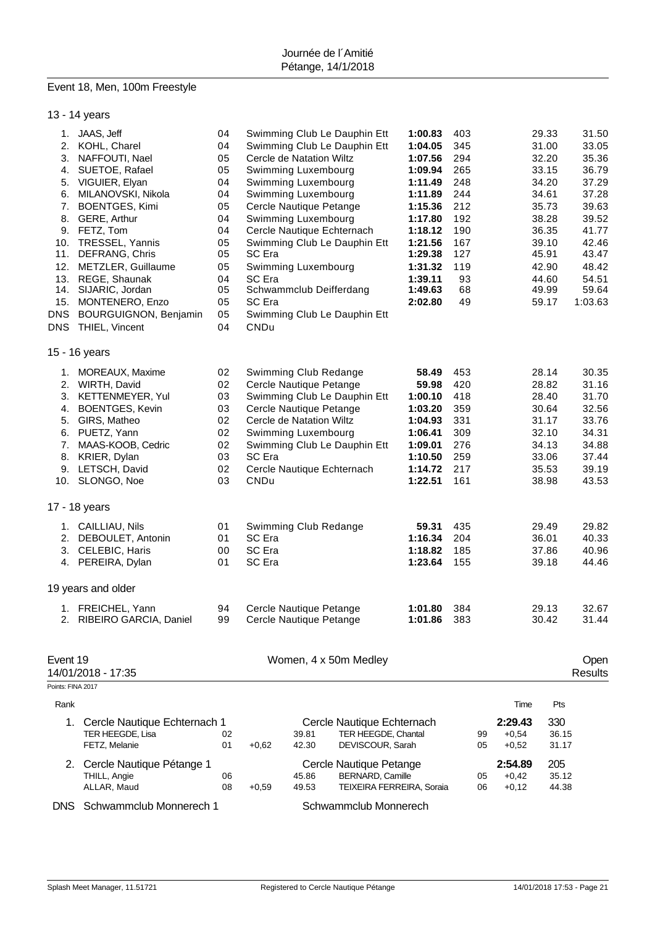# Event 18, Men, 100m Freestyle

|  | 13 - 14 years |  |
|--|---------------|--|
|--|---------------|--|

| 1. JAAS, Jeff<br>04<br>Swimming Club Le Dauphin Ett<br>403<br>29.33<br>1:00.83<br>2. KOHL, Charel<br>04<br>Swimming Club Le Dauphin Ett<br>1:04.05<br>345<br>31.00<br>05<br>294<br>3.<br>NAFFOUTI, Nael<br>Cercle de Natation Wiltz<br>1:07.56<br>32.20<br>05<br>SUETOE, Rafael<br>Swimming Luxembourg<br>1:09.94<br>265<br>33.15<br>4.<br>VIGUIER, Elyan<br>04<br>Swimming Luxembourg<br>1:11.49<br>248<br>34.20<br>5.<br>04<br>Swimming Luxembourg<br>244<br>6.<br>MILANOVSKI, Nikola<br>1:11.89<br>34.61<br>7.<br>05<br>Cercle Nautique Petange<br>212<br>35.73<br><b>BOENTGES, Kimi</b><br>1:15.36<br>GERE, Arthur<br>04<br>192<br>8.<br>Swimming Luxembourg<br>1:17.80<br>38.28<br>FETZ, Tom<br>04<br>Cercle Nautique Echternach<br>190<br>9.<br>1:18.12<br>36.35<br>TRESSEL, Yannis<br>05<br>Swimming Club Le Dauphin Ett<br>10.<br>1:21.56<br>167<br>39.10<br>05<br>DEFRANG, Chris<br>SC Era<br>1:29.38<br>127<br>45.91<br>11.<br>12.<br>05<br>Swimming Luxembourg<br>119<br>METZLER, Guillaume<br>1:31.32<br>42.90<br>13. REGE, Shaunak<br>SC Era<br>93<br>44.60<br>04<br>1:39.11<br>05<br>14. SIJARIC, Jordan<br>Schwammclub Deifferdang<br>1:49.63<br>68<br>49.99<br>05<br>SC Era<br>49<br>15.<br>MONTENERO, Enzo<br>2:02.80<br>59.17<br><b>BOURGUIGNON, Benjamin</b><br>05<br>Swimming Club Le Dauphin Ett<br>THIEL, Vincent<br>04<br><b>CNDu</b><br>Swimming Club Redange<br>1. MOREAUX, Maxime<br>02<br>58.49<br>453<br>28.14<br>02<br>Cercle Nautique Petange<br>420<br>28.82<br>2. WIRTH, David<br>59.98<br>03<br>Swimming Club Le Dauphin Ett<br>3.<br>KETTENMEYER, Yul<br>1:00.10<br>418<br>28.40<br>03<br>Cercle Nautique Petange<br>359<br><b>BOENTGES, Kevin</b><br>1:03.20<br>30.64<br>4.<br>02<br>331<br>GIRS, Matheo<br>Cercle de Natation Wiltz<br>1:04.93<br>31.17<br>5.<br>02<br>PUETZ, Yann<br>Swimming Luxembourg<br>1:06.41<br>309<br>32.10<br>6.<br>02<br>Swimming Club Le Dauphin Ett<br>276<br>7.<br>MAAS-KOOB, Cedric<br>1:09.01<br>34.13<br>03<br>SC Era<br>259<br>8.<br>KRIER, Dylan<br>1:10.50<br>33.06<br>LETSCH, David<br>02<br>Cercle Nautique Echternach<br>217<br>9.<br>1:14.72<br>35.53<br>10. SLONGO, Noe<br>03<br>CNDu<br>1:22.51<br>161<br>38.98<br>01<br>59.31<br>435<br>29.49<br>1. CAILLIAU, Nils<br>Swimming Club Redange<br>SC Era<br>2. DEBOULET, Antonin<br>01<br>1:16.34<br>204<br>36.01<br>3. CELEBIC, Haris<br>SC Era<br>00<br>1:18.82<br>185<br>37.86<br>SC Era<br>4. PEREIRA, Dylan<br>01<br>1:23.64<br>155<br>39.18<br>29.13<br>1. FREICHEL, Yann<br>94<br>Cercle Nautique Petange<br>1:01.80<br>384<br>30.42<br>2. RIBEIRO GARCIA, Daniel<br>99<br>Cercle Nautique Petange<br>1:01.86<br>383<br>Women, 4 x 50m Medley<br>Rank<br>Time<br>Pts<br>2:29.43<br>330<br>Cercle Nautique Echternach 1<br>Cercle Nautique Echternach<br>1.<br>TER HEEGDE, Lisa<br>TER HEEGDE, Chantal<br>$+0,54$<br>36.15<br>02<br>39.81<br>99<br>42.30<br>DEVISCOUR, Sarah<br>$+0,52$<br>FETZ, Melanie<br>01<br>$+0,62$<br>05<br>31.17<br>205<br>Cercle Nautique Pétange 1<br>Cercle Nautique Petange<br>2:54.89<br>2.<br>THILL, Angie<br>45.86<br><b>BERNARD, Camille</b><br>$+0,42$<br>35.12<br>06<br>05<br>ALLAR, Maud<br>$+0,59$<br>49.53<br>TEIXEIRA FERREIRA, Soraia<br>44.38<br>08<br>06<br>$+0,12$ |                    |  |  |  |  |  |                                                                                                                                       |
|------------------------------------------------------------------------------------------------------------------------------------------------------------------------------------------------------------------------------------------------------------------------------------------------------------------------------------------------------------------------------------------------------------------------------------------------------------------------------------------------------------------------------------------------------------------------------------------------------------------------------------------------------------------------------------------------------------------------------------------------------------------------------------------------------------------------------------------------------------------------------------------------------------------------------------------------------------------------------------------------------------------------------------------------------------------------------------------------------------------------------------------------------------------------------------------------------------------------------------------------------------------------------------------------------------------------------------------------------------------------------------------------------------------------------------------------------------------------------------------------------------------------------------------------------------------------------------------------------------------------------------------------------------------------------------------------------------------------------------------------------------------------------------------------------------------------------------------------------------------------------------------------------------------------------------------------------------------------------------------------------------------------------------------------------------------------------------------------------------------------------------------------------------------------------------------------------------------------------------------------------------------------------------------------------------------------------------------------------------------------------------------------------------------------------------------------------------------------------------------------------------------------------------------------------------------------------------------------------------------------------------------------------------------------------------------------------------------------------------------------------------------------------------------------------------------------------------------------------------------------------------------------------------------------------------------------------------------------------------------------------------------------------------------------------------------------------------------------------------------------------------------------------------------------------------------------------------------------------------------------|--------------------|--|--|--|--|--|---------------------------------------------------------------------------------------------------------------------------------------|
| 15 - 16 years<br>17 - 18 years<br>19 years and older<br>Event 19<br>14/01/2018 - 17:35<br>Points: FINA 2017                                                                                                                                                                                                                                                                                                                                                                                                                                                                                                                                                                                                                                                                                                                                                                                                                                                                                                                                                                                                                                                                                                                                                                                                                                                                                                                                                                                                                                                                                                                                                                                                                                                                                                                                                                                                                                                                                                                                                                                                                                                                                                                                                                                                                                                                                                                                                                                                                                                                                                                                                                                                                                                                                                                                                                                                                                                                                                                                                                                                                                                                                                                                    | <b>DNS</b><br>DNS. |  |  |  |  |  | 31.50<br>33.05<br>35.36<br>36.79<br>37.29<br>37.28<br>39.63<br>39.52<br>41.77<br>42.46<br>43.47<br>48.42<br>54.51<br>59.64<br>1:03.63 |
|                                                                                                                                                                                                                                                                                                                                                                                                                                                                                                                                                                                                                                                                                                                                                                                                                                                                                                                                                                                                                                                                                                                                                                                                                                                                                                                                                                                                                                                                                                                                                                                                                                                                                                                                                                                                                                                                                                                                                                                                                                                                                                                                                                                                                                                                                                                                                                                                                                                                                                                                                                                                                                                                                                                                                                                                                                                                                                                                                                                                                                                                                                                                                                                                                                                |                    |  |  |  |  |  |                                                                                                                                       |
|                                                                                                                                                                                                                                                                                                                                                                                                                                                                                                                                                                                                                                                                                                                                                                                                                                                                                                                                                                                                                                                                                                                                                                                                                                                                                                                                                                                                                                                                                                                                                                                                                                                                                                                                                                                                                                                                                                                                                                                                                                                                                                                                                                                                                                                                                                                                                                                                                                                                                                                                                                                                                                                                                                                                                                                                                                                                                                                                                                                                                                                                                                                                                                                                                                                |                    |  |  |  |  |  | 30.35<br>31.16<br>31.70<br>32.56<br>33.76<br>34.31<br>34.88<br>37.44<br>39.19<br>43.53                                                |
|                                                                                                                                                                                                                                                                                                                                                                                                                                                                                                                                                                                                                                                                                                                                                                                                                                                                                                                                                                                                                                                                                                                                                                                                                                                                                                                                                                                                                                                                                                                                                                                                                                                                                                                                                                                                                                                                                                                                                                                                                                                                                                                                                                                                                                                                                                                                                                                                                                                                                                                                                                                                                                                                                                                                                                                                                                                                                                                                                                                                                                                                                                                                                                                                                                                |                    |  |  |  |  |  |                                                                                                                                       |
|                                                                                                                                                                                                                                                                                                                                                                                                                                                                                                                                                                                                                                                                                                                                                                                                                                                                                                                                                                                                                                                                                                                                                                                                                                                                                                                                                                                                                                                                                                                                                                                                                                                                                                                                                                                                                                                                                                                                                                                                                                                                                                                                                                                                                                                                                                                                                                                                                                                                                                                                                                                                                                                                                                                                                                                                                                                                                                                                                                                                                                                                                                                                                                                                                                                |                    |  |  |  |  |  | 29.82<br>40.33<br>40.96<br>44.46                                                                                                      |
|                                                                                                                                                                                                                                                                                                                                                                                                                                                                                                                                                                                                                                                                                                                                                                                                                                                                                                                                                                                                                                                                                                                                                                                                                                                                                                                                                                                                                                                                                                                                                                                                                                                                                                                                                                                                                                                                                                                                                                                                                                                                                                                                                                                                                                                                                                                                                                                                                                                                                                                                                                                                                                                                                                                                                                                                                                                                                                                                                                                                                                                                                                                                                                                                                                                |                    |  |  |  |  |  |                                                                                                                                       |
|                                                                                                                                                                                                                                                                                                                                                                                                                                                                                                                                                                                                                                                                                                                                                                                                                                                                                                                                                                                                                                                                                                                                                                                                                                                                                                                                                                                                                                                                                                                                                                                                                                                                                                                                                                                                                                                                                                                                                                                                                                                                                                                                                                                                                                                                                                                                                                                                                                                                                                                                                                                                                                                                                                                                                                                                                                                                                                                                                                                                                                                                                                                                                                                                                                                |                    |  |  |  |  |  | 32.67<br>31.44                                                                                                                        |
|                                                                                                                                                                                                                                                                                                                                                                                                                                                                                                                                                                                                                                                                                                                                                                                                                                                                                                                                                                                                                                                                                                                                                                                                                                                                                                                                                                                                                                                                                                                                                                                                                                                                                                                                                                                                                                                                                                                                                                                                                                                                                                                                                                                                                                                                                                                                                                                                                                                                                                                                                                                                                                                                                                                                                                                                                                                                                                                                                                                                                                                                                                                                                                                                                                                |                    |  |  |  |  |  | Open<br>Results                                                                                                                       |
|                                                                                                                                                                                                                                                                                                                                                                                                                                                                                                                                                                                                                                                                                                                                                                                                                                                                                                                                                                                                                                                                                                                                                                                                                                                                                                                                                                                                                                                                                                                                                                                                                                                                                                                                                                                                                                                                                                                                                                                                                                                                                                                                                                                                                                                                                                                                                                                                                                                                                                                                                                                                                                                                                                                                                                                                                                                                                                                                                                                                                                                                                                                                                                                                                                                |                    |  |  |  |  |  |                                                                                                                                       |
|                                                                                                                                                                                                                                                                                                                                                                                                                                                                                                                                                                                                                                                                                                                                                                                                                                                                                                                                                                                                                                                                                                                                                                                                                                                                                                                                                                                                                                                                                                                                                                                                                                                                                                                                                                                                                                                                                                                                                                                                                                                                                                                                                                                                                                                                                                                                                                                                                                                                                                                                                                                                                                                                                                                                                                                                                                                                                                                                                                                                                                                                                                                                                                                                                                                |                    |  |  |  |  |  |                                                                                                                                       |
|                                                                                                                                                                                                                                                                                                                                                                                                                                                                                                                                                                                                                                                                                                                                                                                                                                                                                                                                                                                                                                                                                                                                                                                                                                                                                                                                                                                                                                                                                                                                                                                                                                                                                                                                                                                                                                                                                                                                                                                                                                                                                                                                                                                                                                                                                                                                                                                                                                                                                                                                                                                                                                                                                                                                                                                                                                                                                                                                                                                                                                                                                                                                                                                                                                                |                    |  |  |  |  |  |                                                                                                                                       |
|                                                                                                                                                                                                                                                                                                                                                                                                                                                                                                                                                                                                                                                                                                                                                                                                                                                                                                                                                                                                                                                                                                                                                                                                                                                                                                                                                                                                                                                                                                                                                                                                                                                                                                                                                                                                                                                                                                                                                                                                                                                                                                                                                                                                                                                                                                                                                                                                                                                                                                                                                                                                                                                                                                                                                                                                                                                                                                                                                                                                                                                                                                                                                                                                                                                |                    |  |  |  |  |  |                                                                                                                                       |

DNS Schwammclub Monnerech 1 Schwammclub Monnerech